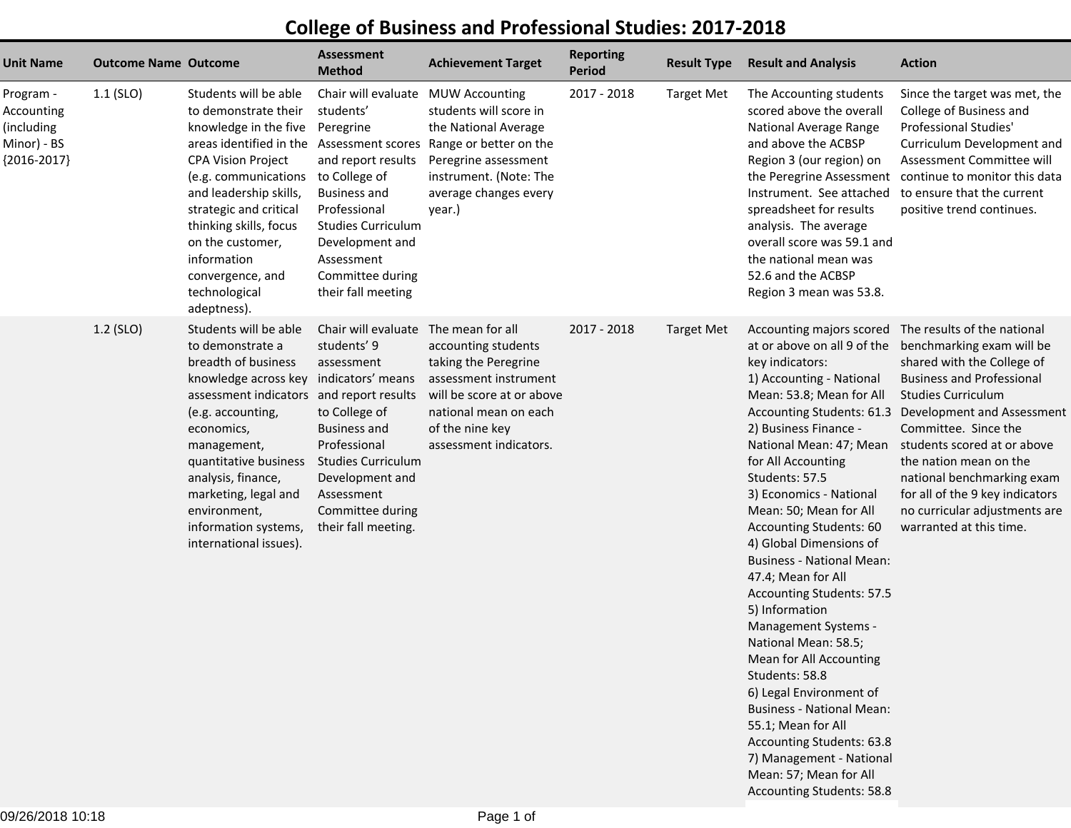## **College of Business and Professional Studies: 2017-2018**

| Unit Name                                                             | <b>Outcome Name Outcome</b> |                                                                                                                                                                                                                                                                                                                                                   | <b>Assessment</b><br><b>Method</b>                                                                                                                                                                                                  | <b>Achievement Target</b>                                                                                                                                                                   | <b>Reporting</b><br><b>Period</b> | <b>Result Type</b> | <b>Result and Analysis</b>                                                                                                                                                                                                                                                                                                                                                                                                                                                                                                                                                                                                                                                                                                                                                       | <b>Action</b>                                                                                                                                                                                                                                                                                                                                                                                  |
|-----------------------------------------------------------------------|-----------------------------|---------------------------------------------------------------------------------------------------------------------------------------------------------------------------------------------------------------------------------------------------------------------------------------------------------------------------------------------------|-------------------------------------------------------------------------------------------------------------------------------------------------------------------------------------------------------------------------------------|---------------------------------------------------------------------------------------------------------------------------------------------------------------------------------------------|-----------------------------------|--------------------|----------------------------------------------------------------------------------------------------------------------------------------------------------------------------------------------------------------------------------------------------------------------------------------------------------------------------------------------------------------------------------------------------------------------------------------------------------------------------------------------------------------------------------------------------------------------------------------------------------------------------------------------------------------------------------------------------------------------------------------------------------------------------------|------------------------------------------------------------------------------------------------------------------------------------------------------------------------------------------------------------------------------------------------------------------------------------------------------------------------------------------------------------------------------------------------|
| Program -<br>Accounting<br>(including<br>Minor) - BS<br>${2016-2017}$ | $1.1$ (SLO)                 | Students will be able<br>to demonstrate their<br>knowledge in the five<br>areas identified in the Assessment scores<br><b>CPA Vision Project</b><br>(e.g. communications<br>and leadership skills,<br>strategic and critical<br>thinking skills, focus<br>on the customer,<br>information<br>convergence, and<br>technological<br>adeptness).     | Chair will evaluate<br>students'<br>Peregrine<br>and report results<br>to College of<br><b>Business and</b><br>Professional<br><b>Studies Curriculum</b><br>Development and<br>Assessment<br>Committee during<br>their fall meeting | <b>MUW Accounting</b><br>students will score in<br>the National Average<br>Range or better on the<br>Peregrine assessment<br>instrument. (Note: The<br>average changes every<br>year.)      | 2017 - 2018                       | <b>Target Met</b>  | The Accounting students<br>scored above the overall<br>National Average Range<br>and above the ACBSP<br>Region 3 (our region) on<br>Instrument. See attached<br>spreadsheet for results<br>analysis. The average<br>overall score was 59.1 and<br>the national mean was<br>52.6 and the ACBSP<br>Region 3 mean was 53.8.                                                                                                                                                                                                                                                                                                                                                                                                                                                         | Since the target was met, the<br>College of Business and<br>Professional Studies'<br>Curriculum Development and<br>Assessment Committee will<br>the Peregrine Assessment continue to monitor this data<br>to ensure that the current<br>positive trend continues.                                                                                                                              |
|                                                                       | 1.2 (SLO)                   | Students will be able<br>to demonstrate a<br>breadth of business<br>knowledge across key indicators' means<br>assessment indicators and report results<br>(e.g. accounting,<br>economics,<br>management,<br>quantitative business<br>analysis, finance,<br>marketing, legal and<br>environment,<br>information systems,<br>international issues). | Chair will evaluate<br>students' 9<br>assessment<br>to College of<br><b>Business and</b><br>Professional<br><b>Studies Curriculum</b><br>Development and<br>Assessment<br>Committee during<br>their fall meeting.                   | The mean for all<br>accounting students<br>taking the Peregrine<br>assessment instrument<br>will be score at or above<br>national mean on each<br>of the nine key<br>assessment indicators. | 2017 - 2018                       | <b>Target Met</b>  | Accounting majors scored The results of the national<br>at or above on all 9 of the<br>key indicators:<br>1) Accounting - National<br>Mean: 53.8; Mean for All<br>2) Business Finance -<br>National Mean: 47; Mean<br>for All Accounting<br>Students: 57.5<br>3) Economics - National<br>Mean: 50; Mean for All<br>Accounting Students: 60<br>4) Global Dimensions of<br><b>Business - National Mean:</b><br>47.4; Mean for All<br>Accounting Students: 57.5<br>5) Information<br>Management Systems -<br>National Mean: 58.5;<br>Mean for All Accounting<br>Students: 58.8<br>6) Legal Environment of<br><b>Business - National Mean:</b><br>55.1; Mean for All<br>Accounting Students: 63.8<br>7) Management - National<br>Mean: 57; Mean for All<br>Accounting Students: 58.8 | benchmarking exam will be<br>shared with the College of<br><b>Business and Professional</b><br><b>Studies Curriculum</b><br>Accounting Students: 61.3 Development and Assessment<br>Committee. Since the<br>students scored at or above<br>the nation mean on the<br>national benchmarking exam<br>for all of the 9 key indicators<br>no curricular adjustments are<br>warranted at this time. |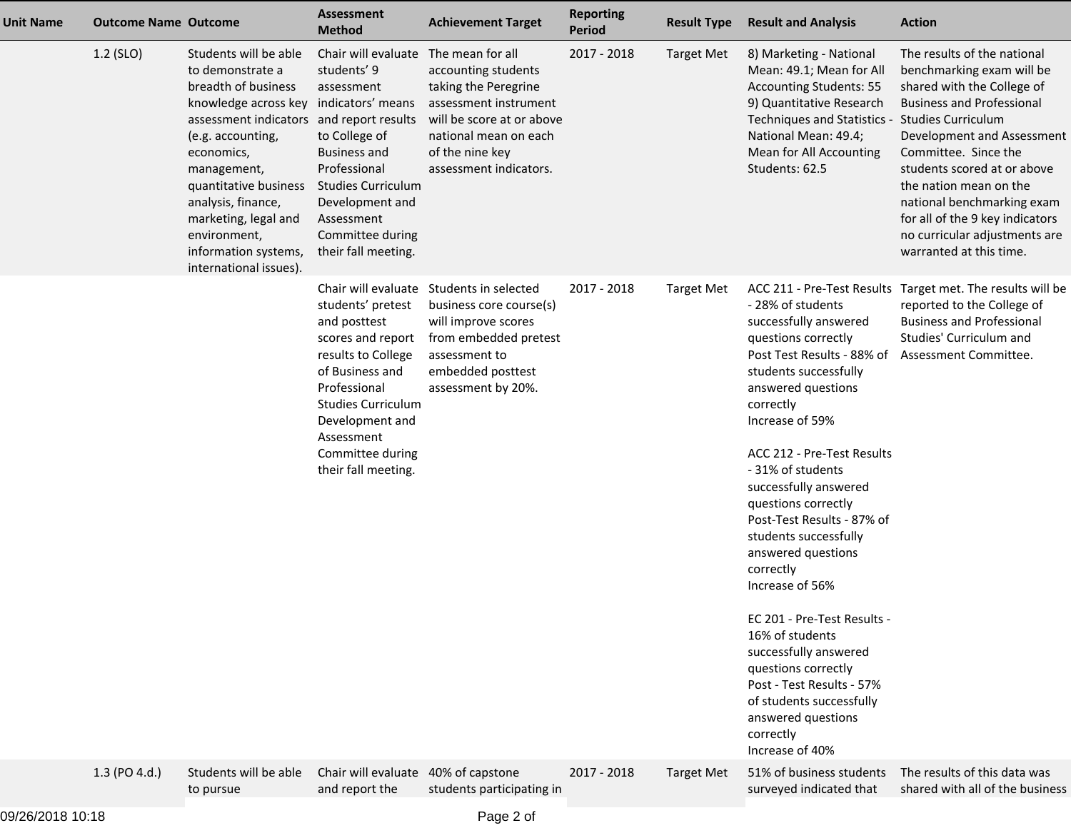| <b>Unit Name</b> | <b>Outcome Name Outcome</b> |                                                                                                                                                                                                                                                                                                                                                   | <b>Assessment</b><br><b>Method</b>                                                                                                                                                                                       | <b>Achievement Target</b>                                                                                                                                                                   | <b>Reporting</b><br><b>Period</b> | <b>Result Type</b> | <b>Result and Analysis</b>                                                                                                                                                                                                                                                                                                                                                                                                                                                                                                                                                                                                           | <b>Action</b>                                                                                                                                                                                                                                                                                                                                                          |
|------------------|-----------------------------|---------------------------------------------------------------------------------------------------------------------------------------------------------------------------------------------------------------------------------------------------------------------------------------------------------------------------------------------------|--------------------------------------------------------------------------------------------------------------------------------------------------------------------------------------------------------------------------|---------------------------------------------------------------------------------------------------------------------------------------------------------------------------------------------|-----------------------------------|--------------------|--------------------------------------------------------------------------------------------------------------------------------------------------------------------------------------------------------------------------------------------------------------------------------------------------------------------------------------------------------------------------------------------------------------------------------------------------------------------------------------------------------------------------------------------------------------------------------------------------------------------------------------|------------------------------------------------------------------------------------------------------------------------------------------------------------------------------------------------------------------------------------------------------------------------------------------------------------------------------------------------------------------------|
|                  | 1.2 (SLO)                   | Students will be able<br>to demonstrate a<br>breadth of business<br>knowledge across key indicators' means<br>assessment indicators and report results<br>(e.g. accounting,<br>economics,<br>management,<br>quantitative business<br>analysis, finance,<br>marketing, legal and<br>environment,<br>information systems,<br>international issues). | Chair will evaluate<br>students' 9<br>assessment<br>to College of<br><b>Business and</b><br>Professional<br><b>Studies Curriculum</b><br>Development and<br>Assessment<br>Committee during<br>their fall meeting.        | The mean for all<br>accounting students<br>taking the Peregrine<br>assessment instrument<br>will be score at or above<br>national mean on each<br>of the nine key<br>assessment indicators. | 2017 - 2018                       | <b>Target Met</b>  | 8) Marketing - National<br>Mean: 49.1; Mean for All<br><b>Accounting Students: 55</b><br>9) Quantitative Research<br>Techniques and Statistics - Studies Curriculum<br>National Mean: 49.4;<br>Mean for All Accounting<br>Students: 62.5                                                                                                                                                                                                                                                                                                                                                                                             | The results of the national<br>benchmarking exam will be<br>shared with the College of<br><b>Business and Professional</b><br>Development and Assessment<br>Committee. Since the<br>students scored at or above<br>the nation mean on the<br>national benchmarking exam<br>for all of the 9 key indicators<br>no curricular adjustments are<br>warranted at this time. |
|                  |                             |                                                                                                                                                                                                                                                                                                                                                   | students' pretest<br>and posttest<br>scores and report<br>results to College<br>of Business and<br>Professional<br><b>Studies Curriculum</b><br>Development and<br>Assessment<br>Committee during<br>their fall meeting. | Chair will evaluate Students in selected<br>business core course(s)<br>will improve scores<br>from embedded pretest<br>assessment to<br>embedded posttest<br>assessment by 20%.             | 2017 - 2018                       | <b>Target Met</b>  | - 28% of students<br>successfully answered<br>questions correctly<br>Post Test Results - 88% of Assessment Committee.<br>students successfully<br>answered questions<br>correctly<br>Increase of 59%<br>ACC 212 - Pre-Test Results<br>-31% of students<br>successfully answered<br>questions correctly<br>Post-Test Results - 87% of<br>students successfully<br>answered questions<br>correctly<br>Increase of 56%<br>EC 201 - Pre-Test Results -<br>16% of students<br>successfully answered<br>questions correctly<br>Post - Test Results - 57%<br>of students successfully<br>answered questions<br>correctly<br>Increase of 40% | ACC 211 - Pre-Test Results Target met. The results will be<br>reported to the College of<br><b>Business and Professional</b><br>Studies' Curriculum and                                                                                                                                                                                                                |
|                  | 1.3 (PO 4.d.)               | Students will be able<br>to pursue                                                                                                                                                                                                                                                                                                                | Chair will evaluate 40% of capstone<br>and report the                                                                                                                                                                    | students participating in                                                                                                                                                                   | 2017 - 2018                       | <b>Target Met</b>  | 51% of business students<br>surveyed indicated that                                                                                                                                                                                                                                                                                                                                                                                                                                                                                                                                                                                  | The results of this data was<br>shared with all of the business                                                                                                                                                                                                                                                                                                        |
|                  |                             |                                                                                                                                                                                                                                                                                                                                                   |                                                                                                                                                                                                                          |                                                                                                                                                                                             |                                   |                    |                                                                                                                                                                                                                                                                                                                                                                                                                                                                                                                                                                                                                                      |                                                                                                                                                                                                                                                                                                                                                                        |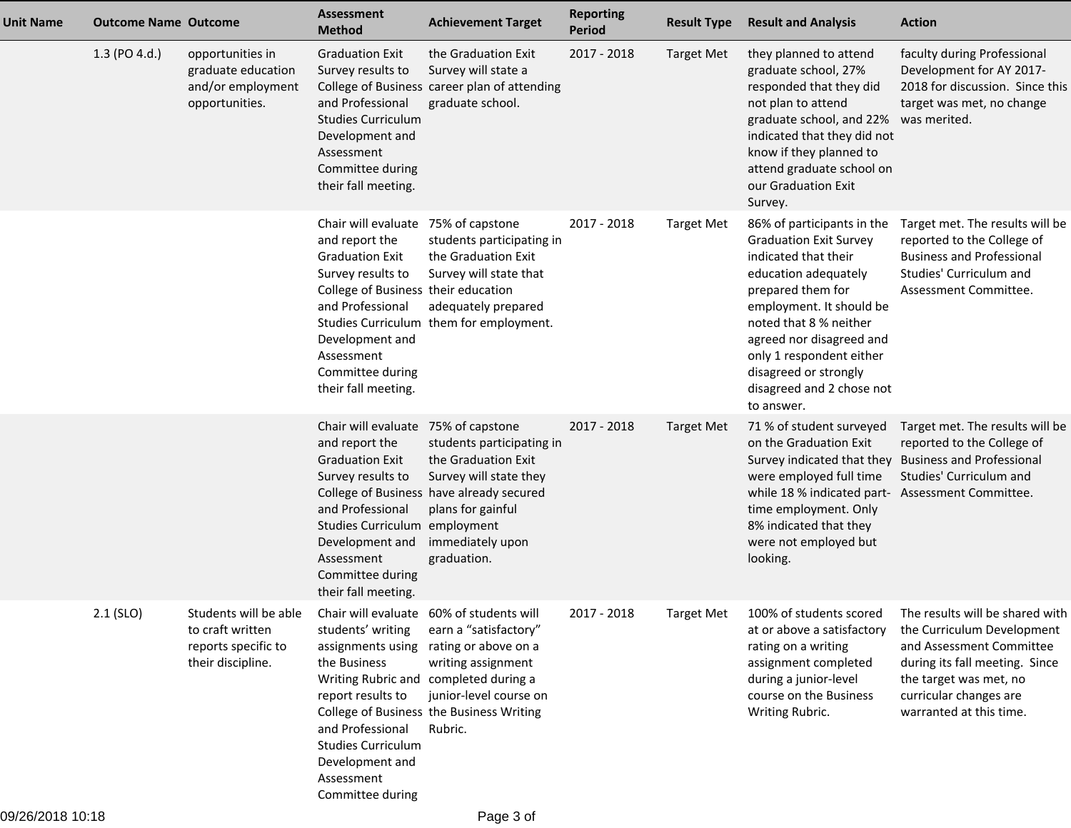| <b>Unit Name</b> | <b>Outcome Name Outcome</b> |                                                                                       | <b>Assessment</b><br><b>Method</b>                                                                                                                                                                                                          | <b>Achievement Target</b>                                                                                                                                                                                                                 | <b>Reporting</b><br><b>Period</b> | <b>Result Type</b> | <b>Result and Analysis</b>                                                                                                                                                                                                                                                                                         | <b>Action</b>                                                                                                                                                                                              |
|------------------|-----------------------------|---------------------------------------------------------------------------------------|---------------------------------------------------------------------------------------------------------------------------------------------------------------------------------------------------------------------------------------------|-------------------------------------------------------------------------------------------------------------------------------------------------------------------------------------------------------------------------------------------|-----------------------------------|--------------------|--------------------------------------------------------------------------------------------------------------------------------------------------------------------------------------------------------------------------------------------------------------------------------------------------------------------|------------------------------------------------------------------------------------------------------------------------------------------------------------------------------------------------------------|
|                  | 1.3 (PO 4.d.)               | opportunities in<br>graduate education<br>and/or employment<br>opportunities.         | <b>Graduation Exit</b><br>Survey results to<br>and Professional<br><b>Studies Curriculum</b><br>Development and<br>Assessment<br>Committee during<br>their fall meeting.                                                                    | the Graduation Exit<br>Survey will state a<br>College of Business career plan of attending<br>graduate school.                                                                                                                            | 2017 - 2018                       | <b>Target Met</b>  | they planned to attend<br>graduate school, 27%<br>responded that they did<br>not plan to attend<br>graduate school, and 22%<br>indicated that they did not<br>know if they planned to<br>attend graduate school on<br>our Graduation Exit<br>Survey.                                                               | faculty during Professional<br>Development for AY 2017-<br>2018 for discussion. Since this<br>target was met, no change<br>was merited.                                                                    |
|                  |                             |                                                                                       | Chair will evaluate 75% of capstone<br>and report the<br><b>Graduation Exit</b><br>Survey results to<br>College of Business their education<br>and Professional<br>Development and<br>Assessment<br>Committee during<br>their fall meeting. | students participating in<br>the Graduation Exit<br>Survey will state that<br>adequately prepared<br>Studies Curriculum them for employment.                                                                                              | 2017 - 2018                       | <b>Target Met</b>  | 86% of participants in the<br><b>Graduation Exit Survey</b><br>indicated that their<br>education adequately<br>prepared them for<br>employment. It should be<br>noted that 8 % neither<br>agreed nor disagreed and<br>only 1 respondent either<br>disagreed or strongly<br>disagreed and 2 chose not<br>to answer. | Target met. The results will be<br>reported to the College of<br><b>Business and Professional</b><br>Studies' Curriculum and<br>Assessment Committee.                                                      |
|                  |                             |                                                                                       | Chair will evaluate 75% of capstone<br>and report the<br><b>Graduation Exit</b><br>Survey results to<br>and Professional<br>Studies Curriculum employment<br>Development and<br>Assessment<br>Committee during<br>their fall meeting.       | students participating in<br>the Graduation Exit<br>Survey will state they<br>College of Business have already secured<br>plans for gainful<br>immediately upon<br>graduation.                                                            | 2017 - 2018                       | <b>Target Met</b>  | 71 % of student surveyed<br>on the Graduation Exit<br>Survey indicated that they Business and Professional<br>were employed full time<br>while 18 % indicated part- Assessment Committee.<br>time employment. Only<br>8% indicated that they<br>were not employed but<br>looking.                                  | Target met. The results will be<br>reported to the College of<br>Studies' Curriculum and                                                                                                                   |
|                  | $2.1$ (SLO)                 | Students will be able<br>to craft written<br>reports specific to<br>their discipline. | students' writing<br>assignments using<br>the Business<br>report results to<br>and Professional<br><b>Studies Curriculum</b><br>Development and<br>Assessment<br>Committee during                                                           | Chair will evaluate 60% of students will<br>earn a "satisfactory"<br>rating or above on a<br>writing assignment<br>Writing Rubric and completed during a<br>junior-level course on<br>College of Business the Business Writing<br>Rubric. | 2017 - 2018                       | Target Met         | 100% of students scored<br>at or above a satisfactory<br>rating on a writing<br>assignment completed<br>during a junior-level<br>course on the Business<br>Writing Rubric.                                                                                                                                         | The results will be shared with<br>the Curriculum Development<br>and Assessment Committee<br>during its fall meeting. Since<br>the target was met, no<br>curricular changes are<br>warranted at this time. |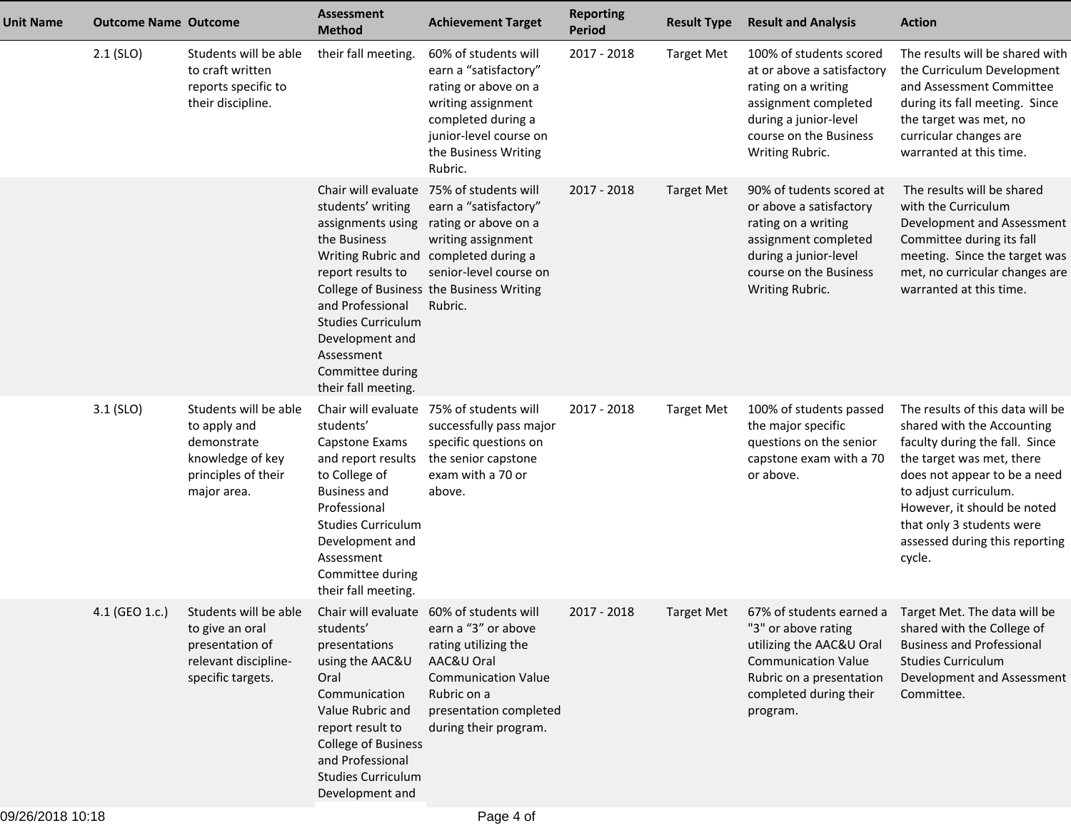| <b>Unit Name</b> | <b>Outcome Name Outcome</b> |                                                                                                                                                   | <b>Assessment</b><br><b>Method</b>                                                                                                                                                                                                        | <b>Achievement Target</b>                                                                                                                                                                                             | <b>Reporting</b><br><b>Period</b> | <b>Result Type</b> | <b>Result and Analysis</b>                                                                                                                                                 | <b>Action</b>                                                                                                                                                                                                                                                                                  |
|------------------|-----------------------------|---------------------------------------------------------------------------------------------------------------------------------------------------|-------------------------------------------------------------------------------------------------------------------------------------------------------------------------------------------------------------------------------------------|-----------------------------------------------------------------------------------------------------------------------------------------------------------------------------------------------------------------------|-----------------------------------|--------------------|----------------------------------------------------------------------------------------------------------------------------------------------------------------------------|------------------------------------------------------------------------------------------------------------------------------------------------------------------------------------------------------------------------------------------------------------------------------------------------|
|                  | $2.1$ (SLO)                 | Students will be able<br>to craft written<br>reports specific to<br>their discipline.                                                             | their fall meeting.                                                                                                                                                                                                                       | 60% of students will<br>earn a "satisfactory"<br>rating or above on a<br>writing assignment<br>completed during a<br>junior-level course on<br>the Business Writing<br>Rubric.                                        | 2017 - 2018                       | <b>Target Met</b>  | 100% of students scored<br>at or above a satisfactory<br>rating on a writing<br>assignment completed<br>during a junior-level<br>course on the Business<br>Writing Rubric. | The results will be shared with<br>the Curriculum Development<br>and Assessment Committee<br>during its fall meeting. Since<br>the target was met, no<br>curricular changes are<br>warranted at this time.                                                                                     |
|                  |                             |                                                                                                                                                   | Chair will evaluate<br>students' writing<br>assignments using<br>the Business<br>report results to<br>and Professional<br><b>Studies Curriculum</b><br>Development and<br>Assessment<br>Committee during<br>their fall meeting.           | 75% of students will<br>earn a "satisfactory"<br>rating or above on a<br>writing assignment<br>Writing Rubric and completed during a<br>senior-level course on<br>College of Business the Business Writing<br>Rubric. | 2017 - 2018                       | <b>Target Met</b>  | 90% of tudents scored at<br>or above a satisfactory<br>rating on a writing<br>assignment completed<br>during a junior-level<br>course on the Business<br>Writing Rubric.   | The results will be shared<br>with the Curriculum<br>Development and Assessment<br>Committee during its fall<br>meeting. Since the target was<br>met, no curricular changes are<br>warranted at this time.                                                                                     |
|                  | $3.1$ (SLO)                 | Students will be able<br>to apply and<br>demonstrate<br>knowledge of key<br>principles of their<br>major area.                                    | Chair will evaluate<br>students'<br>Capstone Exams<br>and report results<br>to College of<br><b>Business and</b><br>Professional<br><b>Studies Curriculum</b><br>Development and<br>Assessment<br>Committee during<br>their fall meeting. | 75% of students will<br>successfully pass major<br>specific questions on<br>the senior capstone<br>exam with a 70 or<br>above.                                                                                        | 2017 - 2018                       | <b>Target Met</b>  | 100% of students passed<br>the major specific<br>questions on the senior<br>capstone exam with a 70<br>or above.                                                           | The results of this data will be<br>shared with the Accounting<br>faculty during the fall. Since<br>the target was met, there<br>does not appear to be a need<br>to adjust curriculum.<br>However, it should be noted<br>that only 3 students were<br>assessed during this reporting<br>cycle. |
|                  | 4.1 (GEO 1.c.)              | Students will be able Chair will evaluate 60% of students will<br>to give an oral<br>presentation of<br>relevant discipline-<br>specific targets. | students'<br>presentations<br>using the AAC&U<br>Oral<br>Communication<br>Value Rubric and<br>report result to<br>College of Business<br>and Professional<br><b>Studies Curriculum</b><br>Development and                                 | earn a "3" or above<br>rating utilizing the<br>AAC&U Oral<br><b>Communication Value</b><br>Rubric on a<br>presentation completed<br>during their program.                                                             | 2017 - 2018                       | Target Met         | "3" or above rating<br>utilizing the AAC&U Oral<br><b>Communication Value</b><br>Rubric on a presentation<br>completed during their<br>program.                            | 67% of students earned a Target Met. The data will be<br>shared with the College of<br><b>Business and Professional</b><br><b>Studies Curriculum</b><br>Development and Assessment<br>Committee.                                                                                               |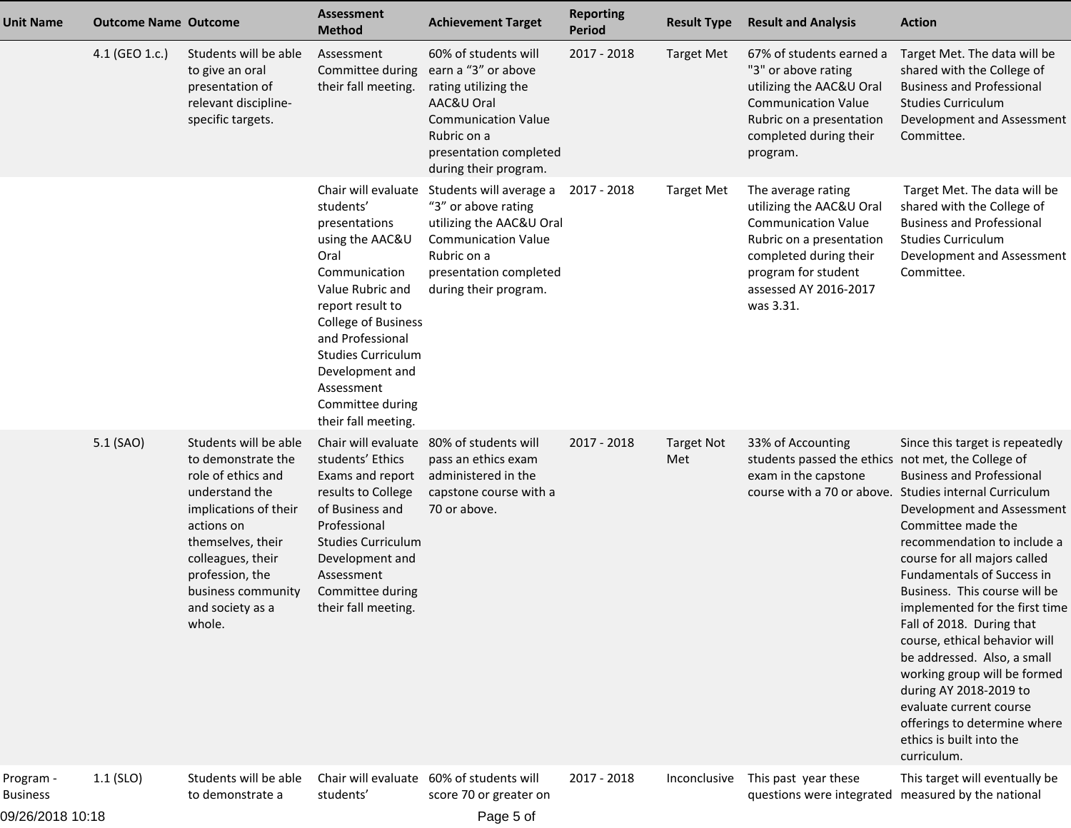| Unit Name                    | <b>Outcome Name Outcome</b> |                                                                                                                                                                                                                                             | <b>Assessment</b><br><b>Method</b>                                                                                                                                                                                                                                                               | <b>Achievement Target</b>                                                                                                                                                         | <b>Reporting</b><br><b>Period</b> | <b>Result Type</b>       | <b>Result and Analysis</b>                                                                                                                                                                      | <b>Action</b>                                                                                                                                                                                                                                                                                                                                                                                                                                                                                                                                                                                                         |
|------------------------------|-----------------------------|---------------------------------------------------------------------------------------------------------------------------------------------------------------------------------------------------------------------------------------------|--------------------------------------------------------------------------------------------------------------------------------------------------------------------------------------------------------------------------------------------------------------------------------------------------|-----------------------------------------------------------------------------------------------------------------------------------------------------------------------------------|-----------------------------------|--------------------------|-------------------------------------------------------------------------------------------------------------------------------------------------------------------------------------------------|-----------------------------------------------------------------------------------------------------------------------------------------------------------------------------------------------------------------------------------------------------------------------------------------------------------------------------------------------------------------------------------------------------------------------------------------------------------------------------------------------------------------------------------------------------------------------------------------------------------------------|
|                              | 4.1 (GEO 1.c.)              | Students will be able<br>to give an oral<br>presentation of<br>relevant discipline-<br>specific targets.                                                                                                                                    | Assessment<br>Committee during<br>their fall meeting.                                                                                                                                                                                                                                            | 60% of students will<br>earn a "3" or above<br>rating utilizing the<br>AAC&U Oral<br><b>Communication Value</b><br>Rubric on a<br>presentation completed<br>during their program. | 2017 - 2018                       | <b>Target Met</b>        | 67% of students earned a<br>"3" or above rating<br>utilizing the AAC&U Oral<br><b>Communication Value</b><br>Rubric on a presentation<br>completed during their<br>program.                     | Target Met. The data will be<br>shared with the College of<br><b>Business and Professional</b><br><b>Studies Curriculum</b><br>Development and Assessment<br>Committee.                                                                                                                                                                                                                                                                                                                                                                                                                                               |
|                              |                             |                                                                                                                                                                                                                                             | Chair will evaluate<br>students'<br>presentations<br>using the AAC&U<br>Oral<br>Communication<br>Value Rubric and<br>report result to<br><b>College of Business</b><br>and Professional<br><b>Studies Curriculum</b><br>Development and<br>Assessment<br>Committee during<br>their fall meeting. | Students will average a<br>"3" or above rating<br>utilizing the AAC&U Oral<br><b>Communication Value</b><br>Rubric on a<br>presentation completed<br>during their program.        | 2017 - 2018                       | <b>Target Met</b>        | The average rating<br>utilizing the AAC&U Oral<br><b>Communication Value</b><br>Rubric on a presentation<br>completed during their<br>program for student<br>assessed AY 2016-2017<br>was 3.31. | Target Met. The data will be<br>shared with the College of<br><b>Business and Professional</b><br><b>Studies Curriculum</b><br>Development and Assessment<br>Committee.                                                                                                                                                                                                                                                                                                                                                                                                                                               |
|                              | 5.1 (SAO)                   | Students will be able<br>to demonstrate the<br>role of ethics and<br>understand the<br>implications of their<br>actions on<br>themselves, their<br>colleagues, their<br>profession, the<br>business community<br>and society as a<br>whole. | students' Ethics<br>Exams and report<br>results to College<br>of Business and<br>Professional<br><b>Studies Curriculum</b><br>Development and<br>Assessment<br>Committee during<br>their fall meeting.                                                                                           | Chair will evaluate 80% of students will<br>pass an ethics exam<br>administered in the<br>capstone course with a<br>70 or above.                                                  | 2017 - 2018                       | <b>Target Not</b><br>Met | 33% of Accounting<br>students passed the ethics not met, the College of<br>exam in the capstone                                                                                                 | Since this target is repeatedly<br><b>Business and Professional</b><br>course with a 70 or above. Studies internal Curriculum<br>Development and Assessment<br>Committee made the<br>recommendation to include a<br>course for all majors called<br><b>Fundamentals of Success in</b><br>Business. This course will be<br>implemented for the first time<br>Fall of 2018. During that<br>course, ethical behavior will<br>be addressed. Also, a small<br>working group will be formed<br>during AY 2018-2019 to<br>evaluate current course<br>offerings to determine where<br>ethics is built into the<br>curriculum. |
| Program -<br><b>Business</b> | $1.1$ (SLO)                 | Students will be able<br>to demonstrate a                                                                                                                                                                                                   | students'                                                                                                                                                                                                                                                                                        | Chair will evaluate 60% of students will<br>score 70 or greater on                                                                                                                | $2017 - 2018$                     | Inconclusive             | This past year these<br>questions were integrated measured by the national                                                                                                                      | This target will eventually be                                                                                                                                                                                                                                                                                                                                                                                                                                                                                                                                                                                        |

09/26/2018 10:18

Page 5 of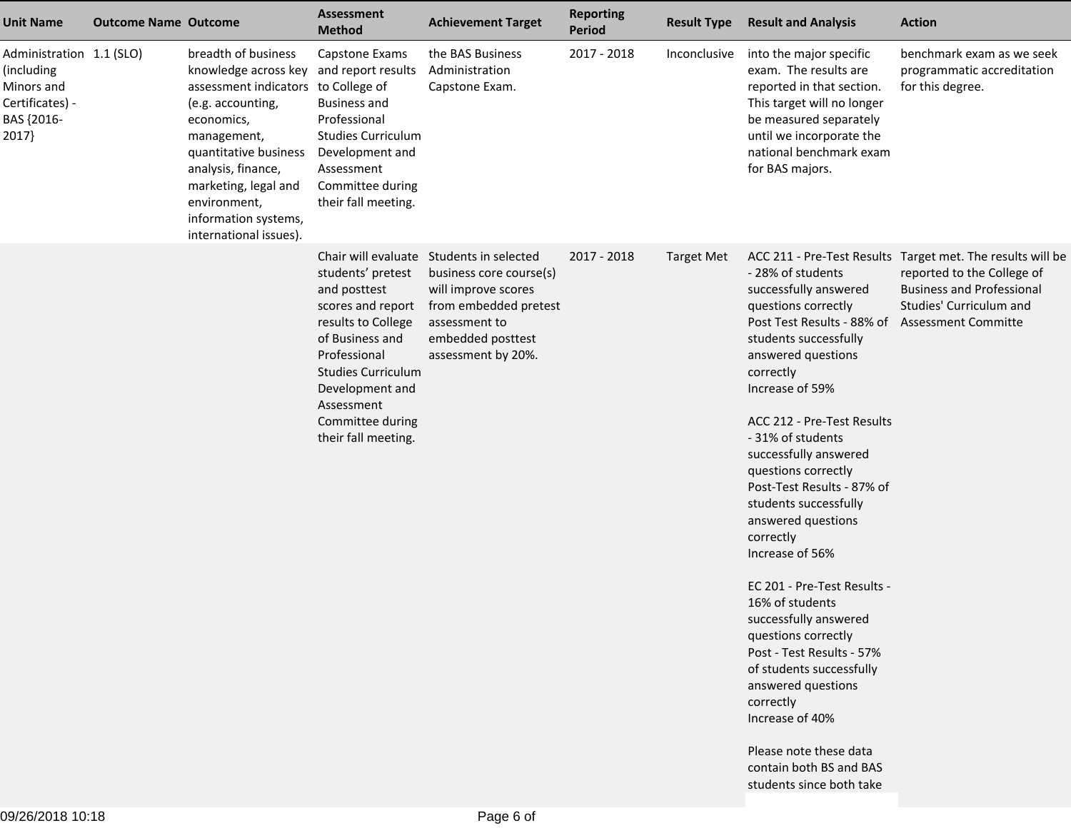| <b>Unit Name</b>                                                                               | <b>Outcome Name Outcome</b> |                                                                                                                                                                                                                                                                                                  | Assessment<br><b>Method</b>                                                                                                                                                                                              | <b>Achievement Target</b>                                                                                                                                                       | <b>Reporting</b><br><b>Period</b> | <b>Result Type</b> | <b>Result and Analysis</b>                                                                                                                                                                                                                                                                                                                                                                                                                                                                                                                                                                                                                                                                       | <b>Action</b>                                                                                                                                                                         |
|------------------------------------------------------------------------------------------------|-----------------------------|--------------------------------------------------------------------------------------------------------------------------------------------------------------------------------------------------------------------------------------------------------------------------------------------------|--------------------------------------------------------------------------------------------------------------------------------------------------------------------------------------------------------------------------|---------------------------------------------------------------------------------------------------------------------------------------------------------------------------------|-----------------------------------|--------------------|--------------------------------------------------------------------------------------------------------------------------------------------------------------------------------------------------------------------------------------------------------------------------------------------------------------------------------------------------------------------------------------------------------------------------------------------------------------------------------------------------------------------------------------------------------------------------------------------------------------------------------------------------------------------------------------------------|---------------------------------------------------------------------------------------------------------------------------------------------------------------------------------------|
| Administration 1.1 (SLO)<br>(including<br>Minors and<br>Certificates) -<br>BAS {2016-<br>2017} |                             | breadth of business<br>knowledge across key and report results<br>assessment indicators to College of<br>(e.g. accounting,<br>economics,<br>management,<br>quantitative business<br>analysis, finance,<br>marketing, legal and<br>environment,<br>information systems,<br>international issues). | Capstone Exams<br><b>Business and</b><br>Professional<br><b>Studies Curriculum</b><br>Development and<br>Assessment<br>Committee during<br>their fall meeting.                                                           | the BAS Business<br>Administration<br>Capstone Exam.                                                                                                                            | 2017 - 2018                       | Inconclusive       | into the major specific<br>exam. The results are<br>reported in that section.<br>This target will no longer<br>be measured separately<br>until we incorporate the<br>national benchmark exam<br>for BAS majors.                                                                                                                                                                                                                                                                                                                                                                                                                                                                                  | benchmark exam as we seek<br>programmatic accreditation<br>for this degree.                                                                                                           |
|                                                                                                |                             |                                                                                                                                                                                                                                                                                                  | students' pretest<br>and posttest<br>scores and report<br>results to College<br>of Business and<br>Professional<br><b>Studies Curriculum</b><br>Development and<br>Assessment<br>Committee during<br>their fall meeting. | Chair will evaluate Students in selected<br>business core course(s)<br>will improve scores<br>from embedded pretest<br>assessment to<br>embedded posttest<br>assessment by 20%. | 2017 - 2018                       | <b>Target Met</b>  | - 28% of students<br>successfully answered<br>questions correctly<br>Post Test Results - 88% of<br>students successfully<br>answered questions<br>correctly<br>Increase of 59%<br>ACC 212 - Pre-Test Results<br>- 31% of students<br>successfully answered<br>questions correctly<br>Post-Test Results - 87% of<br>students successfully<br>answered questions<br>correctly<br>Increase of 56%<br>EC 201 - Pre-Test Results -<br>16% of students<br>successfully answered<br>questions correctly<br>Post - Test Results - 57%<br>of students successfully<br>answered questions<br>correctly<br>Increase of 40%<br>Please note these data<br>contain both BS and BAS<br>students since both take | ACC 211 - Pre-Test Results Target met. The results will be<br>reported to the College of<br><b>Business and Professional</b><br>Studies' Curriculum and<br><b>Assessment Committe</b> |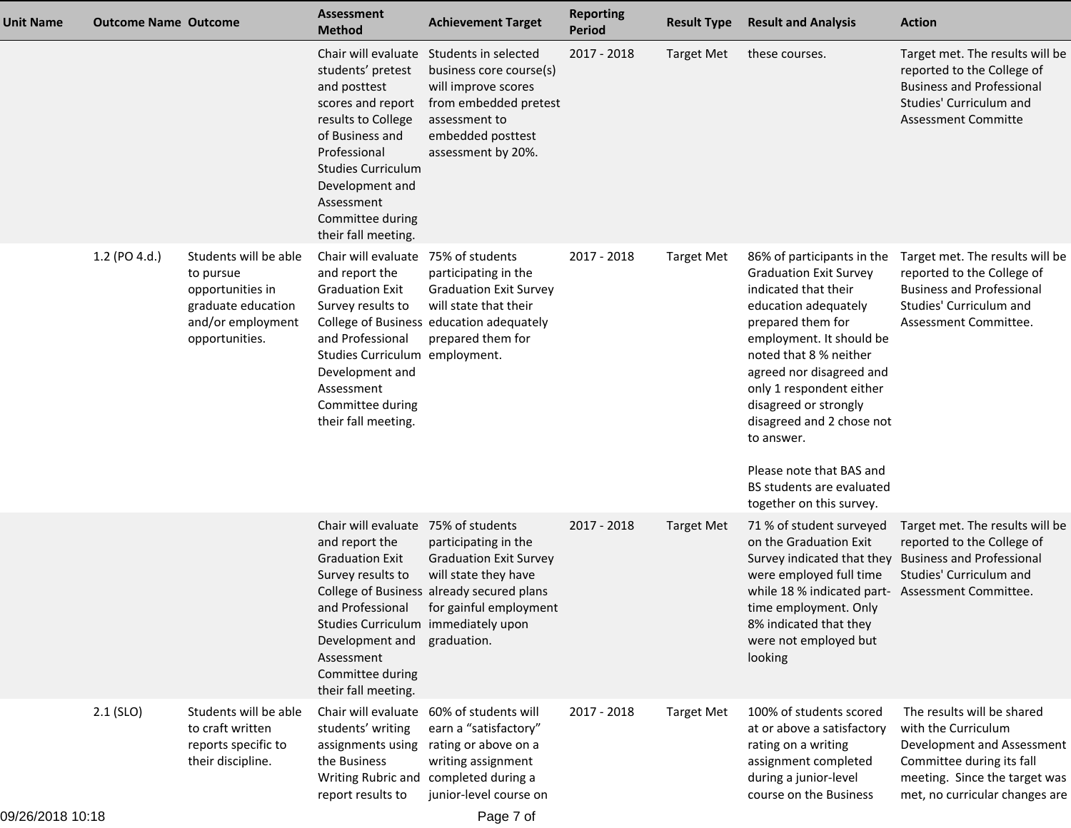| <b>Unit Name</b> | <b>Outcome Name Outcome</b> |                                                                                                                     | <b>Assessment</b><br><b>Method</b>                                                                                                                                                                                                              | <b>Achievement Target</b>                                                                                                                                             | <b>Reporting</b><br>Period | <b>Result Type</b> | <b>Result and Analysis</b>                                                                                                                                                                                                                                                                                                                                                                              | <b>Action</b>                                                                                                                                                                   |
|------------------|-----------------------------|---------------------------------------------------------------------------------------------------------------------|-------------------------------------------------------------------------------------------------------------------------------------------------------------------------------------------------------------------------------------------------|-----------------------------------------------------------------------------------------------------------------------------------------------------------------------|----------------------------|--------------------|---------------------------------------------------------------------------------------------------------------------------------------------------------------------------------------------------------------------------------------------------------------------------------------------------------------------------------------------------------------------------------------------------------|---------------------------------------------------------------------------------------------------------------------------------------------------------------------------------|
|                  |                             |                                                                                                                     | Chair will evaluate<br>students' pretest<br>and posttest<br>scores and report<br>results to College<br>of Business and<br>Professional<br><b>Studies Curriculum</b><br>Development and<br>Assessment<br>Committee during<br>their fall meeting. | Students in selected<br>business core course(s)<br>will improve scores<br>from embedded pretest<br>assessment to<br>embedded posttest<br>assessment by 20%.           | 2017 - 2018                | <b>Target Met</b>  | these courses.                                                                                                                                                                                                                                                                                                                                                                                          | Target met. The results will be<br>reported to the College of<br><b>Business and Professional</b><br>Studies' Curriculum and<br><b>Assessment Committe</b>                      |
|                  | 1.2 (PO 4.d.)               | Students will be able<br>to pursue<br>opportunities in<br>graduate education<br>and/or employment<br>opportunities. | Chair will evaluate 75% of students<br>and report the<br><b>Graduation Exit</b><br>Survey results to<br>and Professional<br>Studies Curriculum employment.<br>Development and<br>Assessment<br>Committee during<br>their fall meeting.          | participating in the<br><b>Graduation Exit Survey</b><br>will state that their<br>College of Business education adequately<br>prepared them for                       | 2017 - 2018                | <b>Target Met</b>  | 86% of participants in the<br><b>Graduation Exit Survey</b><br>indicated that their<br>education adequately<br>prepared them for<br>employment. It should be<br>noted that 8 % neither<br>agreed nor disagreed and<br>only 1 respondent either<br>disagreed or strongly<br>disagreed and 2 chose not<br>to answer.<br>Please note that BAS and<br>BS students are evaluated<br>together on this survey. | Target met. The results will be<br>reported to the College of<br><b>Business and Professional</b><br>Studies' Curriculum and<br>Assessment Committee.                           |
|                  |                             |                                                                                                                     | Chair will evaluate 75% of students<br>and report the<br><b>Graduation Exit</b><br>Survey results to<br>Studies Curriculum immediately upon<br>Development and graduation.<br>Assessment<br>Committee during<br>their fall meeting.             | participating in the<br><b>Graduation Exit Survey</b><br>will state they have<br>College of Business already secured plans<br>and Professional for gainful employment | 2017 - 2018                | <b>Target Met</b>  | 71 % of student surveyed<br>on the Graduation Exit<br>Survey indicated that they<br>were employed full time<br>while 18 % indicated part- Assessment Committee.<br>time employment. Only<br>8% indicated that they<br>were not employed but<br>looking                                                                                                                                                  | Target met. The results will be<br>reported to the College of<br><b>Business and Professional</b><br>Studies' Curriculum and                                                    |
|                  | $2.1$ (SLO)                 | Students will be able<br>to craft written<br>reports specific to<br>their discipline.                               | Chair will evaluate<br>students' writing<br>assignments using<br>the Business<br>report results to                                                                                                                                              | 60% of students will<br>earn a "satisfactory"<br>rating or above on a<br>writing assignment<br>Writing Rubric and completed during a<br>junior-level course on        | 2017 - 2018                | <b>Target Met</b>  | 100% of students scored<br>at or above a satisfactory<br>rating on a writing<br>assignment completed<br>during a junior-level<br>course on the Business                                                                                                                                                                                                                                                 | The results will be shared<br>with the Curriculum<br>Development and Assessment<br>Committee during its fall<br>meeting. Since the target was<br>met, no curricular changes are |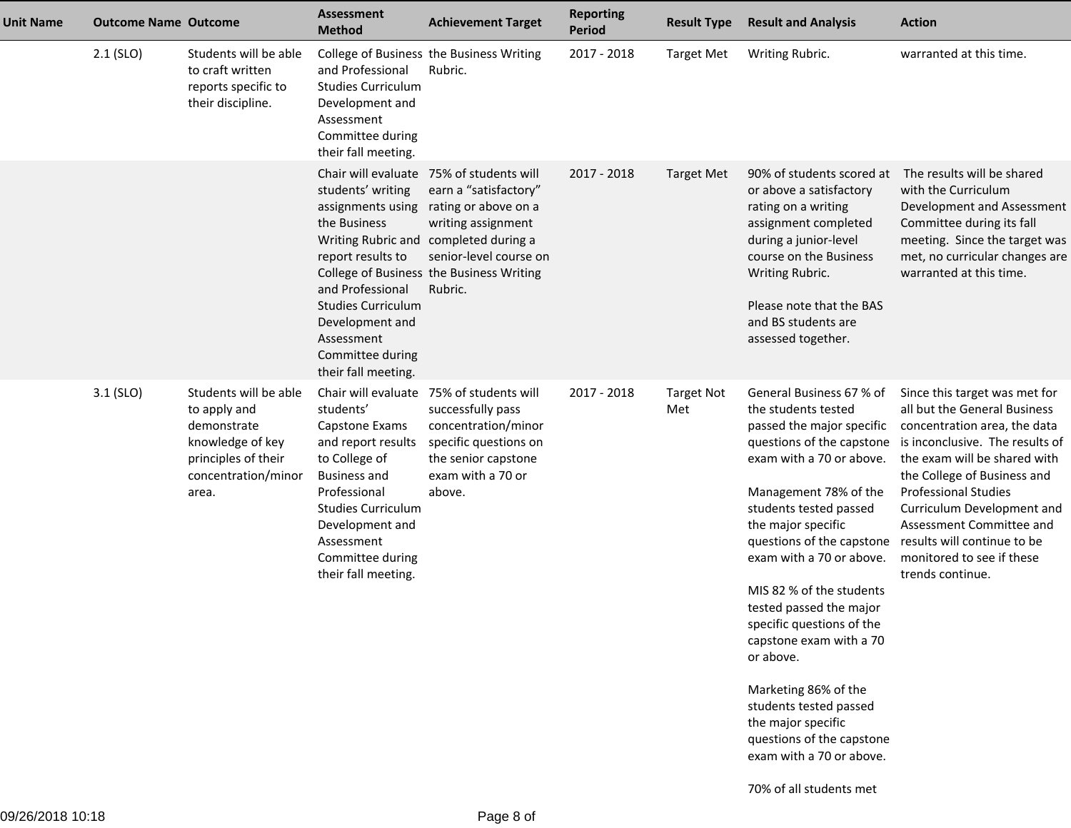| <b>Unit Name</b> | <b>Outcome Name Outcome</b> |                                                                                                                                 | Assessment<br><b>Method</b>                                                                                                                                                                                                               | <b>Achievement Target</b>                                                                                                                                                                                                                 | <b>Reporting</b><br><b>Period</b> | <b>Result Type</b>       | <b>Result and Analysis</b>                                                                                                                                                                                                                                                                                                                                                                                                                                                                                                                                                                  | <b>Action</b>                                                                                                                                                                                                                                                                                                                             |
|------------------|-----------------------------|---------------------------------------------------------------------------------------------------------------------------------|-------------------------------------------------------------------------------------------------------------------------------------------------------------------------------------------------------------------------------------------|-------------------------------------------------------------------------------------------------------------------------------------------------------------------------------------------------------------------------------------------|-----------------------------------|--------------------------|---------------------------------------------------------------------------------------------------------------------------------------------------------------------------------------------------------------------------------------------------------------------------------------------------------------------------------------------------------------------------------------------------------------------------------------------------------------------------------------------------------------------------------------------------------------------------------------------|-------------------------------------------------------------------------------------------------------------------------------------------------------------------------------------------------------------------------------------------------------------------------------------------------------------------------------------------|
|                  | $2.1$ (SLO)                 | Students will be able<br>to craft written<br>reports specific to<br>their discipline.                                           | and Professional<br><b>Studies Curriculum</b><br>Development and<br>Assessment<br>Committee during<br>their fall meeting.                                                                                                                 | College of Business the Business Writing<br>Rubric.                                                                                                                                                                                       | 2017 - 2018                       | <b>Target Met</b>        | Writing Rubric.                                                                                                                                                                                                                                                                                                                                                                                                                                                                                                                                                                             | warranted at this time.                                                                                                                                                                                                                                                                                                                   |
|                  |                             |                                                                                                                                 | students' writing<br>assignments using<br>the Business<br>report results to<br>and Professional<br><b>Studies Curriculum</b><br>Development and<br>Assessment<br>Committee during<br>their fall meeting.                                  | Chair will evaluate 75% of students will<br>earn a "satisfactory"<br>rating or above on a<br>writing assignment<br>Writing Rubric and completed during a<br>senior-level course on<br>College of Business the Business Writing<br>Rubric. | $2017 - 2018$                     | <b>Target Met</b>        | 90% of students scored at<br>or above a satisfactory<br>rating on a writing<br>assignment completed<br>during a junior-level<br>course on the Business<br>Writing Rubric.<br>Please note that the BAS<br>and BS students are<br>assessed together.                                                                                                                                                                                                                                                                                                                                          | The results will be shared<br>with the Curriculum<br>Development and Assessment<br>Committee during its fall<br>meeting. Since the target was<br>met, no curricular changes are<br>warranted at this time.                                                                                                                                |
|                  | 3.1 (SLO)                   | Students will be able<br>to apply and<br>demonstrate<br>knowledge of key<br>principles of their<br>concentration/minor<br>area. | Chair will evaluate<br>students'<br>Capstone Exams<br>and report results<br>to College of<br><b>Business and</b><br>Professional<br><b>Studies Curriculum</b><br>Development and<br>Assessment<br>Committee during<br>their fall meeting. | 75% of students will<br>successfully pass<br>concentration/minor<br>specific questions on<br>the senior capstone<br>exam with a 70 or<br>above.                                                                                           | 2017 - 2018                       | <b>Target Not</b><br>Met | General Business 67 % of<br>the students tested<br>passed the major specific<br>questions of the capstone<br>exam with a 70 or above.<br>Management 78% of the<br>students tested passed<br>the major specific<br>questions of the capstone results will continue to be<br>exam with a 70 or above.<br>MIS 82 % of the students<br>tested passed the major<br>specific questions of the<br>capstone exam with a 70<br>or above.<br>Marketing 86% of the<br>students tested passed<br>the major specific<br>questions of the capstone<br>exam with a 70 or above.<br>70% of all students met | Since this target was met for<br>all but the General Business<br>concentration area, the data<br>is inconclusive. The results of<br>the exam will be shared with<br>the College of Business and<br><b>Professional Studies</b><br>Curriculum Development and<br>Assessment Committee and<br>monitored to see if these<br>trends continue. |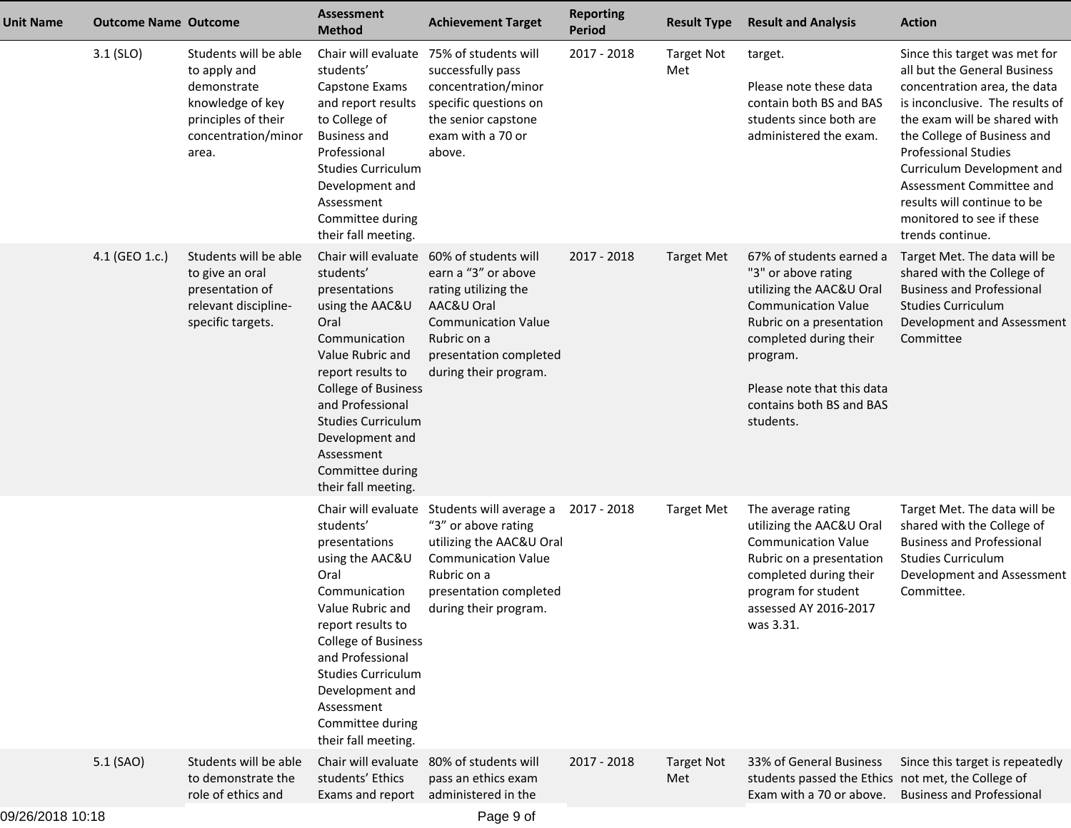| <b>Unit Name</b> | <b>Outcome Name Outcome</b> |                                                                                                                                 | <b>Assessment</b><br><b>Method</b>                                                                                                                                                                                                                                                                | <b>Achievement Target</b>                                                                                                                                                         | <b>Reporting</b><br><b>Period</b> | <b>Result Type</b>       | <b>Result and Analysis</b>                                                                                                                                                                                                                         | <b>Action</b>                                                                                                                                                                                                                                                                                                                                                            |
|------------------|-----------------------------|---------------------------------------------------------------------------------------------------------------------------------|---------------------------------------------------------------------------------------------------------------------------------------------------------------------------------------------------------------------------------------------------------------------------------------------------|-----------------------------------------------------------------------------------------------------------------------------------------------------------------------------------|-----------------------------------|--------------------------|----------------------------------------------------------------------------------------------------------------------------------------------------------------------------------------------------------------------------------------------------|--------------------------------------------------------------------------------------------------------------------------------------------------------------------------------------------------------------------------------------------------------------------------------------------------------------------------------------------------------------------------|
|                  | $3.1$ (SLO)                 | Students will be able<br>to apply and<br>demonstrate<br>knowledge of key<br>principles of their<br>concentration/minor<br>area. | Chair will evaluate<br>students'<br>Capstone Exams<br>and report results<br>to College of<br><b>Business and</b><br>Professional<br><b>Studies Curriculum</b><br>Development and<br>Assessment<br>Committee during<br>their fall meeting.                                                         | 75% of students will<br>successfully pass<br>concentration/minor<br>specific questions on<br>the senior capstone<br>exam with a 70 or<br>above.                                   | 2017 - 2018                       | <b>Target Not</b><br>Met | target.<br>Please note these data<br>contain both BS and BAS<br>students since both are<br>administered the exam.                                                                                                                                  | Since this target was met for<br>all but the General Business<br>concentration area, the data<br>is inconclusive. The results of<br>the exam will be shared with<br>the College of Business and<br><b>Professional Studies</b><br>Curriculum Development and<br>Assessment Committee and<br>results will continue to be<br>monitored to see if these<br>trends continue. |
|                  | 4.1 (GEO 1.c.)              | Students will be able<br>to give an oral<br>presentation of<br>relevant discipline-<br>specific targets.                        | Chair will evaluate<br>students'<br>presentations<br>using the AAC&U<br>Oral<br>Communication<br>Value Rubric and<br>report results to<br><b>College of Business</b><br>and Professional<br><b>Studies Curriculum</b><br>Development and<br>Assessment<br>Committee during<br>their fall meeting. | 60% of students will<br>earn a "3" or above<br>rating utilizing the<br>AAC&U Oral<br><b>Communication Value</b><br>Rubric on a<br>presentation completed<br>during their program. | 2017 - 2018                       | <b>Target Met</b>        | 67% of students earned a<br>"3" or above rating<br>utilizing the AAC&U Oral<br><b>Communication Value</b><br>Rubric on a presentation<br>completed during their<br>program.<br>Please note that this data<br>contains both BS and BAS<br>students. | Target Met. The data will be<br>shared with the College of<br><b>Business and Professional</b><br><b>Studies Curriculum</b><br>Development and Assessment<br>Committee                                                                                                                                                                                                   |
|                  |                             |                                                                                                                                 | Chair will evaluate<br>students'<br>presentations<br>using the AAC&U<br>Oral<br>Communication<br>Value Rubric and<br>report results to<br><b>College of Business</b><br>and Professional<br><b>Studies Curriculum</b><br>Development and<br>Assessment<br>Committee during<br>their fall meeting. | Students will average a<br>"3" or above rating<br>utilizing the AAC&U Oral<br><b>Communication Value</b><br>Rubric on a<br>presentation completed<br>during their program.        | 2017 - 2018                       | <b>Target Met</b>        | The average rating<br>utilizing the AAC&U Oral<br><b>Communication Value</b><br>Rubric on a presentation<br>completed during their<br>program for student<br>assessed AY 2016-2017<br>was 3.31.                                                    | Target Met. The data will be<br>shared with the College of<br><b>Business and Professional</b><br><b>Studies Curriculum</b><br>Development and Assessment<br>Committee.                                                                                                                                                                                                  |
|                  | 5.1 (SAO)                   | Students will be able<br>to demonstrate the<br>role of ethics and                                                               | Chair will evaluate<br>students' Ethics<br>Exams and report                                                                                                                                                                                                                                       | 80% of students will<br>pass an ethics exam<br>administered in the                                                                                                                | 2017 - 2018                       | <b>Target Not</b><br>Met | 33% of General Business<br>students passed the Ethics not met, the College of<br>Exam with a 70 or above.                                                                                                                                          | Since this target is repeatedly<br><b>Business and Professional</b>                                                                                                                                                                                                                                                                                                      |
| 09/26/2018 10:18 |                             |                                                                                                                                 |                                                                                                                                                                                                                                                                                                   | Page 9 of                                                                                                                                                                         |                                   |                          |                                                                                                                                                                                                                                                    |                                                                                                                                                                                                                                                                                                                                                                          |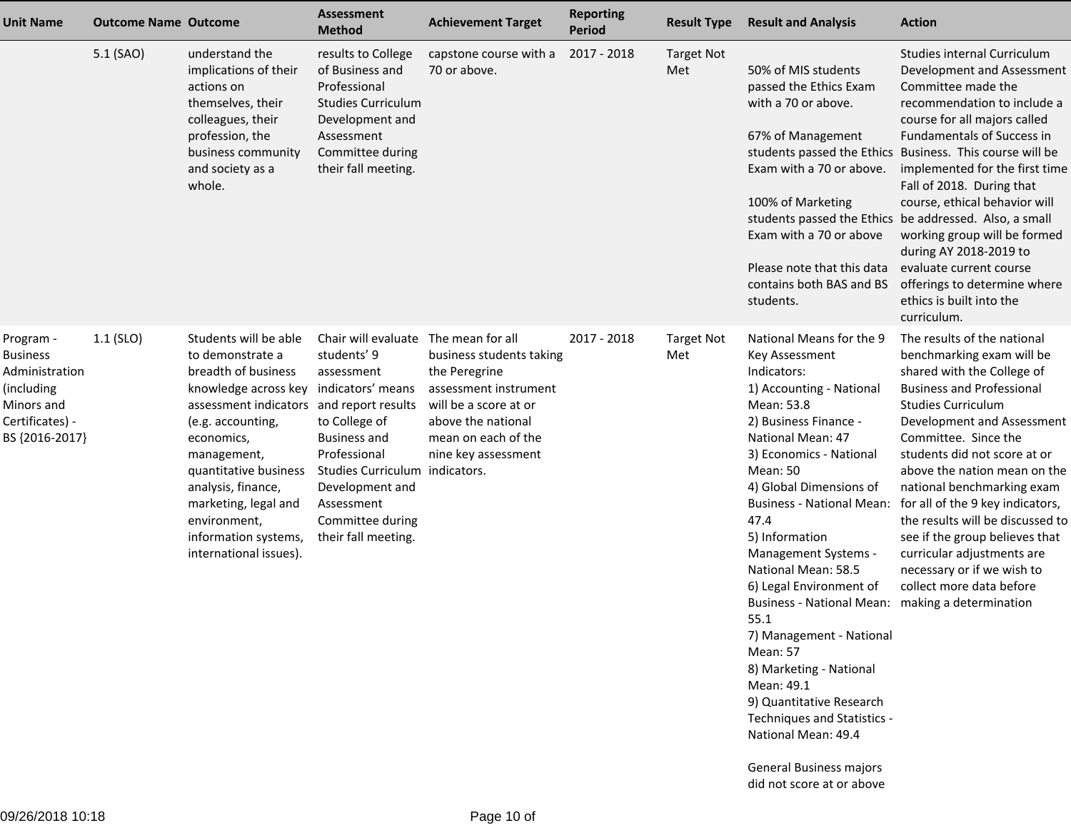| 5.1 (SAO)   | understand the                                                                                                                                                                                                                                              |                                                                                                                                                                                      |                                                                                                               |                                                                                                      |                          |                                                                                                                                                                                                                                                                                                                                                                                                                                                                                                                                                                                                                              |                                                                                                                                                                                                                                                                                                                                                                                                                                                                                                                                                                                  |
|-------------|-------------------------------------------------------------------------------------------------------------------------------------------------------------------------------------------------------------------------------------------------------------|--------------------------------------------------------------------------------------------------------------------------------------------------------------------------------------|---------------------------------------------------------------------------------------------------------------|------------------------------------------------------------------------------------------------------|--------------------------|------------------------------------------------------------------------------------------------------------------------------------------------------------------------------------------------------------------------------------------------------------------------------------------------------------------------------------------------------------------------------------------------------------------------------------------------------------------------------------------------------------------------------------------------------------------------------------------------------------------------------|----------------------------------------------------------------------------------------------------------------------------------------------------------------------------------------------------------------------------------------------------------------------------------------------------------------------------------------------------------------------------------------------------------------------------------------------------------------------------------------------------------------------------------------------------------------------------------|
|             | implications of their<br>actions on<br>themselves, their<br>colleagues, their<br>profession, the<br>business community<br>and society as a<br>whole.                                                                                                        | results to College<br>of Business and<br>Professional<br><b>Studies Curriculum</b><br>Development and<br>Assessment<br>Committee during<br>their fall meeting.                       | capstone course with a<br>70 or above.                                                                        | 2017 - 2018                                                                                          | <b>Target Not</b><br>Met | 50% of MIS students<br>passed the Ethics Exam<br>with a 70 or above.<br>67% of Management<br>Exam with a 70 or above.<br>100% of Marketing<br>Exam with a 70 or above<br>Please note that this data<br>contains both BAS and BS<br>students.                                                                                                                                                                                                                                                                                                                                                                                 | <b>Studies internal Curriculum</b><br>Development and Assessment<br>Committee made the<br>recommendation to include a<br>course for all majors called<br><b>Fundamentals of Success in</b><br>students passed the Ethics Business. This course will be<br>implemented for the first time<br>Fall of 2018. During that<br>course, ethical behavior will<br>students passed the Ethics be addressed. Also, a small<br>working group will be formed<br>during AY 2018-2019 to<br>evaluate current course<br>offerings to determine where<br>ethics is built into the<br>curriculum. |
| $1.1$ (SLO) | Students will be able<br>to demonstrate a<br>breadth of business<br>(e.g. accounting,<br>economics,<br>management,<br>quantitative business<br>analysis, finance,<br>marketing, legal and<br>environment,<br>information systems,<br>international issues). | Chair will evaluate<br>students' 9<br>assessment<br>to College of<br><b>Business and</b><br>Professional<br>Development and<br>Assessment<br>Committee during<br>their fall meeting. | business students taking<br>the Peregrine<br>above the national<br>mean on each of the<br>nine key assessment | 2017 - 2018                                                                                          | <b>Target Not</b><br>Met | National Means for the 9<br>Key Assessment<br>Indicators:<br>1) Accounting - National<br>Mean: 53.8<br>2) Business Finance -<br>National Mean: 47<br>3) Economics - National<br>Mean: 50<br>4) Global Dimensions of<br><b>Business - National Mean:</b><br>47.4<br>5) Information<br>Management Systems -<br>National Mean: 58.5<br>6) Legal Environment of<br>Business - National Mean: making a determination<br>55.1<br>7) Management - National<br>Mean: 57<br>8) Marketing - National<br>Mean: 49.1<br>9) Quantitative Research<br>Techniques and Statistics -<br>National Mean: 49.4<br><b>General Business majors</b> | The results of the national<br>benchmarking exam will be<br>shared with the College of<br><b>Business and Professional</b><br><b>Studies Curriculum</b><br>Development and Assessment<br>Committee. Since the<br>students did not score at or<br>above the nation mean on the<br>national benchmarking exam<br>for all of the 9 key indicators,<br>the results will be discussed to<br>see if the group believes that<br>curricular adjustments are<br>necessary or if we wish to<br>collect more data before                                                                    |
|             |                                                                                                                                                                                                                                                             |                                                                                                                                                                                      | knowledge across key indicators' means<br>assessment indicators and report results                            | The mean for all<br>assessment instrument<br>will be a score at or<br>Studies Curriculum indicators. |                          |                                                                                                                                                                                                                                                                                                                                                                                                                                                                                                                                                                                                                              | did not score at or above                                                                                                                                                                                                                                                                                                                                                                                                                                                                                                                                                        |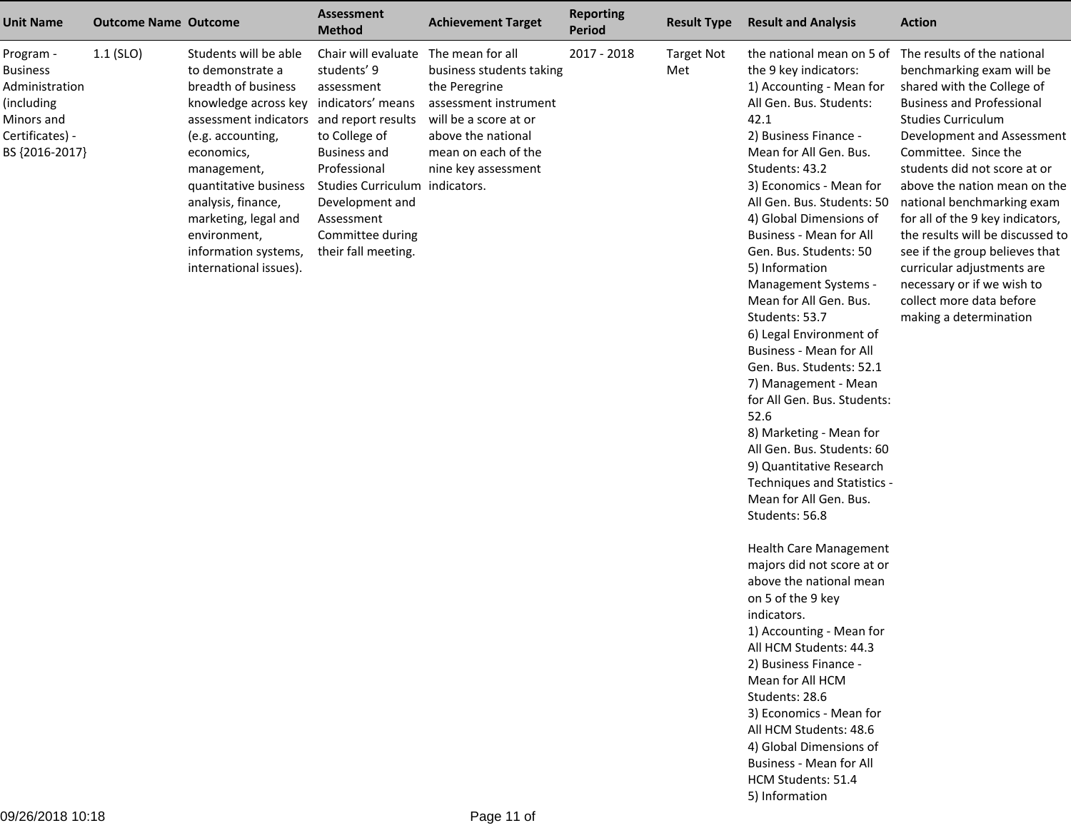| Chair will evaluate<br>$1.1$ (SLO)<br>Students will be able<br>The mean for all<br>2017 - 2018<br>the national mean on 5 of The results of the national<br><b>Target Not</b><br>Program -<br>students' 9<br>to demonstrate a<br>business students taking<br>the 9 key indicators:<br><b>Business</b><br>Met<br>breadth of business<br>1) Accounting - Mean for<br>Administration<br>the Peregrine<br>assessment<br>assessment instrument<br>All Gen. Bus. Students:<br>(including<br>knowledge across key indicators' means<br>will be a score at or<br>42.1<br><b>Studies Curriculum</b><br>Minors and<br>assessment indicators and report results<br>Certificates) -<br>to College of<br>above the national<br>2) Business Finance -<br>(e.g. accounting,<br>BS {2016-2017}<br>mean on each of the<br>Mean for All Gen. Bus.<br>economics,<br><b>Business and</b><br>Professional<br>nine key assessment<br>Students: 43.2<br>management,<br>quantitative business<br>Studies Curriculum indicators.<br>3) Economics - Mean for<br>analysis, finance,<br>Development and<br>All Gen. Bus. Students: 50<br>4) Global Dimensions of<br>marketing, legal and<br>Assessment | <b>Unit Name</b> | <b>Action</b>                                                                                                                                                                                                                                                                                                                                                                                                                                                               |
|---------------------------------------------------------------------------------------------------------------------------------------------------------------------------------------------------------------------------------------------------------------------------------------------------------------------------------------------------------------------------------------------------------------------------------------------------------------------------------------------------------------------------------------------------------------------------------------------------------------------------------------------------------------------------------------------------------------------------------------------------------------------------------------------------------------------------------------------------------------------------------------------------------------------------------------------------------------------------------------------------------------------------------------------------------------------------------------------------------------------------------------------------------------------------|------------------|-----------------------------------------------------------------------------------------------------------------------------------------------------------------------------------------------------------------------------------------------------------------------------------------------------------------------------------------------------------------------------------------------------------------------------------------------------------------------------|
| Committee during<br>Business - Mean for All<br>environment,<br>Gen. Bus. Students: 50<br>information systems,<br>their fall meeting.<br>5) Information<br>international issues).<br>Management Systems -<br>Mean for All Gen. Bus.<br>Students: 53.7<br>6) Legal Environment of<br><b>Business - Mean for All</b><br>Gen. Bus. Students: 52.1<br>7) Management - Mean<br>for All Gen. Bus. Students:<br>52.6<br>8) Marketing - Mean for<br>All Gen. Bus. Students: 60<br>9) Quantitative Research<br>Techniques and Statistics -<br>Mean for All Gen. Bus.<br>Students: 56.8<br>Health Care Management<br>majors did not score at or<br>above the national mean<br>on 5 of the 9 key<br>indicators.<br>1) Accounting - Mean for<br>All HCM Students: 44.3<br>2) Business Finance -<br>Mean for All HCM<br>Students: 28.6<br>3) Economics - Mean for<br>All HCM Students: 48.6<br>4) Global Dimensions of<br>Business - Mean for All<br>HCM Students: 51.4<br>5) Information                                                                                                                                                                                               |                  | benchmarking exam will be<br>shared with the College of<br><b>Business and Professional</b><br>Development and Assessment<br>Committee. Since the<br>students did not score at or<br>above the nation mean on the<br>national benchmarking exam<br>for all of the 9 key indicators,<br>the results will be discussed to<br>see if the group believes that<br>curricular adjustments are<br>necessary or if we wish to<br>collect more data before<br>making a determination |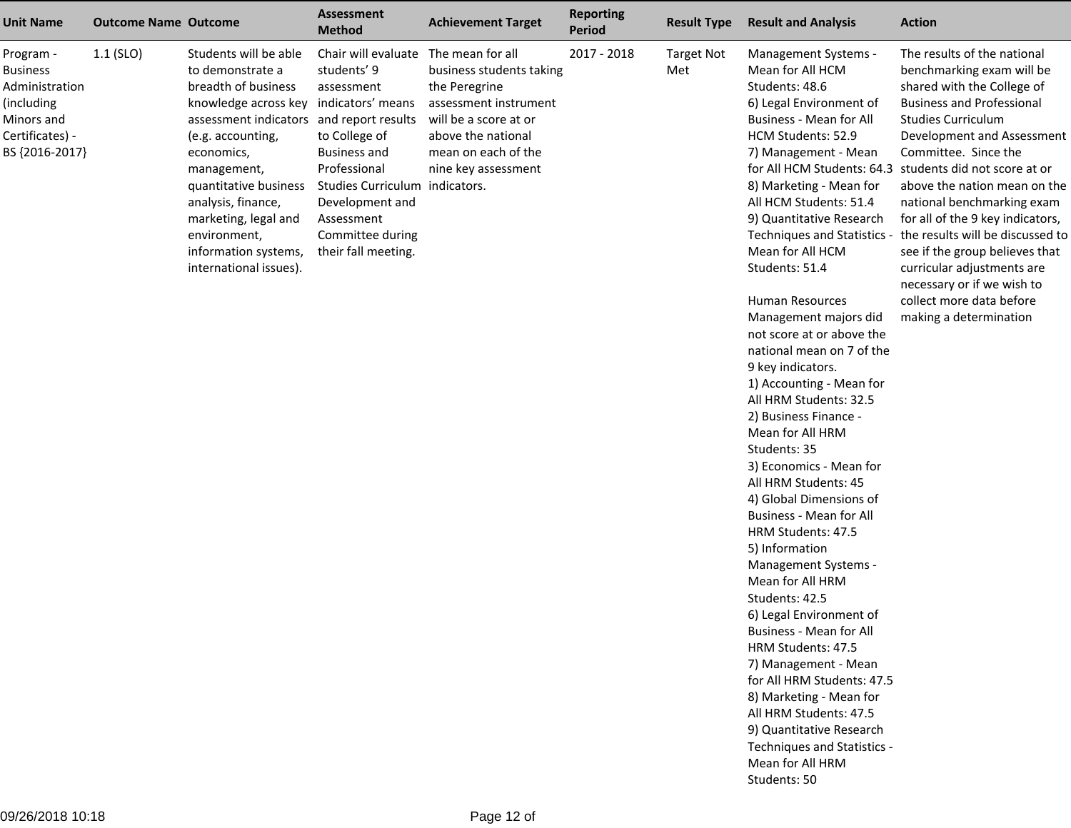| <b>Unit Name</b>                                                                                                | <b>Outcome Name Outcome</b> |                                                                                                                                                                                                                                                                                                                                                   | <b>Assessment</b><br><b>Method</b>                                                                                                                                                                                     | <b>Achievement Target</b>                                                                                                                                                           | <b>Reporting</b><br><b>Period</b> | <b>Result Type</b>       | <b>Result and Analysis</b>                                                                                                                                                                                                                                                                                                                                                                                                                                                                                                                                                                                                                                                                                                                                                                                                                                                                                                                                                                                                                                                                                   | <b>Action</b>                                                                                                                                                                                                                                                                                                                                                                                                                                                                                                                           |
|-----------------------------------------------------------------------------------------------------------------|-----------------------------|---------------------------------------------------------------------------------------------------------------------------------------------------------------------------------------------------------------------------------------------------------------------------------------------------------------------------------------------------|------------------------------------------------------------------------------------------------------------------------------------------------------------------------------------------------------------------------|-------------------------------------------------------------------------------------------------------------------------------------------------------------------------------------|-----------------------------------|--------------------------|--------------------------------------------------------------------------------------------------------------------------------------------------------------------------------------------------------------------------------------------------------------------------------------------------------------------------------------------------------------------------------------------------------------------------------------------------------------------------------------------------------------------------------------------------------------------------------------------------------------------------------------------------------------------------------------------------------------------------------------------------------------------------------------------------------------------------------------------------------------------------------------------------------------------------------------------------------------------------------------------------------------------------------------------------------------------------------------------------------------|-----------------------------------------------------------------------------------------------------------------------------------------------------------------------------------------------------------------------------------------------------------------------------------------------------------------------------------------------------------------------------------------------------------------------------------------------------------------------------------------------------------------------------------------|
| Program -<br><b>Business</b><br>Administration<br>(including<br>Minors and<br>Certificates) -<br>BS {2016-2017} | $1.1$ (SLO)                 | Students will be able<br>to demonstrate a<br>breadth of business<br>knowledge across key indicators' means<br>assessment indicators and report results<br>(e.g. accounting,<br>economics,<br>management,<br>quantitative business<br>analysis, finance,<br>marketing, legal and<br>environment,<br>information systems,<br>international issues). | Chair will evaluate<br>students' 9<br>assessment<br>to College of<br><b>Business and</b><br>Professional<br>Studies Curriculum indicators.<br>Development and<br>Assessment<br>Committee during<br>their fall meeting. | The mean for all<br>business students taking<br>the Peregrine<br>assessment instrument<br>will be a score at or<br>above the national<br>mean on each of the<br>nine key assessment | 2017 - 2018                       | <b>Target Not</b><br>Met | Management Systems -<br>Mean for All HCM<br>Students: 48.6<br>6) Legal Environment of<br>Business - Mean for All<br>HCM Students: 52.9<br>7) Management - Mean<br>for All HCM Students: 64.3<br>8) Marketing - Mean for<br>All HCM Students: 51.4<br>9) Quantitative Research<br>Techniques and Statistics -<br>Mean for All HCM<br>Students: 51.4<br>Human Resources<br>Management majors did<br>not score at or above the<br>national mean on 7 of the<br>9 key indicators.<br>1) Accounting - Mean for<br>All HRM Students: 32.5<br>2) Business Finance -<br>Mean for All HRM<br>Students: 35<br>3) Economics - Mean for<br>All HRM Students: 45<br>4) Global Dimensions of<br>Business - Mean for All<br>HRM Students: 47.5<br>5) Information<br>Management Systems -<br>Mean for All HRM<br>Students: 42.5<br>6) Legal Environment of<br><b>Business - Mean for All</b><br>HRM Students: 47.5<br>7) Management - Mean<br>for All HRM Students: 47.5<br>8) Marketing - Mean for<br>All HRM Students: 47.5<br>9) Quantitative Research<br>Techniques and Statistics -<br>Mean for All HRM<br>Students: 50 | The results of the national<br>benchmarking exam will be<br>shared with the College of<br><b>Business and Professional</b><br><b>Studies Curriculum</b><br>Development and Assessment<br>Committee. Since the<br>students did not score at or<br>above the nation mean on the<br>national benchmarking exam<br>for all of the 9 key indicators,<br>the results will be discussed to<br>see if the group believes that<br>curricular adjustments are<br>necessary or if we wish to<br>collect more data before<br>making a determination |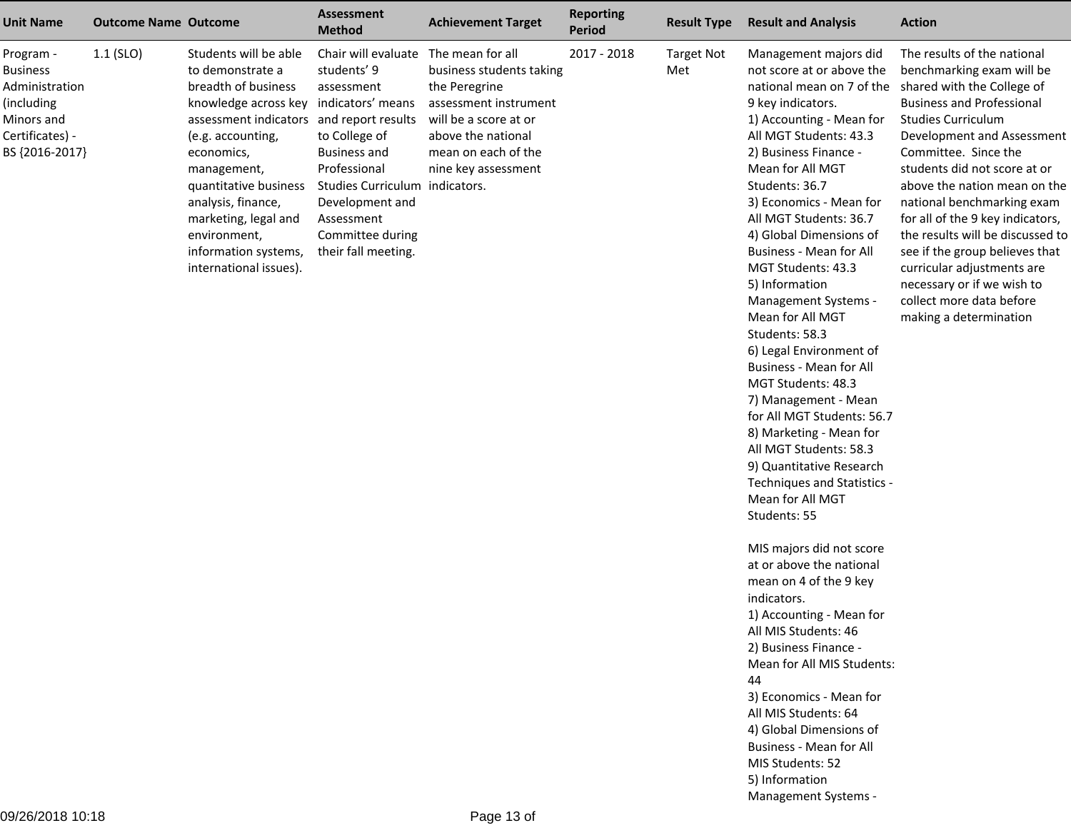| <b>Unit Name</b>                                                                                                | <b>Outcome Name Outcome</b> |                                                                                                                                                                                                                                                                                                                                 | <b>Assessment</b><br><b>Method</b>                                                                                                                                                                                                          | <b>Achievement Target</b>                                                                                                                                                           | <b>Reporting</b><br><b>Period</b> | <b>Result Type</b>       | <b>Result and Analysis</b>                                                                                                                                                                                                                                                                                                                                                                                                                                                                                                                                                                                                                                                                                                                                                                                                                                                                                                                                                                                                                                                                                                       | <b>Action</b>                                                                                                                                                                                                                                                                                                                                                                                                                                                                                                                           |
|-----------------------------------------------------------------------------------------------------------------|-----------------------------|---------------------------------------------------------------------------------------------------------------------------------------------------------------------------------------------------------------------------------------------------------------------------------------------------------------------------------|---------------------------------------------------------------------------------------------------------------------------------------------------------------------------------------------------------------------------------------------|-------------------------------------------------------------------------------------------------------------------------------------------------------------------------------------|-----------------------------------|--------------------------|----------------------------------------------------------------------------------------------------------------------------------------------------------------------------------------------------------------------------------------------------------------------------------------------------------------------------------------------------------------------------------------------------------------------------------------------------------------------------------------------------------------------------------------------------------------------------------------------------------------------------------------------------------------------------------------------------------------------------------------------------------------------------------------------------------------------------------------------------------------------------------------------------------------------------------------------------------------------------------------------------------------------------------------------------------------------------------------------------------------------------------|-----------------------------------------------------------------------------------------------------------------------------------------------------------------------------------------------------------------------------------------------------------------------------------------------------------------------------------------------------------------------------------------------------------------------------------------------------------------------------------------------------------------------------------------|
| Program -<br><b>Business</b><br>Administration<br>(including<br>Minors and<br>Certificates) -<br>BS {2016-2017} | $1.1$ (SLO)                 | Students will be able<br>to demonstrate a<br>breadth of business<br>knowledge across key<br>assessment indicators and report results<br>(e.g. accounting,<br>economics,<br>management,<br>quantitative business<br>analysis, finance,<br>marketing, legal and<br>environment,<br>information systems,<br>international issues). | Chair will evaluate<br>students' 9<br>assessment<br>indicators' means<br>to College of<br><b>Business and</b><br>Professional<br>Studies Curriculum indicators.<br>Development and<br>Assessment<br>Committee during<br>their fall meeting. | The mean for all<br>business students taking<br>the Peregrine<br>assessment instrument<br>will be a score at or<br>above the national<br>mean on each of the<br>nine key assessment | 2017 - 2018                       | <b>Target Not</b><br>Met | Management majors did<br>not score at or above the<br>national mean on 7 of the<br>9 key indicators.<br>1) Accounting - Mean for<br>All MGT Students: 43.3<br>2) Business Finance -<br>Mean for All MGT<br>Students: 36.7<br>3) Economics - Mean for<br>All MGT Students: 36.7<br>4) Global Dimensions of<br>Business - Mean for All<br>MGT Students: 43.3<br>5) Information<br>Management Systems -<br>Mean for All MGT<br>Students: 58.3<br>6) Legal Environment of<br><b>Business - Mean for All</b><br>MGT Students: 48.3<br>7) Management - Mean<br>for All MGT Students: 56.7<br>8) Marketing - Mean for<br>All MGT Students: 58.3<br>9) Quantitative Research<br>Techniques and Statistics -<br>Mean for All MGT<br>Students: 55<br>MIS majors did not score<br>at or above the national<br>mean on 4 of the 9 key<br>indicators.<br>1) Accounting - Mean for<br>All MIS Students: 46<br>2) Business Finance -<br>Mean for All MIS Students:<br>44<br>3) Economics - Mean for<br>All MIS Students: 64<br>4) Global Dimensions of<br>Business - Mean for All<br>MIS Students: 52<br>5) Information<br>Management Systems - | The results of the national<br>benchmarking exam will be<br>shared with the College of<br><b>Business and Professional</b><br><b>Studies Curriculum</b><br>Development and Assessment<br>Committee. Since the<br>students did not score at or<br>above the nation mean on the<br>national benchmarking exam<br>for all of the 9 key indicators,<br>the results will be discussed to<br>see if the group believes that<br>curricular adjustments are<br>necessary or if we wish to<br>collect more data before<br>making a determination |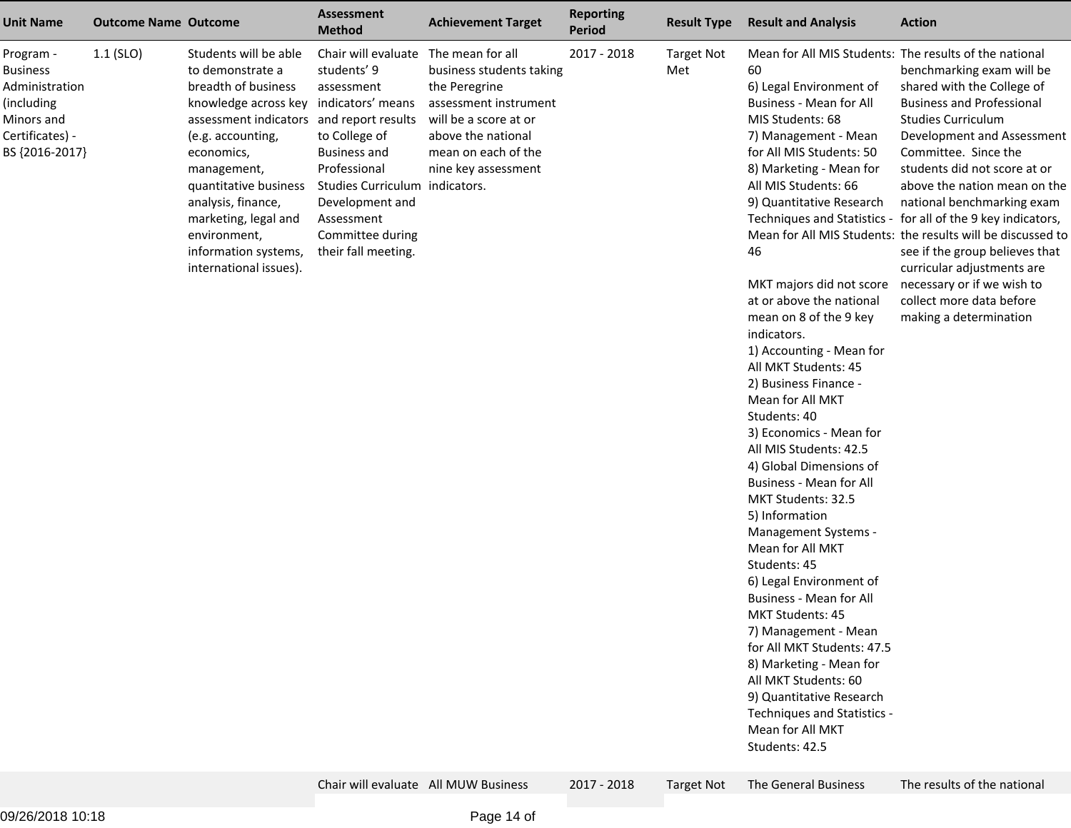| <b>Unit Name</b>                                                                                                | <b>Outcome Name Outcome</b> |                                                                                                                                                                                                                                                                                                                                                   | Assessment<br><b>Method</b>                                                                                                                                                                                                             | <b>Achievement Target</b>                                                                                                                                       | <b>Reporting</b><br><b>Period</b> | <b>Result Type</b>       | <b>Result and Analysis</b>                                                                                                                                                                                                                                                                                                                                                                                                                                                                                                                                                                                                                                                                                                                                                                                                                                                                                                                                                                                         | <b>Action</b>                                                                                                                                                                                                                                                                                                                                                                                                                                                                                                                                                   |
|-----------------------------------------------------------------------------------------------------------------|-----------------------------|---------------------------------------------------------------------------------------------------------------------------------------------------------------------------------------------------------------------------------------------------------------------------------------------------------------------------------------------------|-----------------------------------------------------------------------------------------------------------------------------------------------------------------------------------------------------------------------------------------|-----------------------------------------------------------------------------------------------------------------------------------------------------------------|-----------------------------------|--------------------------|--------------------------------------------------------------------------------------------------------------------------------------------------------------------------------------------------------------------------------------------------------------------------------------------------------------------------------------------------------------------------------------------------------------------------------------------------------------------------------------------------------------------------------------------------------------------------------------------------------------------------------------------------------------------------------------------------------------------------------------------------------------------------------------------------------------------------------------------------------------------------------------------------------------------------------------------------------------------------------------------------------------------|-----------------------------------------------------------------------------------------------------------------------------------------------------------------------------------------------------------------------------------------------------------------------------------------------------------------------------------------------------------------------------------------------------------------------------------------------------------------------------------------------------------------------------------------------------------------|
| Program -<br><b>Business</b><br>Administration<br>(including<br>Minors and<br>Certificates) -<br>BS {2016-2017} | $1.1$ (SLO)                 | Students will be able<br>to demonstrate a<br>breadth of business<br>knowledge across key indicators' means<br>assessment indicators and report results<br>(e.g. accounting,<br>economics,<br>management,<br>quantitative business<br>analysis, finance,<br>marketing, legal and<br>environment,<br>information systems,<br>international issues). | Chair will evaluate The mean for all<br>students' 9<br>assessment<br>to College of<br><b>Business and</b><br>Professional<br>Studies Curriculum indicators.<br>Development and<br>Assessment<br>Committee during<br>their fall meeting. | business students taking<br>the Peregrine<br>assessment instrument<br>will be a score at or<br>above the national<br>mean on each of the<br>nine key assessment | 2017 - 2018                       | <b>Target Not</b><br>Met | Mean for All MIS Students: The results of the national<br>60<br>6) Legal Environment of<br>Business - Mean for All<br>MIS Students: 68<br>7) Management - Mean<br>for All MIS Students: 50<br>8) Marketing - Mean for<br>All MIS Students: 66<br>9) Quantitative Research<br>46<br>MKT majors did not score<br>at or above the national<br>mean on 8 of the 9 key<br>indicators.<br>1) Accounting - Mean for<br>All MKT Students: 45<br>2) Business Finance -<br>Mean for All MKT<br>Students: 40<br>3) Economics - Mean for<br>All MIS Students: 42.5<br>4) Global Dimensions of<br>Business - Mean for All<br>MKT Students: 32.5<br>5) Information<br>Management Systems -<br>Mean for All MKT<br>Students: 45<br>6) Legal Environment of<br><b>Business - Mean for All</b><br><b>MKT Students: 45</b><br>7) Management - Mean<br>for All MKT Students: 47.5<br>8) Marketing - Mean for<br>All MKT Students: 60<br>9) Quantitative Research<br>Techniques and Statistics -<br>Mean for All MKT<br>Students: 42.5 | benchmarking exam will be<br>shared with the College of<br><b>Business and Professional</b><br><b>Studies Curriculum</b><br>Development and Assessment<br>Committee. Since the<br>students did not score at or<br>above the nation mean on the<br>national benchmarking exam<br>Techniques and Statistics - for all of the 9 key indicators,<br>Mean for All MIS Students: the results will be discussed to<br>see if the group believes that<br>curricular adjustments are<br>necessary or if we wish to<br>collect more data before<br>making a determination |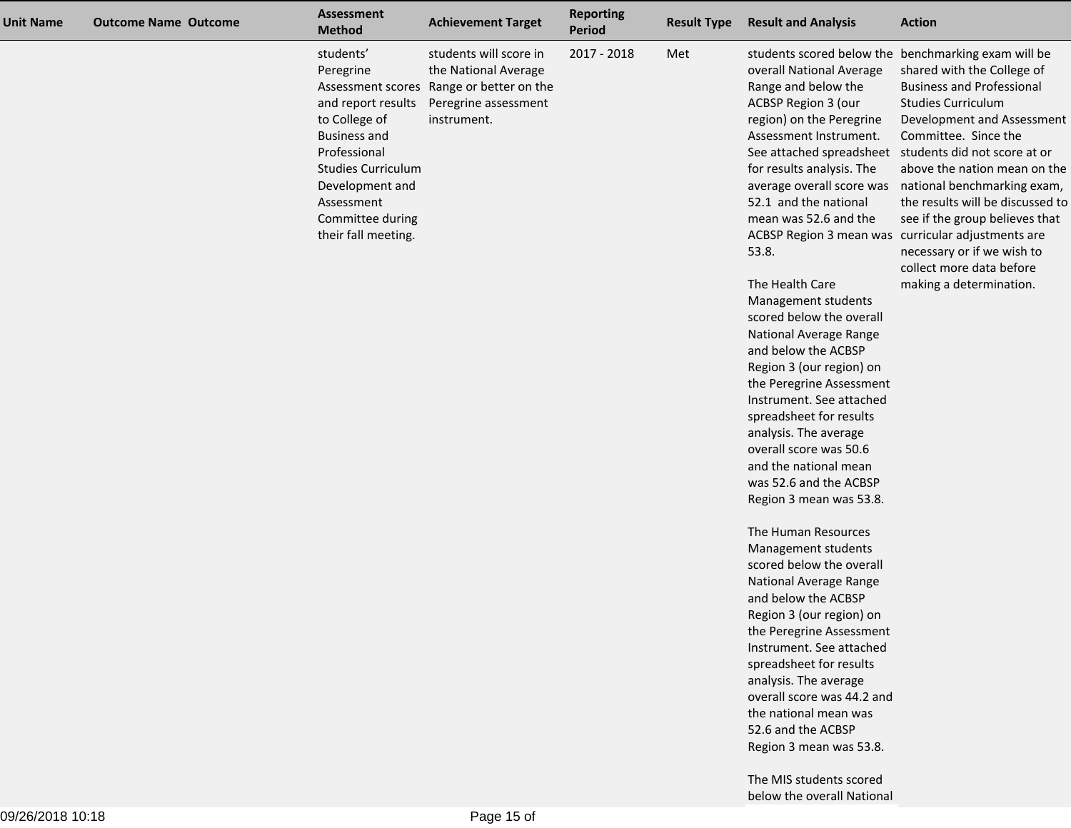| <b>Unit Name</b> | <b>Outcome Name Outcome</b> | <b>Assessment</b><br><b>Method</b>                                                                                                                                                                            | <b>Achievement Target</b>                                                                                                         | <b>Reporting</b><br>Period | <b>Result Type</b> | <b>Result and Analysis</b>                                                                                                                                                                                                                                                                                                                                                                                                                                                                                                                                                                                                                                                                                                                                                                                                                                                                                                                                                                                                                                     | <b>Action</b>                                                                                                                                                                                                                                                                                                                                                                                                                                                                                                         |
|------------------|-----------------------------|---------------------------------------------------------------------------------------------------------------------------------------------------------------------------------------------------------------|-----------------------------------------------------------------------------------------------------------------------------------|----------------------------|--------------------|----------------------------------------------------------------------------------------------------------------------------------------------------------------------------------------------------------------------------------------------------------------------------------------------------------------------------------------------------------------------------------------------------------------------------------------------------------------------------------------------------------------------------------------------------------------------------------------------------------------------------------------------------------------------------------------------------------------------------------------------------------------------------------------------------------------------------------------------------------------------------------------------------------------------------------------------------------------------------------------------------------------------------------------------------------------|-----------------------------------------------------------------------------------------------------------------------------------------------------------------------------------------------------------------------------------------------------------------------------------------------------------------------------------------------------------------------------------------------------------------------------------------------------------------------------------------------------------------------|
|                  |                             | students'<br>Peregrine<br>and report results<br>to College of<br><b>Business and</b><br>Professional<br><b>Studies Curriculum</b><br>Development and<br>Assessment<br>Committee during<br>their fall meeting. | students will score in<br>the National Average<br>Assessment scores Range or better on the<br>Peregrine assessment<br>instrument. | 2017 - 2018                | Met                | overall National Average<br>Range and below the<br><b>ACBSP Region 3 (our</b><br>region) on the Peregrine<br>Assessment Instrument.<br>for results analysis. The<br>52.1 and the national<br>mean was 52.6 and the<br>ACBSP Region 3 mean was curricular adjustments are<br>53.8.<br>The Health Care<br>Management students<br>scored below the overall<br>National Average Range<br>and below the ACBSP<br>Region 3 (our region) on<br>the Peregrine Assessment<br>Instrument. See attached<br>spreadsheet for results<br>analysis. The average<br>overall score was 50.6<br>and the national mean<br>was 52.6 and the ACBSP<br>Region 3 mean was 53.8.<br>The Human Resources<br>Management students<br>scored below the overall<br>National Average Range<br>and below the ACBSP<br>Region 3 (our region) on<br>the Peregrine Assessment<br>Instrument. See attached<br>spreadsheet for results<br>analysis. The average<br>overall score was 44.2 and<br>the national mean was<br>52.6 and the ACBSP<br>Region 3 mean was 53.8.<br>The MIS students scored | students scored below the benchmarking exam will be<br>shared with the College of<br><b>Business and Professional</b><br><b>Studies Curriculum</b><br>Development and Assessment<br>Committee. Since the<br>See attached spreadsheet students did not score at or<br>above the nation mean on the<br>average overall score was national benchmarking exam,<br>the results will be discussed to<br>see if the group believes that<br>necessary or if we wish to<br>collect more data before<br>making a determination. |

below the overall National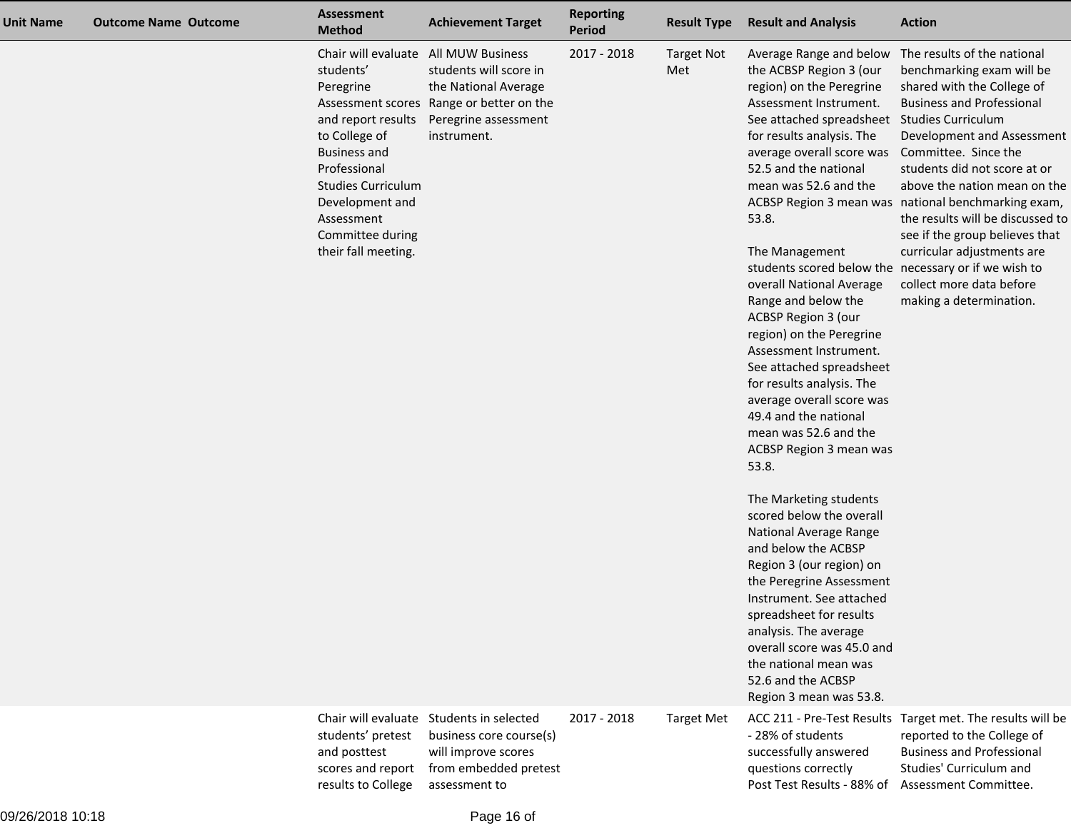| <b>Unit Name</b> | <b>Outcome Name Outcome</b> | <b>Assessment</b><br><b>Method</b>                                                                                                                                                                                                   | <b>Achievement Target</b>                                                                                                                                    | <b>Reporting</b><br><b>Period</b> | <b>Result Type</b>       | <b>Result and Analysis</b>                                                                                                                                                                                                                                                                                                                                                                                                                                                                                                                                                                                                                                                                                                                                                                                                                                                                                                                                                                                                                     | <b>Action</b>                                                                                                                                                                                                                                                                                                                                                                                                                              |
|------------------|-----------------------------|--------------------------------------------------------------------------------------------------------------------------------------------------------------------------------------------------------------------------------------|--------------------------------------------------------------------------------------------------------------------------------------------------------------|-----------------------------------|--------------------------|------------------------------------------------------------------------------------------------------------------------------------------------------------------------------------------------------------------------------------------------------------------------------------------------------------------------------------------------------------------------------------------------------------------------------------------------------------------------------------------------------------------------------------------------------------------------------------------------------------------------------------------------------------------------------------------------------------------------------------------------------------------------------------------------------------------------------------------------------------------------------------------------------------------------------------------------------------------------------------------------------------------------------------------------|--------------------------------------------------------------------------------------------------------------------------------------------------------------------------------------------------------------------------------------------------------------------------------------------------------------------------------------------------------------------------------------------------------------------------------------------|
|                  |                             | Chair will evaluate<br>students'<br>Peregrine<br>and report results<br>to College of<br><b>Business and</b><br>Professional<br><b>Studies Curriculum</b><br>Development and<br>Assessment<br>Committee during<br>their fall meeting. | <b>All MUW Business</b><br>students will score in<br>the National Average<br>Assessment scores Range or better on the<br>Peregrine assessment<br>instrument. | 2017 - 2018                       | <b>Target Not</b><br>Met | Average Range and below<br>the ACBSP Region 3 (our<br>region) on the Peregrine<br>Assessment Instrument.<br>See attached spreadsheet Studies Curriculum<br>for results analysis. The<br>average overall score was Committee. Since the<br>52.5 and the national<br>mean was 52.6 and the<br>53.8.<br>The Management<br>students scored below the necessary or if we wish to<br>overall National Average<br>Range and below the<br>ACBSP Region 3 (our<br>region) on the Peregrine<br>Assessment Instrument.<br>See attached spreadsheet<br>for results analysis. The<br>average overall score was<br>49.4 and the national<br>mean was 52.6 and the<br>ACBSP Region 3 mean was<br>53.8.<br>The Marketing students<br>scored below the overall<br>National Average Range<br>and below the ACBSP<br>Region 3 (our region) on<br>the Peregrine Assessment<br>Instrument. See attached<br>spreadsheet for results<br>analysis. The average<br>overall score was 45.0 and<br>the national mean was<br>52.6 and the ACBSP<br>Region 3 mean was 53.8. | The results of the national<br>benchmarking exam will be<br>shared with the College of<br><b>Business and Professional</b><br>Development and Assessment<br>students did not score at or<br>above the nation mean on the<br>ACBSP Region 3 mean was national benchmarking exam,<br>the results will be discussed to<br>see if the group believes that<br>curricular adjustments are<br>collect more data before<br>making a determination. |
|                  |                             | students' pretest<br>and posttest<br>scores and report<br>results to College                                                                                                                                                         | Chair will evaluate Students in selected<br>business core course(s)<br>will improve scores<br>from embedded pretest<br>assessment to                         | 2017 - 2018                       | <b>Target Met</b>        | - 28% of students<br>successfully answered<br>questions correctly<br>Post Test Results - 88% of Assessment Committee.                                                                                                                                                                                                                                                                                                                                                                                                                                                                                                                                                                                                                                                                                                                                                                                                                                                                                                                          | ACC 211 - Pre-Test Results Target met. The results will be<br>reported to the College of<br><b>Business and Professional</b><br>Studies' Curriculum and                                                                                                                                                                                                                                                                                    |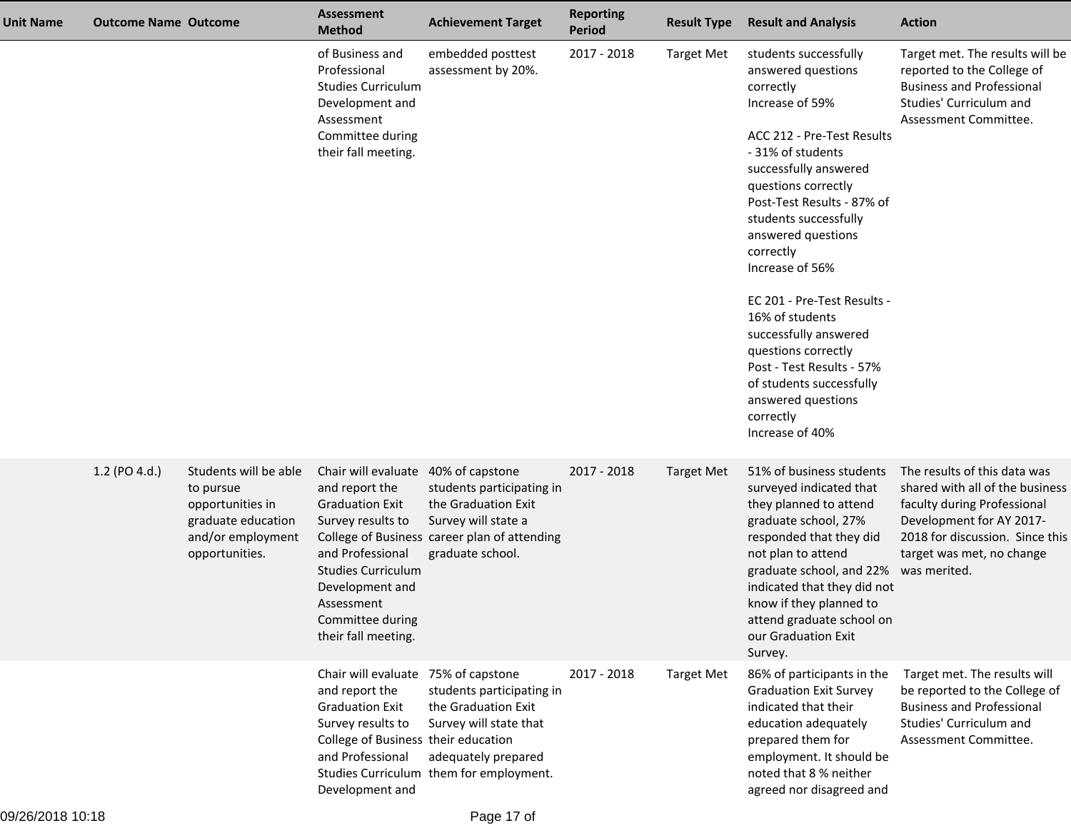| <b>Unit Name</b> | <b>Outcome Name Outcome</b> |                                                                                                                     | <b>Assessment</b><br><b>Method</b>                                                                                                                                                                                                | <b>Achievement Target</b>                                                                                                                    | <b>Reporting</b><br><b>Period</b> | <b>Result Type</b> | <b>Result and Analysis</b>                                                                                                                                                                                                                                                                                                                                                                                                                                                                                  | <b>Action</b>                                                                                                                                                                              |
|------------------|-----------------------------|---------------------------------------------------------------------------------------------------------------------|-----------------------------------------------------------------------------------------------------------------------------------------------------------------------------------------------------------------------------------|----------------------------------------------------------------------------------------------------------------------------------------------|-----------------------------------|--------------------|-------------------------------------------------------------------------------------------------------------------------------------------------------------------------------------------------------------------------------------------------------------------------------------------------------------------------------------------------------------------------------------------------------------------------------------------------------------------------------------------------------------|--------------------------------------------------------------------------------------------------------------------------------------------------------------------------------------------|
|                  |                             |                                                                                                                     | of Business and<br>Professional<br><b>Studies Curriculum</b><br>Development and<br>Assessment<br>Committee during<br>their fall meeting.                                                                                          | embedded posttest<br>assessment by 20%.                                                                                                      | 2017 - 2018                       | <b>Target Met</b>  | students successfully<br>answered questions<br>correctly<br>Increase of 59%<br>ACC 212 - Pre-Test Results<br>-31% of students<br>successfully answered<br>questions correctly<br>Post-Test Results - 87% of<br>students successfully<br>answered questions<br>correctly<br>Increase of 56%<br>EC 201 - Pre-Test Results -<br>16% of students<br>successfully answered<br>questions correctly<br>Post - Test Results - 57%<br>of students successfully<br>answered questions<br>correctly<br>Increase of 40% | Target met. The results will be<br>reported to the College of<br><b>Business and Professional</b><br>Studies' Curriculum and<br>Assessment Committee.                                      |
|                  | 1.2 (PO 4.d.)               | Students will be able<br>to pursue<br>opportunities in<br>graduate education<br>and/or employment<br>opportunities. | Chair will evaluate 40% of capstone<br>and report the<br><b>Graduation Exit</b><br>Survey results to<br>and Professional<br><b>Studies Curriculum</b><br>Development and<br>Assessment<br>Committee during<br>their fall meeting. | students participating in<br>the Graduation Exit<br>Survey will state a<br>College of Business career plan of attending<br>graduate school.  | 2017 - 2018                       | <b>Target Met</b>  | 51% of business students<br>surveyed indicated that<br>they planned to attend<br>graduate school, 27%<br>responded that they did<br>not plan to attend<br>graduate school, and 22% was merited.<br>indicated that they did not<br>know if they planned to<br>attend graduate school on<br>our Graduation Exit<br>Survey.                                                                                                                                                                                    | The results of this data was<br>shared with all of the business<br>faculty during Professional<br>Development for AY 2017-<br>2018 for discussion. Since this<br>target was met, no change |
|                  |                             |                                                                                                                     | Chair will evaluate 75% of capstone<br>and report the<br><b>Graduation Exit</b><br>Survey results to<br>College of Business their education<br>and Professional<br>Development and                                                | students participating in<br>the Graduation Exit<br>Survey will state that<br>adequately prepared<br>Studies Curriculum them for employment. | 2017 - 2018                       | <b>Target Met</b>  | 86% of participants in the<br><b>Graduation Exit Survey</b><br>indicated that their<br>education adequately<br>prepared them for<br>employment. It should be<br>noted that 8 % neither<br>agreed nor disagreed and                                                                                                                                                                                                                                                                                          | Target met. The results will<br>be reported to the College of<br><b>Business and Professional</b><br>Studies' Curriculum and<br>Assessment Committee.                                      |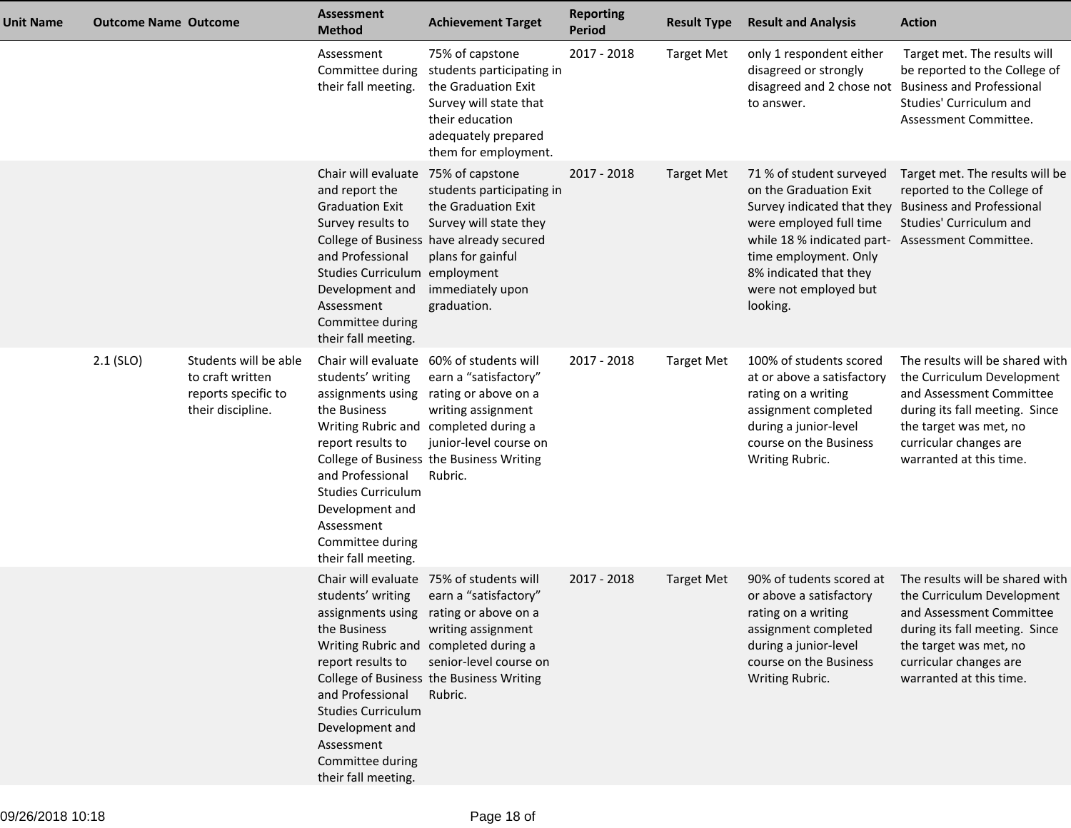| <b>Unit Name</b> | <b>Outcome Name Outcome</b> |                                                                                       | <b>Assessment</b><br><b>Method</b>                                                                                                                                                                                                                    | <b>Achievement Target</b>                                                                                                                                                                                                               | <b>Reporting</b><br><b>Period</b> | <b>Result Type</b> | <b>Result and Analysis</b>                                                                                                                                                                                                                              | <b>Action</b>                                                                                                                                                                                              |
|------------------|-----------------------------|---------------------------------------------------------------------------------------|-------------------------------------------------------------------------------------------------------------------------------------------------------------------------------------------------------------------------------------------------------|-----------------------------------------------------------------------------------------------------------------------------------------------------------------------------------------------------------------------------------------|-----------------------------------|--------------------|---------------------------------------------------------------------------------------------------------------------------------------------------------------------------------------------------------------------------------------------------------|------------------------------------------------------------------------------------------------------------------------------------------------------------------------------------------------------------|
|                  |                             |                                                                                       | Assessment<br>Committee during<br>their fall meeting.                                                                                                                                                                                                 | 75% of capstone<br>students participating in<br>the Graduation Exit<br>Survey will state that<br>their education<br>adequately prepared<br>them for employment.                                                                         | 2017 - 2018                       | <b>Target Met</b>  | only 1 respondent either<br>disagreed or strongly<br>disagreed and 2 chose not Business and Professional<br>to answer.                                                                                                                                  | Target met. The results will<br>be reported to the College of<br>Studies' Curriculum and<br>Assessment Committee.                                                                                          |
|                  |                             |                                                                                       | Chair will evaluate<br>and report the<br><b>Graduation Exit</b><br>Survey results to<br>and Professional<br>Studies Curriculum employment<br>Development and<br>Assessment<br>Committee during<br>their fall meeting.                                 | 75% of capstone<br>students participating in<br>the Graduation Exit<br>Survey will state they<br>College of Business have already secured<br>plans for gainful<br>immediately upon<br>graduation.                                       | 2017 - 2018                       | <b>Target Met</b>  | 71 % of student surveyed<br>on the Graduation Exit<br>Survey indicated that they<br>were employed full time<br>while 18 % indicated part- Assessment Committee.<br>time employment. Only<br>8% indicated that they<br>were not employed but<br>looking. | Target met. The results will be<br>reported to the College of<br><b>Business and Professional</b><br>Studies' Curriculum and                                                                               |
|                  | $2.1$ (SLO)                 | Students will be able<br>to craft written<br>reports specific to<br>their discipline. | Chair will evaluate<br>students' writing<br>assignments using<br>the Business<br>Writing Rubric and<br>report results to<br>and Professional<br><b>Studies Curriculum</b><br>Development and<br>Assessment<br>Committee during<br>their fall meeting. | 60% of students will<br>earn a "satisfactory"<br>rating or above on a<br>writing assignment<br>completed during a<br>junior-level course on<br>College of Business the Business Writing<br>Rubric.                                      | 2017 - 2018                       | <b>Target Met</b>  | 100% of students scored<br>at or above a satisfactory<br>rating on a writing<br>assignment completed<br>during a junior-level<br>course on the Business<br>Writing Rubric.                                                                              | The results will be shared with<br>the Curriculum Development<br>and Assessment Committee<br>during its fall meeting. Since<br>the target was met, no<br>curricular changes are<br>warranted at this time. |
|                  |                             |                                                                                       | Chair will evaluate<br>students' writing<br>the Business<br>report results to<br>and Professional<br><b>Studies Curriculum</b><br>Development and<br>Assessment<br>Committee during<br>their fall meeting.                                            | 75% of students will<br>earn a "satisfactory"<br>assignments using rating or above on a<br>writing assignment<br>Writing Rubric and completed during a<br>senior-level course on<br>College of Business the Business Writing<br>Rubric. | 2017 - 2018                       | <b>Target Met</b>  | 90% of tudents scored at<br>or above a satisfactory<br>rating on a writing<br>assignment completed<br>during a junior-level<br>course on the Business<br>Writing Rubric.                                                                                | The results will be shared with<br>the Curriculum Development<br>and Assessment Committee<br>during its fall meeting. Since<br>the target was met, no<br>curricular changes are<br>warranted at this time. |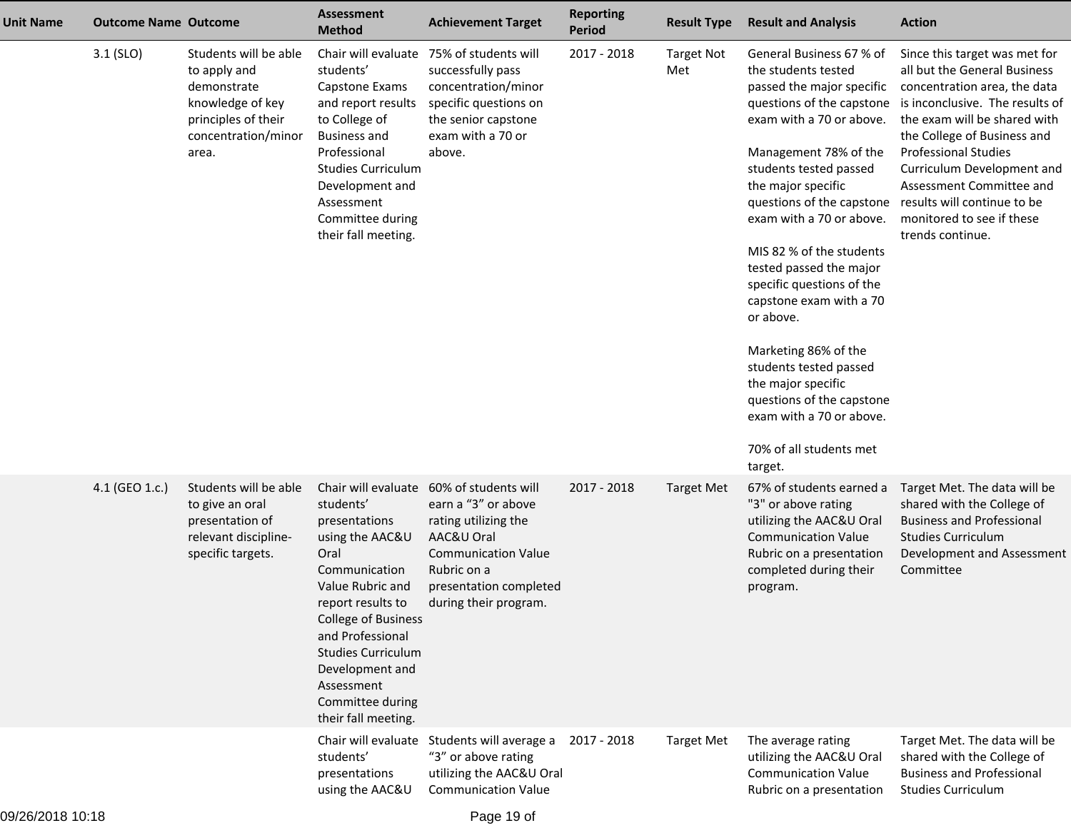| Unit Name | <b>Outcome Name Outcome</b> |                                                                                                                                 | <b>Assessment</b><br><b>Method</b>                                                                                                                                                                                                                                                                | <b>Achievement Target</b>                                                                                                                                                         | <b>Reporting</b><br><b>Period</b> | <b>Result Type</b>       | <b>Result and Analysis</b>                                                                                                                                                                                                                                                                                                                                                                                                                                                                                                                                                                             | <b>Action</b>                                                                                                                                                                                                                                                                                                                             |
|-----------|-----------------------------|---------------------------------------------------------------------------------------------------------------------------------|---------------------------------------------------------------------------------------------------------------------------------------------------------------------------------------------------------------------------------------------------------------------------------------------------|-----------------------------------------------------------------------------------------------------------------------------------------------------------------------------------|-----------------------------------|--------------------------|--------------------------------------------------------------------------------------------------------------------------------------------------------------------------------------------------------------------------------------------------------------------------------------------------------------------------------------------------------------------------------------------------------------------------------------------------------------------------------------------------------------------------------------------------------------------------------------------------------|-------------------------------------------------------------------------------------------------------------------------------------------------------------------------------------------------------------------------------------------------------------------------------------------------------------------------------------------|
|           | $3.1$ (SLO)                 | Students will be able<br>to apply and<br>demonstrate<br>knowledge of key<br>principles of their<br>concentration/minor<br>area. | Chair will evaluate<br>students'<br>Capstone Exams<br>and report results<br>to College of<br><b>Business and</b><br>Professional<br><b>Studies Curriculum</b><br>Development and<br>Assessment<br>Committee during<br>their fall meeting.                                                         | 75% of students will<br>successfully pass<br>concentration/minor<br>specific questions on<br>the senior capstone<br>exam with a 70 or<br>above.                                   | 2017 - 2018                       | <b>Target Not</b><br>Met | General Business 67 % of<br>the students tested<br>passed the major specific<br>questions of the capstone<br>exam with a 70 or above.<br>Management 78% of the<br>students tested passed<br>the major specific<br>questions of the capstone results will continue to be<br>exam with a 70 or above.<br>MIS 82 % of the students<br>tested passed the major<br>specific questions of the<br>capstone exam with a 70<br>or above.<br>Marketing 86% of the<br>students tested passed<br>the major specific<br>questions of the capstone<br>exam with a 70 or above.<br>70% of all students met<br>target. | Since this target was met for<br>all but the General Business<br>concentration area, the data<br>is inconclusive. The results of<br>the exam will be shared with<br>the College of Business and<br><b>Professional Studies</b><br>Curriculum Development and<br>Assessment Committee and<br>monitored to see if these<br>trends continue. |
|           | 4.1 (GEO 1.c.)              | Students will be able<br>to give an oral<br>presentation of<br>relevant discipline-<br>specific targets.                        | Chair will evaluate<br>students'<br>presentations<br>using the AAC&U<br>Oral<br>Communication<br>Value Rubric and<br>report results to<br><b>College of Business</b><br>and Professional<br><b>Studies Curriculum</b><br>Development and<br>Assessment<br>Committee during<br>their fall meeting. | 60% of students will<br>earn a "3" or above<br>rating utilizing the<br>AAC&U Oral<br><b>Communication Value</b><br>Rubric on a<br>presentation completed<br>during their program. | 2017 - 2018                       | <b>Target Met</b>        | 67% of students earned a<br>"3" or above rating<br>utilizing the AAC&U Oral<br><b>Communication Value</b><br>Rubric on a presentation<br>completed during their<br>program.                                                                                                                                                                                                                                                                                                                                                                                                                            | Target Met. The data will be<br>shared with the College of<br><b>Business and Professional</b><br><b>Studies Curriculum</b><br>Development and Assessment<br>Committee                                                                                                                                                                    |
|           |                             |                                                                                                                                 | students'<br>presentations<br>using the AAC&U                                                                                                                                                                                                                                                     | Chair will evaluate Students will average a<br>"3" or above rating<br>utilizing the AAC&U Oral<br><b>Communication Value</b>                                                      | 2017 - 2018                       | <b>Target Met</b>        | The average rating<br>utilizing the AAC&U Oral<br><b>Communication Value</b><br>Rubric on a presentation                                                                                                                                                                                                                                                                                                                                                                                                                                                                                               | Target Met. The data will be<br>shared with the College of<br><b>Business and Professional</b><br><b>Studies Curriculum</b>                                                                                                                                                                                                               |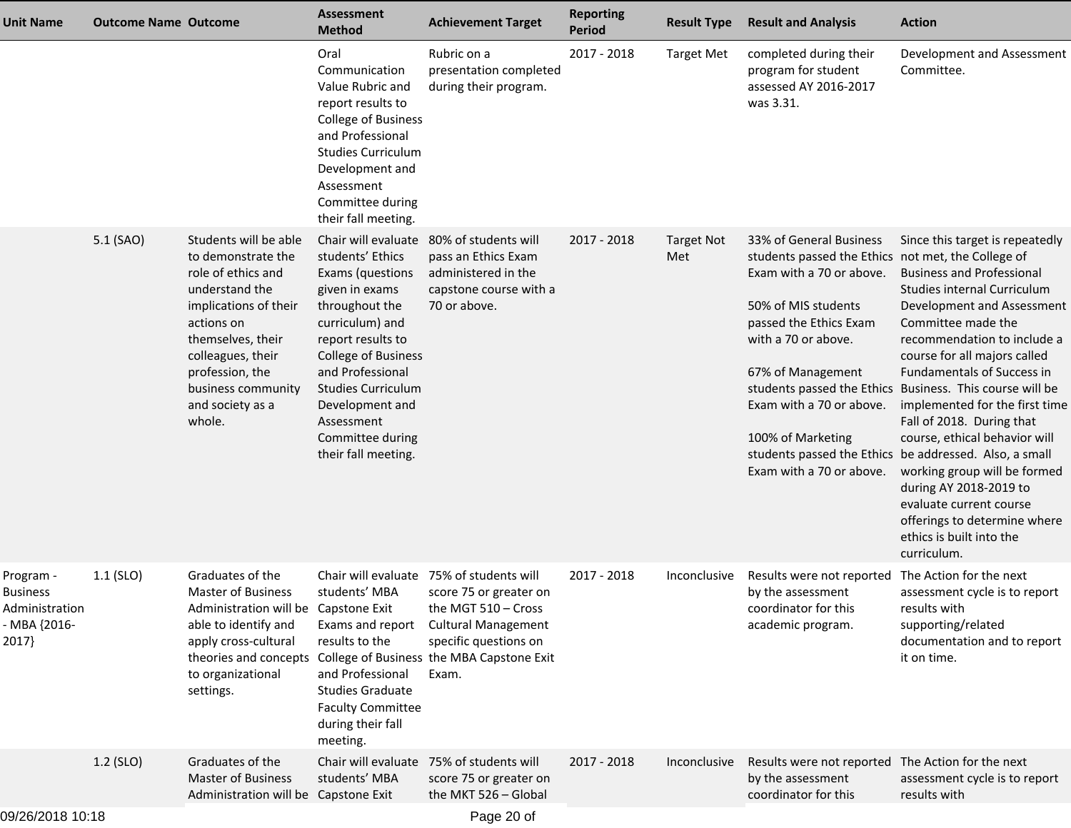| <b>Unit Name</b>                                                        | <b>Outcome Name Outcome</b> |                                                                                                                                                                                                                                             | <b>Assessment</b><br><b>Method</b>                                                                                                                                                                                                                                          | <b>Achievement Target</b>                                                                                                                                                                                                                | <b>Reporting</b><br><b>Period</b> | <b>Result Type</b>       | <b>Result and Analysis</b>                                                                                                                                                                                                                                                          | <b>Action</b>                                                                                                                                                                                                                                                                                                                                                                                                                                                                                                                                                                                                                                    |
|-------------------------------------------------------------------------|-----------------------------|---------------------------------------------------------------------------------------------------------------------------------------------------------------------------------------------------------------------------------------------|-----------------------------------------------------------------------------------------------------------------------------------------------------------------------------------------------------------------------------------------------------------------------------|------------------------------------------------------------------------------------------------------------------------------------------------------------------------------------------------------------------------------------------|-----------------------------------|--------------------------|-------------------------------------------------------------------------------------------------------------------------------------------------------------------------------------------------------------------------------------------------------------------------------------|--------------------------------------------------------------------------------------------------------------------------------------------------------------------------------------------------------------------------------------------------------------------------------------------------------------------------------------------------------------------------------------------------------------------------------------------------------------------------------------------------------------------------------------------------------------------------------------------------------------------------------------------------|
|                                                                         |                             |                                                                                                                                                                                                                                             | Oral<br>Communication<br>Value Rubric and<br>report results to<br>College of Business<br>and Professional<br><b>Studies Curriculum</b><br>Development and<br>Assessment<br>Committee during<br>their fall meeting.                                                          | Rubric on a<br>presentation completed<br>during their program.                                                                                                                                                                           | 2017 - 2018                       | <b>Target Met</b>        | completed during their<br>program for student<br>assessed AY 2016-2017<br>was 3.31.                                                                                                                                                                                                 | Development and Assessment<br>Committee.                                                                                                                                                                                                                                                                                                                                                                                                                                                                                                                                                                                                         |
|                                                                         | 5.1 (SAO)                   | Students will be able<br>to demonstrate the<br>role of ethics and<br>understand the<br>implications of their<br>actions on<br>themselves, their<br>colleagues, their<br>profession, the<br>business community<br>and society as a<br>whole. | students' Ethics<br>Exams (questions<br>given in exams<br>throughout the<br>curriculum) and<br>report results to<br><b>College of Business</b><br>and Professional<br><b>Studies Curriculum</b><br>Development and<br>Assessment<br>Committee during<br>their fall meeting. | Chair will evaluate 80% of students will<br>pass an Ethics Exam<br>administered in the<br>capstone course with a<br>70 or above.                                                                                                         | 2017 - 2018                       | <b>Target Not</b><br>Met | 33% of General Business<br>students passed the Ethics not met, the College of<br>Exam with a 70 or above.<br>50% of MIS students<br>passed the Ethics Exam<br>with a 70 or above.<br>67% of Management<br>Exam with a 70 or above.<br>100% of Marketing<br>Exam with a 70 or above. | Since this target is repeatedly<br><b>Business and Professional</b><br>Studies internal Curriculum<br>Development and Assessment<br>Committee made the<br>recommendation to include a<br>course for all majors called<br><b>Fundamentals of Success in</b><br>students passed the Ethics Business. This course will be<br>implemented for the first time<br>Fall of 2018. During that<br>course, ethical behavior will<br>students passed the Ethics be addressed. Also, a small<br>working group will be formed<br>during AY 2018-2019 to<br>evaluate current course<br>offerings to determine where<br>ethics is built into the<br>curriculum. |
| Program -<br><b>Business</b><br>Administration<br>- MBA {2016-<br>2017} | $1.1$ (SLO)                 | Graduates of the<br><b>Master of Business</b><br>Administration will be Capstone Exit<br>able to identify and<br>apply cross-cultural<br>to organizational<br>settings.                                                                     | students' MBA<br>results to the<br>and Professional<br><b>Studies Graduate</b><br><b>Faculty Committee</b><br>during their fall<br>meeting.                                                                                                                                 | Chair will evaluate 75% of students will<br>score 75 or greater on<br>the MGT $510 - Cross$<br>Exams and report Cultural Management<br>specific questions on<br>theories and concepts College of Business the MBA Capstone Exit<br>Exam. | 2017 - 2018                       | Inconclusive             | Results were not reported The Action for the next<br>by the assessment<br>coordinator for this<br>academic program.                                                                                                                                                                 | assessment cycle is to report<br>results with<br>supporting/related<br>documentation and to report<br>it on time.                                                                                                                                                                                                                                                                                                                                                                                                                                                                                                                                |
|                                                                         | $1.2$ (SLO)                 | Graduates of the<br><b>Master of Business</b><br>Administration will be Capstone Exit                                                                                                                                                       | students' MBA                                                                                                                                                                                                                                                               | Chair will evaluate 75% of students will<br>score 75 or greater on<br>the MKT 526 - Global                                                                                                                                               | 2017 - 2018                       | Inconclusive             | Results were not reported The Action for the next<br>by the assessment<br>coordinator for this                                                                                                                                                                                      | assessment cycle is to report<br>results with                                                                                                                                                                                                                                                                                                                                                                                                                                                                                                                                                                                                    |
| $0.00000000000000$                                                      |                             |                                                                                                                                                                                                                                             |                                                                                                                                                                                                                                                                             | <b>D</b> 00 - f                                                                                                                                                                                                                          |                                   |                          |                                                                                                                                                                                                                                                                                     |                                                                                                                                                                                                                                                                                                                                                                                                                                                                                                                                                                                                                                                  |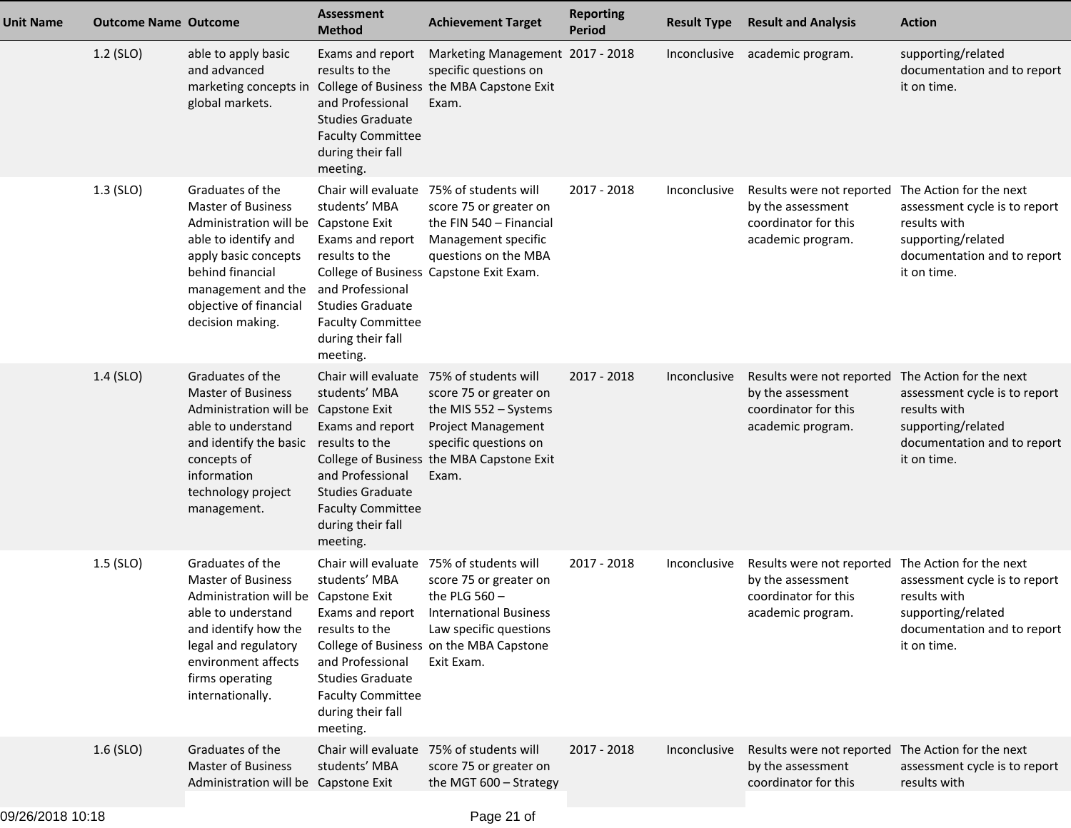| <b>Unit Name</b> | <b>Outcome Name Outcome</b> |                                                                                                                                                                                                                                                | <b>Assessment</b><br><b>Method</b>                                                                                                             | <b>Achievement Target</b>                                                                                                                                                                                           | <b>Reporting</b><br><b>Period</b> | <b>Result Type</b> | <b>Result and Analysis</b>                                                                                          | <b>Action</b>                                                                                                     |
|------------------|-----------------------------|------------------------------------------------------------------------------------------------------------------------------------------------------------------------------------------------------------------------------------------------|------------------------------------------------------------------------------------------------------------------------------------------------|---------------------------------------------------------------------------------------------------------------------------------------------------------------------------------------------------------------------|-----------------------------------|--------------------|---------------------------------------------------------------------------------------------------------------------|-------------------------------------------------------------------------------------------------------------------|
|                  | $1.2$ (SLO)                 | able to apply basic<br>and advanced<br>marketing concepts in<br>global markets.                                                                                                                                                                | Exams and report<br>results to the<br>and Professional<br><b>Studies Graduate</b><br><b>Faculty Committee</b><br>during their fall<br>meeting. | Marketing Management 2017 - 2018<br>specific questions on<br>College of Business the MBA Capstone Exit<br>Exam.                                                                                                     |                                   |                    | Inconclusive academic program.                                                                                      | supporting/related<br>documentation and to report<br>it on time.                                                  |
|                  | $1.3$ (SLO)                 | Graduates of the<br><b>Master of Business</b><br>Administration will be Capstone Exit<br>able to identify and<br>apply basic concepts<br>behind financial<br>management and the and Professional<br>objective of financial<br>decision making. | students' MBA<br>Exams and report<br>results to the<br><b>Studies Graduate</b><br><b>Faculty Committee</b><br>during their fall<br>meeting.    | Chair will evaluate 75% of students will<br>score 75 or greater on<br>the FIN 540 - Financial<br>Management specific<br>questions on the MBA<br>College of Business Capstone Exit Exam.                             | 2017 - 2018                       | Inconclusive       | Results were not reported The Action for the next<br>by the assessment<br>coordinator for this<br>academic program. | assessment cycle is to report<br>results with<br>supporting/related<br>documentation and to report<br>it on time. |
|                  | $1.4$ (SLO)                 | Graduates of the<br><b>Master of Business</b><br>Administration will be Capstone Exit<br>able to understand<br>and identify the basic results to the<br>concepts of<br>information<br>technology project<br>management.                        | students' MBA<br>Exams and report<br>and Professional<br><b>Studies Graduate</b><br><b>Faculty Committee</b><br>during their fall<br>meeting.  | Chair will evaluate 75% of students will<br>score 75 or greater on<br>the MIS $552 - Systems$<br><b>Project Management</b><br>specific questions on<br>College of Business the MBA Capstone Exit<br>Exam.           | $2017 - 2018$                     | Inconclusive       | Results were not reported The Action for the next<br>by the assessment<br>coordinator for this<br>academic program. | assessment cycle is to report<br>results with<br>supporting/related<br>documentation and to report<br>it on time. |
|                  | $1.5$ (SLO)                 | Graduates of the<br><b>Master of Business</b><br>Administration will be Capstone Exit<br>able to understand<br>and identify how the<br>legal and regulatory<br>environment affects<br>firms operating<br>internationally.                      | students' MBA<br>results to the<br>and Professional<br><b>Studies Graduate</b><br><b>Faculty Committee</b><br>during their fall<br>meeting.    | Chair will evaluate 75% of students will<br>score 75 or greater on<br>the PLG $560 -$<br>Exams and report International Business<br>Law specific questions<br>College of Business on the MBA Capstone<br>Exit Exam. | 2017 - 2018                       | Inconclusive       | Results were not reported The Action for the next<br>by the assessment<br>coordinator for this<br>academic program. | assessment cycle is to report<br>results with<br>supporting/related<br>documentation and to report<br>it on time. |
|                  | $1.6$ (SLO)                 | Graduates of the<br><b>Master of Business</b><br>Administration will be Capstone Exit                                                                                                                                                          | students' MBA                                                                                                                                  | Chair will evaluate 75% of students will<br>score 75 or greater on<br>the MGT 600 - Strategy                                                                                                                        | 2017 - 2018                       | Inconclusive       | Results were not reported The Action for the next<br>by the assessment<br>coordinator for this                      | assessment cycle is to report<br>results with                                                                     |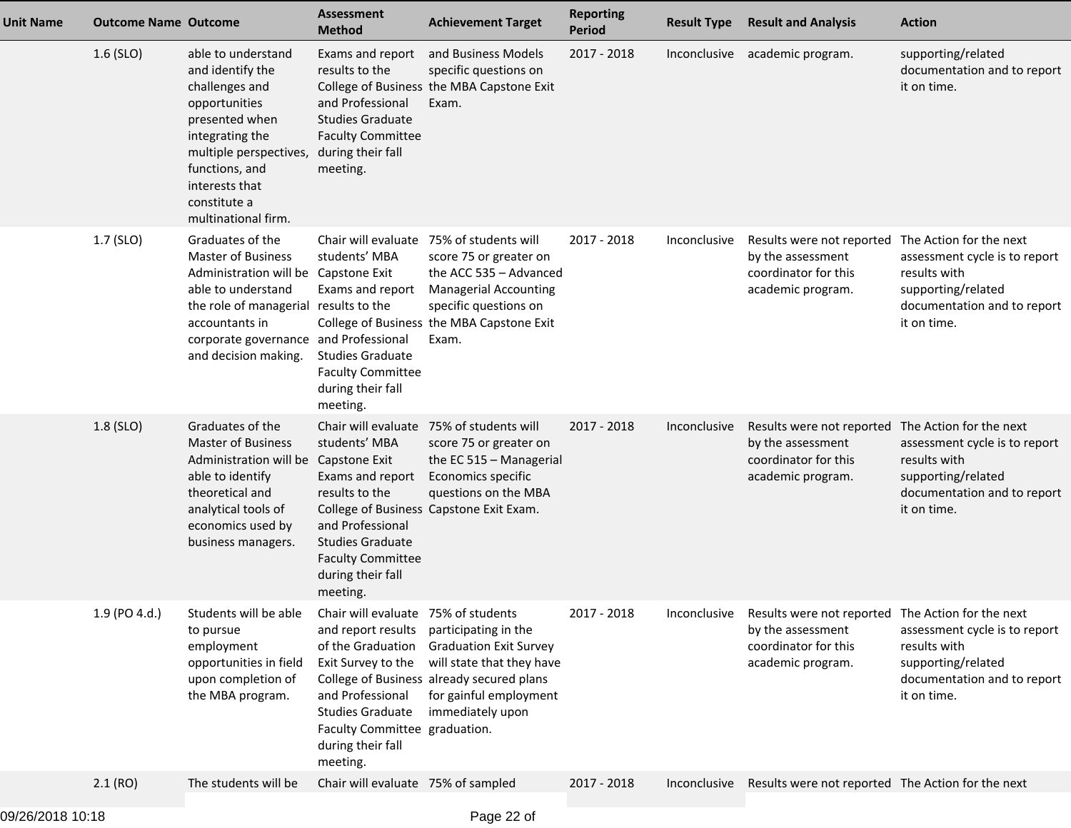| <b>Unit Name</b> | <b>Outcome Name Outcome</b> |                                                                                                                                                                                                                                         | <b>Assessment</b><br><b>Method</b>                                                                                                                                                                                                         | <b>Achievement Target</b>                                                                                                                                                                                   | <b>Reporting</b><br><b>Period</b> | <b>Result Type</b> | <b>Result and Analysis</b>                                                                                                       | <b>Action</b>                                                                                                                                |
|------------------|-----------------------------|-----------------------------------------------------------------------------------------------------------------------------------------------------------------------------------------------------------------------------------------|--------------------------------------------------------------------------------------------------------------------------------------------------------------------------------------------------------------------------------------------|-------------------------------------------------------------------------------------------------------------------------------------------------------------------------------------------------------------|-----------------------------------|--------------------|----------------------------------------------------------------------------------------------------------------------------------|----------------------------------------------------------------------------------------------------------------------------------------------|
|                  | $1.6$ (SLO)                 | able to understand<br>and identify the<br>challenges and<br>opportunities<br>presented when<br>integrating the<br>multiple perspectives,<br>functions, and<br>interests that<br>constitute a<br>multinational firm.                     | Exams and report<br>results to the<br>and Professional<br><b>Studies Graduate</b><br><b>Faculty Committee</b><br>during their fall<br>meeting.                                                                                             | and Business Models<br>specific questions on<br>College of Business the MBA Capstone Exit<br>Exam.                                                                                                          | 2017 - 2018                       |                    | Inconclusive academic program.                                                                                                   | supporting/related<br>documentation and to report<br>it on time.                                                                             |
|                  | 1.7 (SLO)                   | Graduates of the<br><b>Master of Business</b><br>Administration will be Capstone Exit<br>able to understand<br>the role of managerial results to the<br>accountants in<br>corporate governance and Professional<br>and decision making. | students' MBA<br>Exams and report<br><b>Studies Graduate</b><br><b>Faculty Committee</b><br>during their fall<br>meeting.                                                                                                                  | Chair will evaluate 75% of students will<br>score 75 or greater on<br>the ACC 535 - Advanced<br><b>Managerial Accounting</b><br>specific questions on<br>College of Business the MBA Capstone Exit<br>Exam. | 2017 - 2018                       | Inconclusive       | Results were not reported<br>by the assessment<br>coordinator for this<br>academic program.                                      | The Action for the next<br>assessment cycle is to report<br>results with<br>supporting/related<br>documentation and to report<br>it on time. |
|                  | 1.8 (SLO)                   | Graduates of the<br><b>Master of Business</b><br>Administration will be Capstone Exit<br>able to identify<br>theoretical and<br>analytical tools of<br>economics used by<br>business managers.                                          | students' MBA<br>Exams and report<br>results to the<br>and Professional<br><b>Studies Graduate</b><br><b>Faculty Committee</b><br>during their fall<br>meeting.                                                                            | Chair will evaluate 75% of students will<br>score 75 or greater on<br>the EC 515 - Managerial<br>Economics specific<br>questions on the MBA<br>College of Business Capstone Exit Exam.                      | 2017 - 2018                       | Inconclusive       | Results were not reported<br>by the assessment<br>coordinator for this<br>academic program.                                      | The Action for the next<br>assessment cycle is to report<br>results with<br>supporting/related<br>documentation and to report<br>it on time. |
|                  | 1.9 (PO 4.d.)               | Students will be able<br>to pursue<br>employment<br>opportunities in field<br>upon completion of<br>the MBA program.                                                                                                                    | Chair will evaluate 75% of students<br>and report results participating in the<br>of the Graduation<br>Exit Survey to the<br>and Professional<br><b>Studies Graduate</b><br>Faculty Committee graduation.<br>during their fall<br>meeting. | <b>Graduation Exit Survey</b><br>will state that they have<br>College of Business already secured plans<br>for gainful employment<br>immediately upon                                                       | 2017 - 2018                       |                    | Inconclusive Results were not reported The Action for the next<br>by the assessment<br>coordinator for this<br>academic program. | assessment cycle is to report<br>results with<br>supporting/related<br>documentation and to report<br>it on time.                            |
|                  | 2.1(RO)                     | The students will be                                                                                                                                                                                                                    | Chair will evaluate 75% of sampled                                                                                                                                                                                                         |                                                                                                                                                                                                             | 2017 - 2018                       | Inconclusive       | Results were not reported The Action for the next                                                                                |                                                                                                                                              |
|                  |                             |                                                                                                                                                                                                                                         |                                                                                                                                                                                                                                            |                                                                                                                                                                                                             |                                   |                    |                                                                                                                                  |                                                                                                                                              |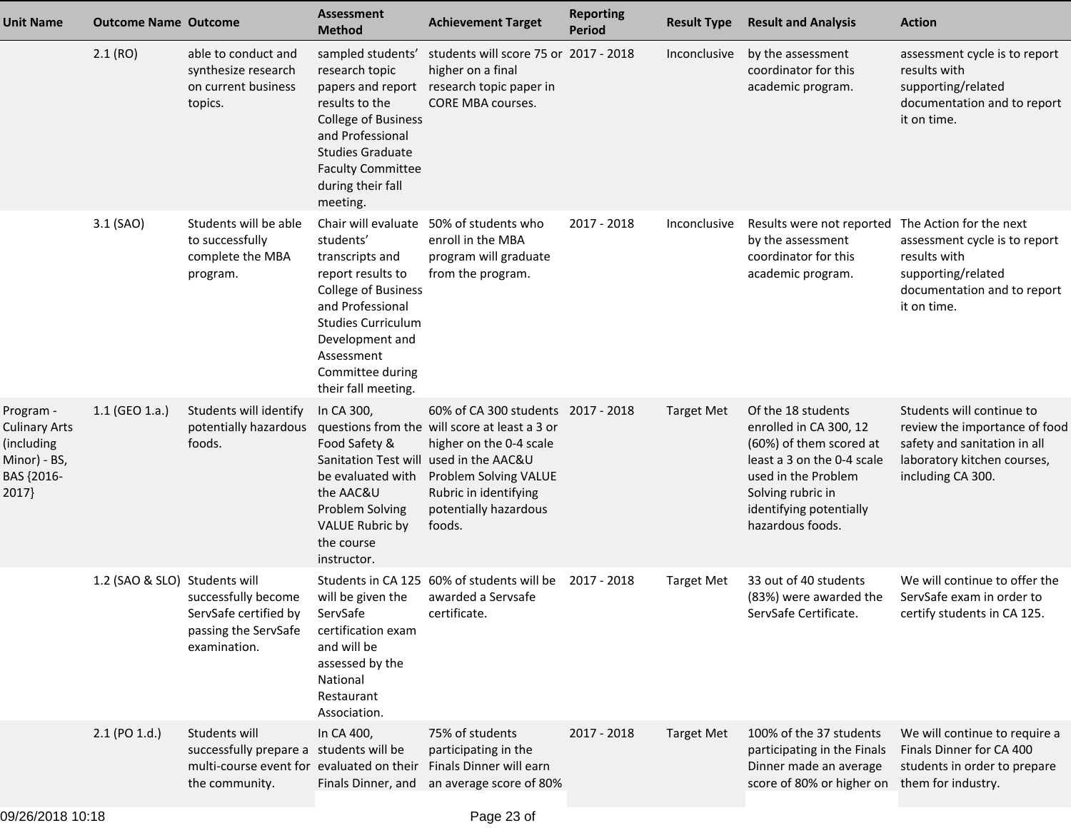| <b>Unit Name</b>                                                                | <b>Outcome Name Outcome</b>   |                                                                                                                         | <b>Assessment</b><br><b>Method</b>                                                                                                                                                                                                  | <b>Achievement Target</b>                                                                                                                                                                           | <b>Reporting</b><br><b>Period</b> | <b>Result Type</b> | <b>Result and Analysis</b>                                                                                                                                                                       | <b>Action</b>                                                                                                                                  |
|---------------------------------------------------------------------------------|-------------------------------|-------------------------------------------------------------------------------------------------------------------------|-------------------------------------------------------------------------------------------------------------------------------------------------------------------------------------------------------------------------------------|-----------------------------------------------------------------------------------------------------------------------------------------------------------------------------------------------------|-----------------------------------|--------------------|--------------------------------------------------------------------------------------------------------------------------------------------------------------------------------------------------|------------------------------------------------------------------------------------------------------------------------------------------------|
|                                                                                 | 2.1(RO)                       | able to conduct and<br>synthesize research<br>on current business<br>topics.                                            | sampled students'<br>research topic<br>papers and report<br>results to the<br><b>College of Business</b><br>and Professional<br><b>Studies Graduate</b><br><b>Faculty Committee</b><br>during their fall<br>meeting.                | students will score 75 or 2017 - 2018<br>higher on a final<br>research topic paper in<br><b>CORE MBA courses.</b>                                                                                   |                                   | Inconclusive       | by the assessment<br>coordinator for this<br>academic program.                                                                                                                                   | assessment cycle is to report<br>results with<br>supporting/related<br>documentation and to report<br>it on time.                              |
|                                                                                 | 3.1 (SAO)                     | Students will be able<br>to successfully<br>complete the MBA<br>program.                                                | Chair will evaluate<br>students'<br>transcripts and<br>report results to<br><b>College of Business</b><br>and Professional<br><b>Studies Curriculum</b><br>Development and<br>Assessment<br>Committee during<br>their fall meeting. | 50% of students who<br>enroll in the MBA<br>program will graduate<br>from the program.                                                                                                              | 2017 - 2018                       | Inconclusive       | Results were not reported The Action for the next<br>by the assessment<br>coordinator for this<br>academic program.                                                                              | assessment cycle is to report<br>results with<br>supporting/related<br>documentation and to report<br>it on time.                              |
| Program -<br>Culinary Arts<br>(including<br>Minor) - BS,<br>BAS {2016-<br>2017} | $1.1$ (GEO 1.a.)              | Students will identify<br>potentially hazardous<br>foods.                                                               | In CA 300,<br>Food Safety &<br>Sanitation Test will used in the AAC&U<br>be evaluated with<br>the AAC&U<br>Problem Solving<br><b>VALUE Rubric by</b><br>the course<br>instructor.                                                   | 60% of CA 300 students 2017 - 2018<br>questions from the will score at least a 3 or<br>higher on the 0-4 scale<br>Problem Solving VALUE<br>Rubric in identifying<br>potentially hazardous<br>foods. |                                   | <b>Target Met</b>  | Of the 18 students<br>enrolled in CA 300, 12<br>(60%) of them scored at<br>least a 3 on the 0-4 scale<br>used in the Problem<br>Solving rubric in<br>identifying potentially<br>hazardous foods. | Students will continue to<br>review the importance of food<br>safety and sanitation in all<br>laboratory kitchen courses,<br>including CA 300. |
|                                                                                 | 1.2 (SAO & SLO) Students will | successfully become<br>ServSafe certified by<br>passing the ServSafe<br>examination.                                    | will be given the<br>ServSafe<br>certification exam<br>and will be<br>assessed by the<br>National<br>Restaurant<br>Association.                                                                                                     | Students in CA 125 60% of students will be<br>awarded a Servsafe<br>certificate.                                                                                                                    | 2017 - 2018                       | <b>Target Met</b>  | 33 out of 40 students<br>(83%) were awarded the<br>ServSafe Certificate.                                                                                                                         | We will continue to offer the<br>ServSafe exam in order to<br>certify students in CA 125.                                                      |
|                                                                                 | 2.1 (PO 1.d.)                 | Students will<br>successfully prepare a students will be<br>multi-course event for evaluated on their<br>the community. | In CA 400,                                                                                                                                                                                                                          | 75% of students<br>participating in the<br>Finals Dinner will earn<br>Finals Dinner, and an average score of 80%                                                                                    | 2017 - 2018                       | <b>Target Met</b>  | 100% of the 37 students<br>participating in the Finals<br>Dinner made an average<br>score of 80% or higher on                                                                                    | We will continue to require a<br>Finals Dinner for CA 400<br>students in order to prepare<br>them for industry.                                |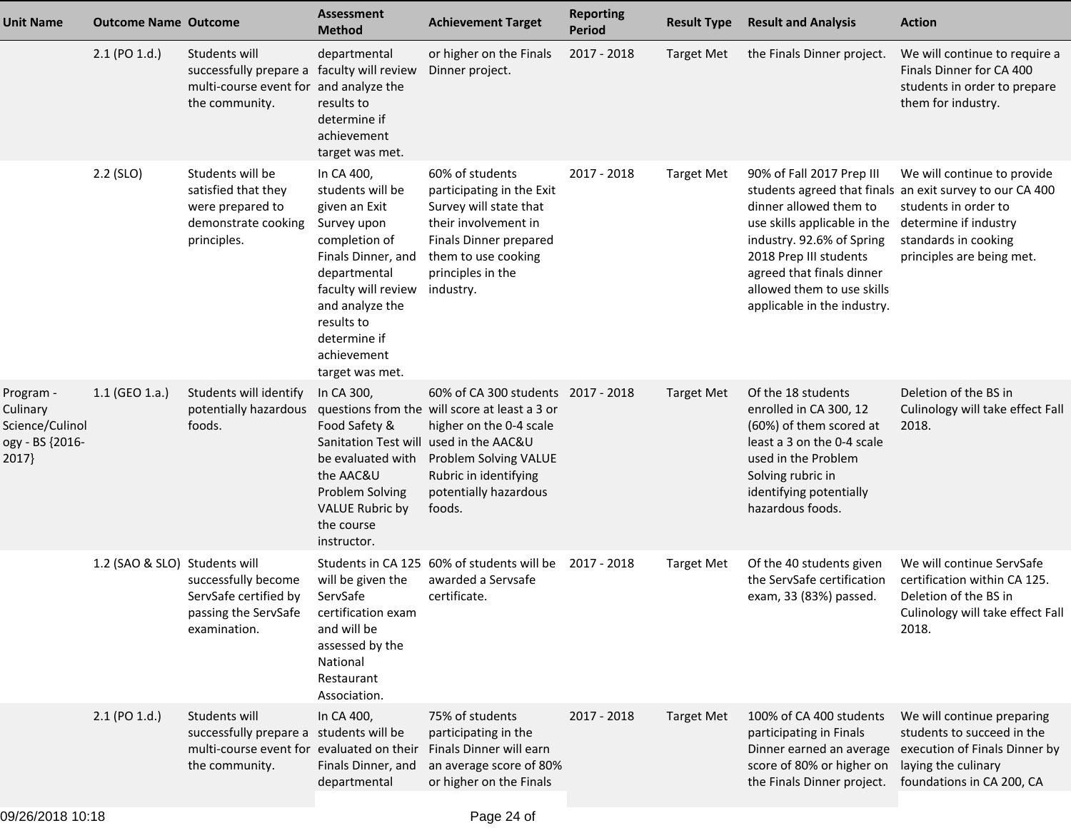| <b>Unit Name</b>                                                     | <b>Outcome Name Outcome</b>   |                                                                                                                         | <b>Assessment</b><br><b>Method</b>                                                                                                                                                                                              | <b>Achievement Target</b>                                                                                                                                                                           | <b>Reporting</b><br><b>Period</b> | <b>Result Type</b> | <b>Result and Analysis</b>                                                                                                                                                                                                           | <b>Action</b>                                                                                                                                                                                 |
|----------------------------------------------------------------------|-------------------------------|-------------------------------------------------------------------------------------------------------------------------|---------------------------------------------------------------------------------------------------------------------------------------------------------------------------------------------------------------------------------|-----------------------------------------------------------------------------------------------------------------------------------------------------------------------------------------------------|-----------------------------------|--------------------|--------------------------------------------------------------------------------------------------------------------------------------------------------------------------------------------------------------------------------------|-----------------------------------------------------------------------------------------------------------------------------------------------------------------------------------------------|
|                                                                      | $2.1$ (PO $1.d.$ )            | Students will<br>successfully prepare a faculty will review<br>multi-course event for and analyze the<br>the community. | departmental<br>results to<br>determine if<br>achievement<br>target was met.                                                                                                                                                    | or higher on the Finals<br>Dinner project.                                                                                                                                                          | 2017 - 2018                       | <b>Target Met</b>  | the Finals Dinner project.                                                                                                                                                                                                           | We will continue to require a<br>Finals Dinner for CA 400<br>students in order to prepare<br>them for industry.                                                                               |
|                                                                      | 2.2 (SLO)                     | Students will be<br>satisfied that they<br>were prepared to<br>demonstrate cooking<br>principles.                       | In CA 400,<br>students will be<br>given an Exit<br>Survey upon<br>completion of<br>Finals Dinner, and<br>departmental<br>faculty will review<br>and analyze the<br>results to<br>determine if<br>achievement<br>target was met. | 60% of students<br>participating in the Exit<br>Survey will state that<br>their involvement in<br>Finals Dinner prepared<br>them to use cooking<br>principles in the<br>industry.                   | 2017 - 2018                       | <b>Target Met</b>  | 90% of Fall 2017 Prep III<br>dinner allowed them to<br>use skills applicable in the<br>industry. 92.6% of Spring<br>2018 Prep III students<br>agreed that finals dinner<br>allowed them to use skills<br>applicable in the industry. | We will continue to provide<br>students agreed that finals an exit survey to our CA 400<br>students in order to<br>determine if industry<br>standards in cooking<br>principles are being met. |
| Program -<br>Culinary<br>Science/Culinol<br>ogy - BS {2016-<br>2017} | 1.1 (GEO 1.a.)                | Students will identify<br>potentially hazardous<br>foods.                                                               | In CA 300,<br>Food Safety &<br>Sanitation Test will used in the AAC&U<br>be evaluated with<br>the AAC&U<br><b>Problem Solving</b><br><b>VALUE Rubric by</b><br>the course<br>instructor.                                        | 60% of CA 300 students 2017 - 2018<br>questions from the will score at least a 3 or<br>higher on the 0-4 scale<br>Problem Solving VALUE<br>Rubric in identifying<br>potentially hazardous<br>foods. |                                   | <b>Target Met</b>  | Of the 18 students<br>enrolled in CA 300, 12<br>(60%) of them scored at<br>least a 3 on the 0-4 scale<br>used in the Problem<br>Solving rubric in<br>identifying potentially<br>hazardous foods.                                     | Deletion of the BS in<br>Culinology will take effect Fall<br>2018.                                                                                                                            |
|                                                                      | 1.2 (SAO & SLO) Students will | successfully become<br>ServSafe certified by<br>passing the ServSafe<br>examination.                                    | will be given the<br>ServSafe<br>certification exam<br>and will be<br>assessed by the<br>National<br>Restaurant<br>Association.                                                                                                 | Students in CA 125 60% of students will be<br>awarded a Servsafe<br>certificate.                                                                                                                    | 2017 - 2018                       | <b>Target Met</b>  | Of the 40 students given<br>the ServSafe certification<br>exam, 33 (83%) passed.                                                                                                                                                     | We will continue ServSafe<br>certification within CA 125.<br>Deletion of the BS in<br>Culinology will take effect Fall<br>2018.                                                               |
|                                                                      | 2.1 (PO 1.d.)                 | Students will<br>successfully prepare a students will be<br>multi-course event for evaluated on their<br>the community. | In CA 400,<br>Finals Dinner, and<br>departmental                                                                                                                                                                                | 75% of students<br>participating in the<br>Finals Dinner will earn<br>an average score of 80%<br>or higher on the Finals                                                                            | 2017 - 2018                       | <b>Target Met</b>  | 100% of CA 400 students<br>participating in Finals<br>score of 80% or higher on<br>the Finals Dinner project.                                                                                                                        | We will continue preparing<br>students to succeed in the<br>Dinner earned an average execution of Finals Dinner by<br>laying the culinary<br>foundations in CA 200, CA                        |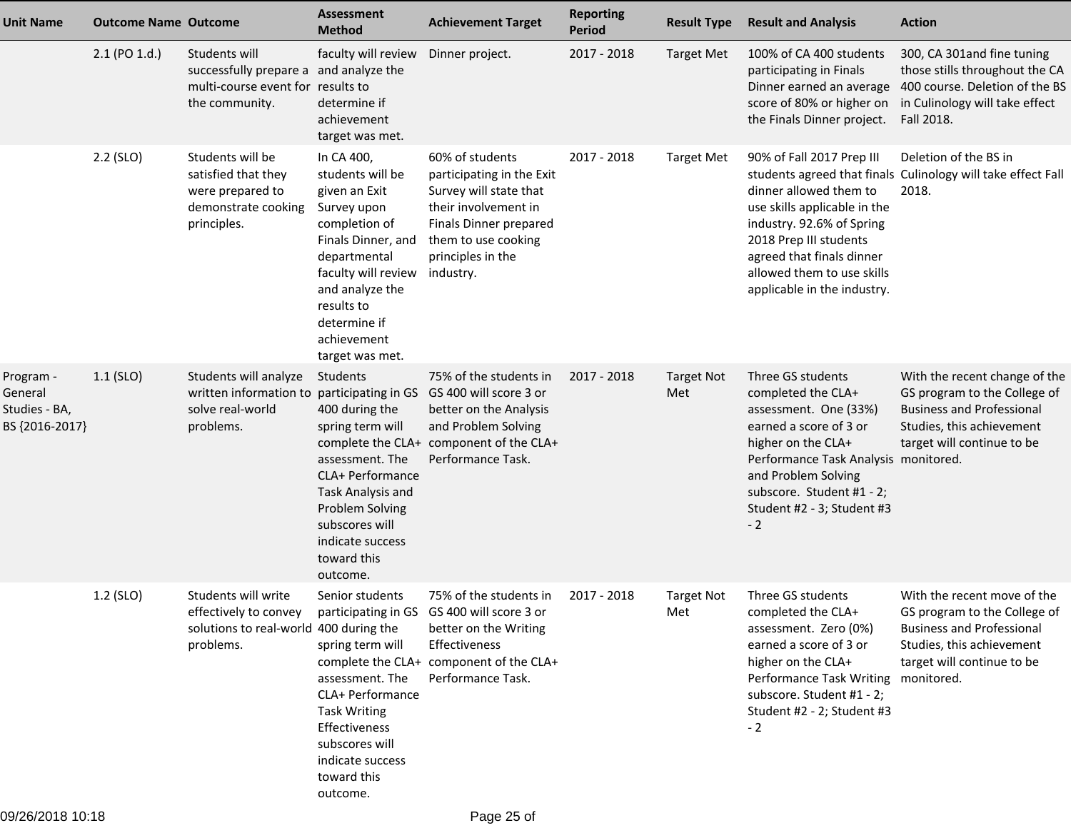| <b>Unit Name</b>                                        | <b>Outcome Name Outcome</b> |                                                                                                                                                | Assessment<br><b>Method</b>                                                                                                                                                                                                     | <b>Achievement Target</b>                                                                                                                                                         | <b>Reporting</b><br><b>Period</b> | <b>Result Type</b>       | <b>Result and Analysis</b>                                                                                                                                                                                                                         | <b>Action</b>                                                                                                                                                |
|---------------------------------------------------------|-----------------------------|------------------------------------------------------------------------------------------------------------------------------------------------|---------------------------------------------------------------------------------------------------------------------------------------------------------------------------------------------------------------------------------|-----------------------------------------------------------------------------------------------------------------------------------------------------------------------------------|-----------------------------------|--------------------------|----------------------------------------------------------------------------------------------------------------------------------------------------------------------------------------------------------------------------------------------------|--------------------------------------------------------------------------------------------------------------------------------------------------------------|
|                                                         | $2.1$ (PO $1.d.$ )          | Students will<br>successfully prepare a and analyze the<br>multi-course event for results to<br>the community.                                 | faculty will review<br>determine if<br>achievement<br>target was met.                                                                                                                                                           | Dinner project.                                                                                                                                                                   | 2017 - 2018                       | <b>Target Met</b>        | 100% of CA 400 students<br>participating in Finals<br>Dinner earned an average<br>score of 80% or higher on<br>the Finals Dinner project.                                                                                                          | 300, CA 301and fine tuning<br>those stills throughout the CA<br>400 course. Deletion of the BS<br>in Culinology will take effect<br>Fall 2018.               |
|                                                         | $2.2$ (SLO)                 | Students will be<br>satisfied that they<br>were prepared to<br>demonstrate cooking<br>principles.                                              | In CA 400,<br>students will be<br>given an Exit<br>Survey upon<br>completion of<br>Finals Dinner, and<br>departmental<br>faculty will review<br>and analyze the<br>results to<br>determine if<br>achievement<br>target was met. | 60% of students<br>participating in the Exit<br>Survey will state that<br>their involvement in<br>Finals Dinner prepared<br>them to use cooking<br>principles in the<br>industry. | 2017 - 2018                       | <b>Target Met</b>        | 90% of Fall 2017 Prep III<br>dinner allowed them to<br>use skills applicable in the<br>industry. 92.6% of Spring<br>2018 Prep III students<br>agreed that finals dinner<br>allowed them to use skills<br>applicable in the industry.               | Deletion of the BS in<br>students agreed that finals Culinology will take effect Fall<br>2018.                                                               |
| Program -<br>General<br>Studies - BA,<br>BS {2016-2017} | $1.1$ (SLO)                 | Students will analyze<br>written information to participating in GS<br>solve real-world<br>problems.                                           | Students<br>400 during the<br>spring term will<br>assessment. The<br>CLA+ Performance<br>Task Analysis and<br>Problem Solving<br>subscores will<br>indicate success<br>toward this<br>outcome.                                  | 75% of the students in<br>GS 400 will score 3 or<br>better on the Analysis<br>and Problem Solving<br>complete the CLA+ component of the CLA+<br>Performance Task.                 | 2017 - 2018                       | <b>Target Not</b><br>Met | Three GS students<br>completed the CLA+<br>assessment. One (33%)<br>earned a score of 3 or<br>higher on the CLA+<br>Performance Task Analysis monitored.<br>and Problem Solving<br>subscore. Student #1 - 2;<br>Student #2 - 3; Student #3<br>$-2$ | With the recent change of the<br>GS program to the College of<br><b>Business and Professional</b><br>Studies, this achievement<br>target will continue to be |
|                                                         | 1.2 (SLO)                   | Students will write<br>effectively to convey participating in GS GS 400 will score 3 or<br>solutions to real-world 400 during the<br>problems. | Senior students<br>spring term will<br>assessment. The<br>CLA+ Performance<br><b>Task Writing</b><br>Effectiveness<br>subscores will<br>indicate success<br>toward this<br>outcome.                                             | 75% of the students in<br>better on the Writing<br>Effectiveness<br>complete the CLA+ component of the CLA+<br>Performance Task.                                                  | 2017 - 2018                       | <b>Target Not</b><br>Met | Three GS students<br>completed the CLA+<br>assessment. Zero (0%)<br>earned a score of 3 or<br>higher on the CLA+<br>Performance Task Writing monitored.<br>subscore. Student #1 - 2;<br>Student #2 - 2; Student #3<br>$-2$                         | With the recent move of the<br>GS program to the College of<br><b>Business and Professional</b><br>Studies, this achievement<br>target will continue to be   |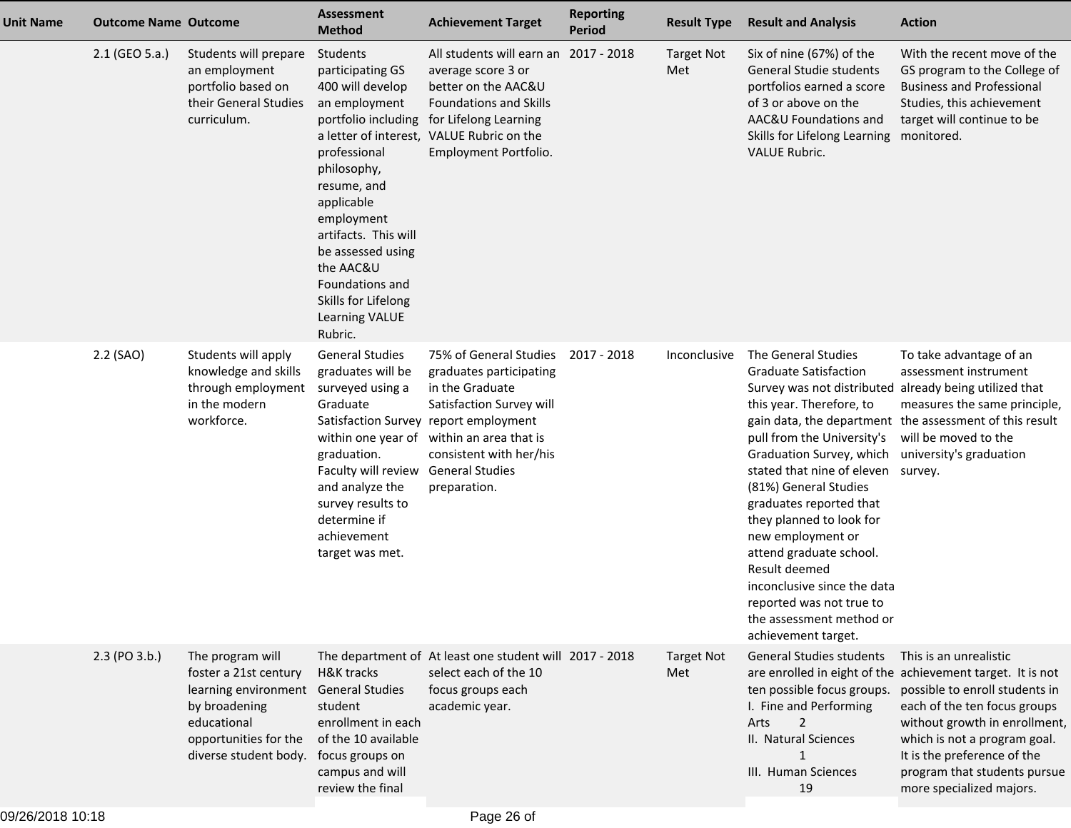| <b>Unit Name</b> | <b>Outcome Name Outcome</b> |                                                                                                                                                                     | <b>Assessment</b><br><b>Method</b>                                                                                                                                                                                                                                                                  | <b>Achievement Target</b>                                                                                                                                                                                                                                   | <b>Reporting</b><br>Period | <b>Result Type</b>       | <b>Result and Analysis</b>                                                                                                                                                                                                                                                                                                                                                                                                                                                                                                       | <b>Action</b>                                                                                                                                                                                                                                                                                                      |
|------------------|-----------------------------|---------------------------------------------------------------------------------------------------------------------------------------------------------------------|-----------------------------------------------------------------------------------------------------------------------------------------------------------------------------------------------------------------------------------------------------------------------------------------------------|-------------------------------------------------------------------------------------------------------------------------------------------------------------------------------------------------------------------------------------------------------------|----------------------------|--------------------------|----------------------------------------------------------------------------------------------------------------------------------------------------------------------------------------------------------------------------------------------------------------------------------------------------------------------------------------------------------------------------------------------------------------------------------------------------------------------------------------------------------------------------------|--------------------------------------------------------------------------------------------------------------------------------------------------------------------------------------------------------------------------------------------------------------------------------------------------------------------|
|                  | 2.1 (GEO 5.a.)              | Students will prepare<br>an employment<br>portfolio based on<br>their General Studies<br>curriculum.                                                                | Students<br>participating GS<br>400 will develop<br>an employment<br>portfolio including<br>professional<br>philosophy,<br>resume, and<br>applicable<br>employment<br>artifacts. This will<br>be assessed using<br>the AAC&U<br>Foundations and<br>Skills for Lifelong<br>Learning VALUE<br>Rubric. | All students will earn an 2017 - 2018<br>average score 3 or<br>better on the AAC&U<br><b>Foundations and Skills</b><br>for Lifelong Learning<br>a letter of interest, VALUE Rubric on the<br>Employment Portfolio.                                          |                            | <b>Target Not</b><br>Met | Six of nine (67%) of the<br>General Studie students<br>portfolios earned a score<br>of 3 or above on the<br>AAC&U Foundations and<br>Skills for Lifelong Learning<br><b>VALUE Rubric.</b>                                                                                                                                                                                                                                                                                                                                        | With the recent move of the<br>GS program to the College of<br><b>Business and Professional</b><br>Studies, this achievement<br>target will continue to be<br>monitored.                                                                                                                                           |
|                  | 2.2 (SAO)                   | Students will apply<br>knowledge and skills<br>through employment<br>in the modern<br>workforce.                                                                    | <b>General Studies</b><br>graduates will be<br>surveyed using a<br>Graduate<br>graduation.<br>Faculty will review<br>and analyze the<br>survey results to<br>determine if<br>achievement<br>target was met.                                                                                         | 75% of General Studies<br>graduates participating<br>in the Graduate<br>Satisfaction Survey will<br>Satisfaction Survey report employment<br>within one year of within an area that is<br>consistent with her/his<br><b>General Studies</b><br>preparation. | 2017 - 2018                | Inconclusive             | The General Studies<br><b>Graduate Satisfaction</b><br>Survey was not distributed already being utilized that<br>this year. Therefore, to<br>pull from the University's<br>Graduation Survey, which university's graduation<br>stated that nine of eleven survey.<br>(81%) General Studies<br>graduates reported that<br>they planned to look for<br>new employment or<br>attend graduate school.<br>Result deemed<br>inconclusive since the data<br>reported was not true to<br>the assessment method or<br>achievement target. | To take advantage of an<br>assessment instrument<br>measures the same principle,<br>gain data, the department the assessment of this result<br>will be moved to the                                                                                                                                                |
|                  | $2.3$ (PO $3.b.$ )          | The program will<br>foster a 21st century<br>learning environment General Studies<br>by broadening<br>educational<br>opportunities for the<br>diverse student body. | H&K tracks<br>student<br>enrollment in each<br>of the 10 available<br>focus groups on<br>campus and will<br>review the final                                                                                                                                                                        | The department of At least one student will 2017 - 2018<br>select each of the 10<br>focus groups each<br>academic year.                                                                                                                                     |                            | <b>Target Not</b><br>Met | <b>General Studies students</b><br>ten possible focus groups.<br>I. Fine and Performing<br>$\overline{2}$<br>Arts<br>II. Natural Sciences<br>$\mathbf{1}$<br>III. Human Sciences<br>19                                                                                                                                                                                                                                                                                                                                           | This is an unrealistic<br>are enrolled in eight of the achievement target. It is not<br>possible to enroll students in<br>each of the ten focus groups<br>without growth in enrollment,<br>which is not a program goal.<br>It is the preference of the<br>program that students pursue<br>more specialized majors. |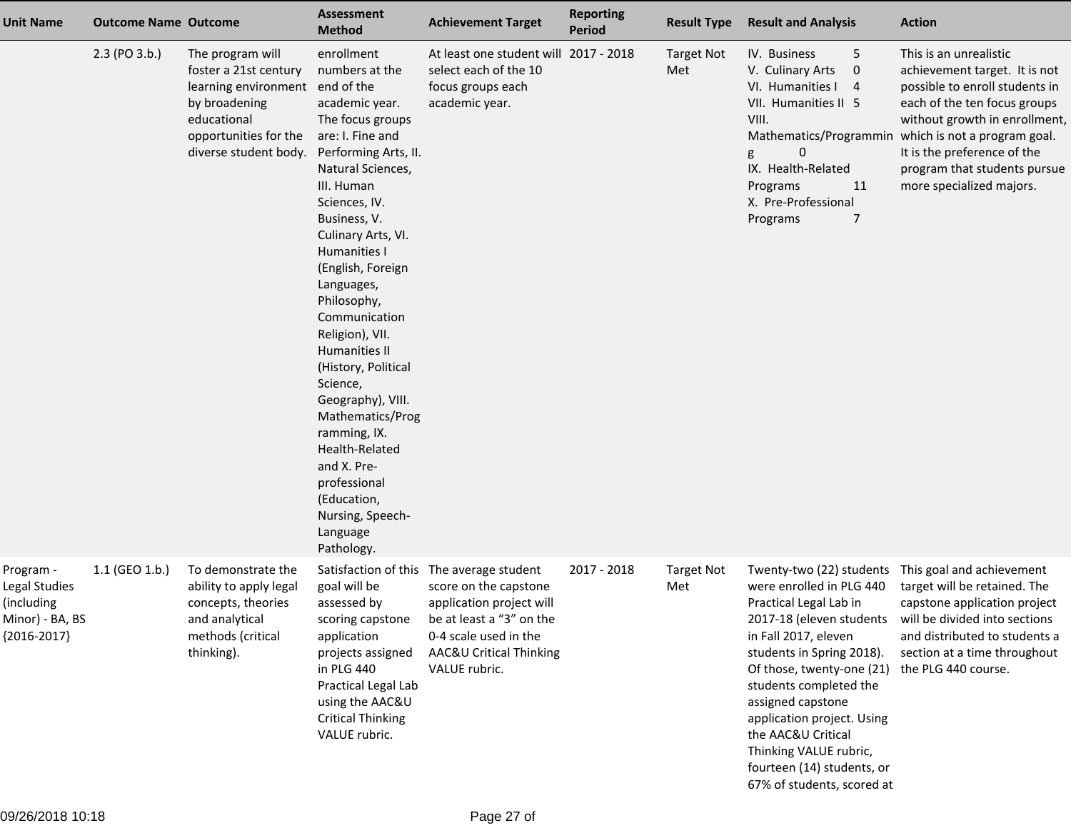| <b>Unit Name</b>                                                             | <b>Outcome Name Outcome</b> |                                                                                                                                                     | <b>Assessment</b><br><b>Method</b>                                                                                                                                                                                                                                                                                                                                                                                                                                                                                                                             | <b>Achievement Target</b>                                                                                                                                                                      | <b>Reporting</b><br>Period | <b>Result Type</b>       | <b>Result and Analysis</b>                                                                                                                                                                                                                                                                                                                                | <b>Action</b>                                                                                                                                                                                                                                                                         |
|------------------------------------------------------------------------------|-----------------------------|-----------------------------------------------------------------------------------------------------------------------------------------------------|----------------------------------------------------------------------------------------------------------------------------------------------------------------------------------------------------------------------------------------------------------------------------------------------------------------------------------------------------------------------------------------------------------------------------------------------------------------------------------------------------------------------------------------------------------------|------------------------------------------------------------------------------------------------------------------------------------------------------------------------------------------------|----------------------------|--------------------------|-----------------------------------------------------------------------------------------------------------------------------------------------------------------------------------------------------------------------------------------------------------------------------------------------------------------------------------------------------------|---------------------------------------------------------------------------------------------------------------------------------------------------------------------------------------------------------------------------------------------------------------------------------------|
|                                                                              | 2.3 (PO 3.b.)               | The program will<br>foster a 21st century<br>learning environment<br>by broadening<br>educational<br>opportunities for the<br>diverse student body. | enrollment<br>numbers at the<br>end of the<br>academic year.<br>The focus groups<br>are: I. Fine and<br>Performing Arts, II.<br>Natural Sciences,<br>III. Human<br>Sciences, IV.<br>Business, V.<br>Culinary Arts, VI.<br>Humanities I<br>(English, Foreign<br>Languages,<br>Philosophy,<br>Communication<br>Religion), VII.<br><b>Humanities II</b><br>(History, Political<br>Science,<br>Geography), VIII.<br>Mathematics/Prog<br>ramming, IX.<br>Health-Related<br>and X. Pre-<br>professional<br>(Education,<br>Nursing, Speech-<br>Language<br>Pathology. | At least one student will 2017 - 2018<br>select each of the 10<br>focus groups each<br>academic year.                                                                                          |                            | <b>Target Not</b><br>Met | IV. Business<br>5<br>$\pmb{0}$<br>V. Culinary Arts<br>VI. Humanities I<br>4<br>VII. Humanities II 5<br>VIII.<br>Mathematics/Programmin<br>$\pmb{0}$<br>g<br>IX. Health-Related<br>11<br>Programs<br>X. Pre-Professional<br>Programs<br>7                                                                                                                  | This is an unrealistic<br>achievement target. It is not<br>possible to enroll students in<br>each of the ten focus groups<br>without growth in enrollment,<br>which is not a program goal.<br>It is the preference of the<br>program that students pursue<br>more specialized majors. |
| Program -<br>Legal Studies<br>(including<br>Minor) - BA, BS<br>${2016-2017}$ | 1.1 (GEO 1.b.)              | To demonstrate the<br>ability to apply legal<br>concepts, theories<br>and analytical<br>methods (critical<br>thinking).                             | goal will be<br>assessed by<br>scoring capstone<br>application<br>projects assigned<br>in PLG 440<br>Practical Legal Lab<br>using the AAC&U<br><b>Critical Thinking</b><br>VALUE rubric.                                                                                                                                                                                                                                                                                                                                                                       | Satisfaction of this The average student<br>score on the capstone<br>application project will<br>be at least a "3" on the<br>0-4 scale used in the<br>AAC&U Critical Thinking<br>VALUE rubric. | 2017 - 2018                | <b>Target Not</b><br>Met | Twenty-two (22) students<br>were enrolled in PLG 440<br>Practical Legal Lab in<br>in Fall 2017, eleven<br>students in Spring 2018).<br>Of those, twenty-one (21)<br>students completed the<br>assigned capstone<br>application project. Using<br>the AAC&U Critical<br>Thinking VALUE rubric,<br>fourteen (14) students, or<br>67% of students, scored at | This goal and achievement<br>target will be retained. The<br>capstone application project<br>2017-18 (eleven students will be divided into sections<br>and distributed to students a<br>section at a time throughout<br>the PLG 440 course.                                           |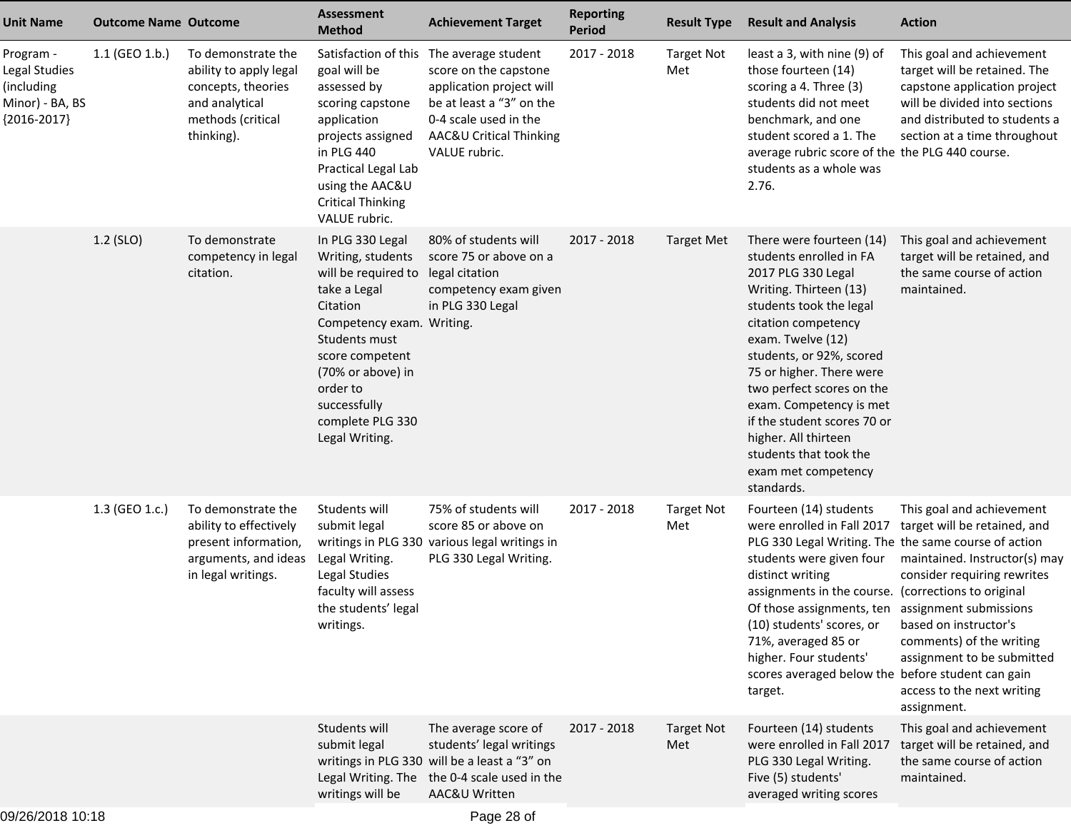| <b>Unit Name</b>                                                             | <b>Outcome Name Outcome</b> |                                                                                                                         | <b>Assessment</b><br><b>Method</b>                                                                                                                                                                                                               | <b>Achievement Target</b>                                                                                                                                                                      | <b>Reporting</b><br><b>Period</b> | <b>Result Type</b>       | <b>Result and Analysis</b>                                                                                                                                                                                                                                                                                                                                                                                            | <b>Action</b>                                                                                                                                                                                                                                             |
|------------------------------------------------------------------------------|-----------------------------|-------------------------------------------------------------------------------------------------------------------------|--------------------------------------------------------------------------------------------------------------------------------------------------------------------------------------------------------------------------------------------------|------------------------------------------------------------------------------------------------------------------------------------------------------------------------------------------------|-----------------------------------|--------------------------|-----------------------------------------------------------------------------------------------------------------------------------------------------------------------------------------------------------------------------------------------------------------------------------------------------------------------------------------------------------------------------------------------------------------------|-----------------------------------------------------------------------------------------------------------------------------------------------------------------------------------------------------------------------------------------------------------|
| Program -<br>Legal Studies<br>(including<br>Minor) - BA, BS<br>${2016-2017}$ | 1.1 (GEO 1.b.)              | To demonstrate the<br>ability to apply legal<br>concepts, theories<br>and analytical<br>methods (critical<br>thinking). | goal will be<br>assessed by<br>scoring capstone<br>application<br>projects assigned<br>in PLG 440<br>Practical Legal Lab<br>using the AAC&U<br><b>Critical Thinking</b><br>VALUE rubric.                                                         | Satisfaction of this The average student<br>score on the capstone<br>application project will<br>be at least a "3" on the<br>0-4 scale used in the<br>AAC&U Critical Thinking<br>VALUE rubric. | 2017 - 2018                       | <b>Target Not</b><br>Met | least a 3, with nine (9) of<br>those fourteen (14)<br>scoring a 4. Three (3)<br>students did not meet<br>benchmark, and one<br>student scored a 1. The<br>average rubric score of the the PLG 440 course.<br>students as a whole was<br>2.76.                                                                                                                                                                         | This goal and achievement<br>target will be retained. The<br>capstone application project<br>will be divided into sections<br>and distributed to students a<br>section at a time throughout                                                               |
|                                                                              | 1.2 (SLO)                   | To demonstrate<br>competency in legal<br>citation.                                                                      | In PLG 330 Legal<br>Writing, students<br>will be required to<br>take a Legal<br>Citation<br>Competency exam. Writing.<br>Students must<br>score competent<br>(70% or above) in<br>order to<br>successfully<br>complete PLG 330<br>Legal Writing. | 80% of students will<br>score 75 or above on a<br>legal citation<br>competency exam given<br>in PLG 330 Legal                                                                                  | 2017 - 2018                       | <b>Target Met</b>        | There were fourteen (14)<br>students enrolled in FA<br>2017 PLG 330 Legal<br>Writing. Thirteen (13)<br>students took the legal<br>citation competency<br>exam. Twelve (12)<br>students, or 92%, scored<br>75 or higher. There were<br>two perfect scores on the<br>exam. Competency is met<br>if the student scores 70 or<br>higher. All thirteen<br>students that took the<br>exam met competency<br>standards.      | This goal and achievement<br>target will be retained, and<br>the same course of action<br>maintained.                                                                                                                                                     |
|                                                                              | 1.3 (GEO 1.c.)              | To demonstrate the<br>ability to effectively<br>present information,<br>arguments, and ideas<br>in legal writings.      | Students will<br>submit legal<br>Legal Writing.<br>Legal Studies<br>faculty will assess<br>the students' legal<br>writings.                                                                                                                      | 75% of students will<br>score 85 or above on<br>writings in PLG 330 various legal writings in<br>PLG 330 Legal Writing.                                                                        | 2017 - 2018                       | <b>Target Not</b><br>Met | Fourteen (14) students<br>were enrolled in Fall 2017<br>PLG 330 Legal Writing. The the same course of action<br>students were given four<br>distinct writing<br>assignments in the course. (corrections to original<br>Of those assignments, ten assignment submissions<br>(10) students' scores, or<br>71%, averaged 85 or<br>higher. Four students'<br>scores averaged below the before student can gain<br>target. | This goal and achievement<br>target will be retained, and<br>maintained. Instructor(s) may<br>consider requiring rewrites<br>based on instructor's<br>comments) of the writing<br>assignment to be submitted<br>access to the next writing<br>assignment. |
|                                                                              |                             |                                                                                                                         | Students will<br>submit legal<br>Legal Writing. The<br>writings will be                                                                                                                                                                          | The average score of<br>students' legal writings<br>writings in PLG 330 will be a least a "3" on<br>the 0-4 scale used in the<br>AAC&U Written                                                 | 2017 - 2018                       | <b>Target Not</b><br>Met | Fourteen (14) students<br>were enrolled in Fall 2017<br>PLG 330 Legal Writing.<br>Five (5) students'<br>averaged writing scores                                                                                                                                                                                                                                                                                       | This goal and achievement<br>target will be retained, and<br>the same course of action<br>maintained.                                                                                                                                                     |
| 09/26/2018 10:18                                                             |                             |                                                                                                                         |                                                                                                                                                                                                                                                  | Page 28 of                                                                                                                                                                                     |                                   |                          |                                                                                                                                                                                                                                                                                                                                                                                                                       |                                                                                                                                                                                                                                                           |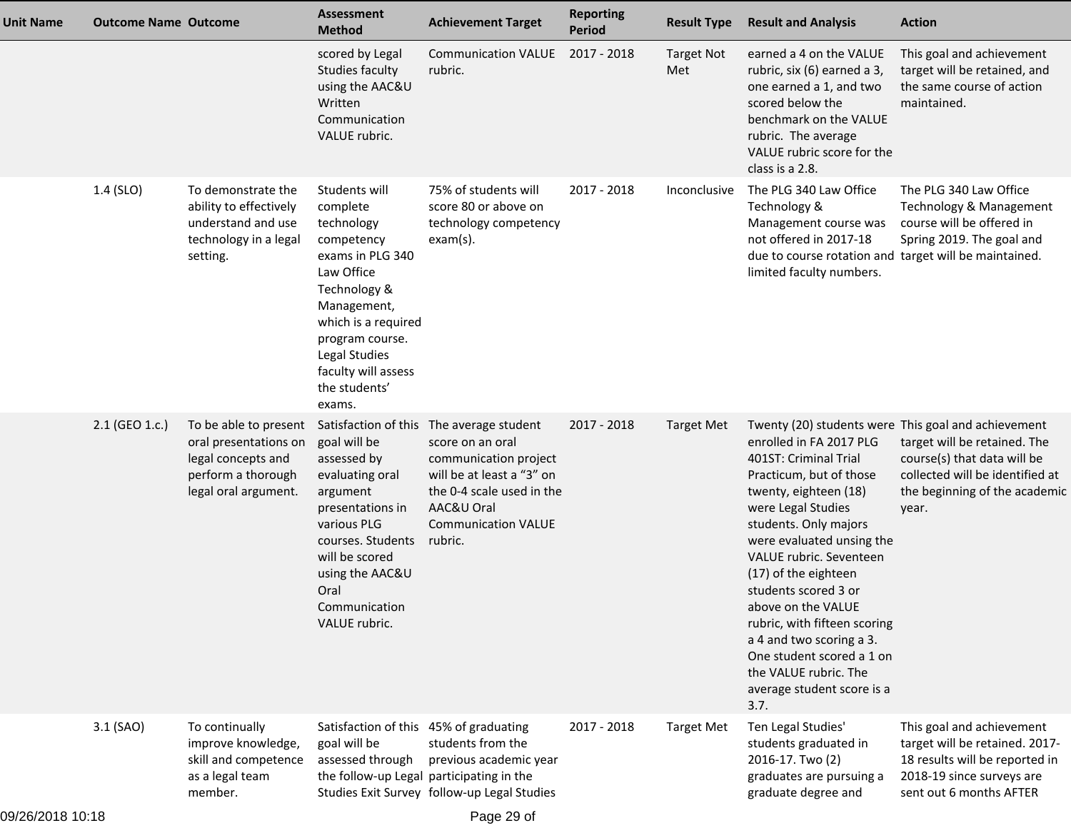| <b>Unit Name</b> | <b>Outcome Name Outcome</b> |                                                                                                                    | <b>Assessment</b><br><b>Method</b>                                                                                                                                                                                                  | <b>Achievement Target</b>                                                                                                                                                                              | <b>Reporting</b><br><b>Period</b> | <b>Result Type</b>       | <b>Result and Analysis</b>                                                                                                                                                                                                                                                                                                                                                                                                                | <b>Action</b>                                                                                                                                                                                   |
|------------------|-----------------------------|--------------------------------------------------------------------------------------------------------------------|-------------------------------------------------------------------------------------------------------------------------------------------------------------------------------------------------------------------------------------|--------------------------------------------------------------------------------------------------------------------------------------------------------------------------------------------------------|-----------------------------------|--------------------------|-------------------------------------------------------------------------------------------------------------------------------------------------------------------------------------------------------------------------------------------------------------------------------------------------------------------------------------------------------------------------------------------------------------------------------------------|-------------------------------------------------------------------------------------------------------------------------------------------------------------------------------------------------|
|                  |                             |                                                                                                                    | scored by Legal<br>Studies faculty<br>using the AAC&U<br>Written<br>Communication<br>VALUE rubric.                                                                                                                                  | Communication VALUE 2017 - 2018<br>rubric.                                                                                                                                                             |                                   | <b>Target Not</b><br>Met | earned a 4 on the VALUE<br>rubric, six (6) earned a 3,<br>one earned a 1, and two<br>scored below the<br>benchmark on the VALUE<br>rubric. The average<br>VALUE rubric score for the<br>class is a 2.8.                                                                                                                                                                                                                                   | This goal and achievement<br>target will be retained, and<br>the same course of action<br>maintained.                                                                                           |
|                  | 1.4 (SLO)                   | To demonstrate the<br>ability to effectively<br>understand and use<br>technology in a legal<br>setting.            | Students will<br>complete<br>technology<br>competency<br>exams in PLG 340<br>Law Office<br>Technology &<br>Management,<br>which is a required<br>program course.<br>Legal Studies<br>faculty will assess<br>the students'<br>exams. | 75% of students will<br>score 80 or above on<br>technology competency<br>$exam(s)$ .                                                                                                                   | $2017 - 2018$                     | Inconclusive             | The PLG 340 Law Office<br>Technology &<br>Management course was<br>not offered in 2017-18<br>due to course rotation and target will be maintained.<br>limited faculty numbers.                                                                                                                                                                                                                                                            | The PLG 340 Law Office<br>Technology & Management<br>course will be offered in<br>Spring 2019. The goal and                                                                                     |
|                  | 2.1 (GEO 1.c.)              | To be able to present<br>oral presentations on<br>legal concepts and<br>perform a thorough<br>legal oral argument. | goal will be<br>assessed by<br>evaluating oral<br>argument<br>presentations in<br>various PLG<br>courses. Students<br>will be scored<br>using the AAC&U<br>Oral<br>Communication<br>VALUE rubric.                                   | Satisfaction of this The average student<br>score on an oral<br>communication project<br>will be at least a "3" on<br>the 0-4 scale used in the<br>AAC&U Oral<br><b>Communication VALUE</b><br>rubric. | 2017 - 2018                       | <b>Target Met</b>        | enrolled in FA 2017 PLG<br>401ST: Criminal Trial<br>Practicum, but of those<br>twenty, eighteen (18)<br>were Legal Studies<br>students. Only majors<br>were evaluated unsing the<br>VALUE rubric. Seventeen<br>(17) of the eighteen<br>students scored 3 or<br>above on the VALUE<br>rubric, with fifteen scoring<br>a 4 and two scoring a 3.<br>One student scored a 1 on<br>the VALUE rubric. The<br>average student score is a<br>3.7. | Twenty (20) students were This goal and achievement<br>target will be retained. The<br>course(s) that data will be<br>collected will be identified at<br>the beginning of the academic<br>year. |
|                  | 3.1 (SAO)                   | To continually<br>improve knowledge,<br>skill and competence<br>as a legal team<br>member.                         | Satisfaction of this 45% of graduating<br>goal will be<br>assessed through<br>the follow-up Legal participating in the                                                                                                              | students from the<br>previous academic year<br>Studies Exit Survey follow-up Legal Studies                                                                                                             | 2017 - 2018                       | <b>Target Met</b>        | Ten Legal Studies'<br>students graduated in<br>2016-17. Two (2)<br>graduates are pursuing a<br>graduate degree and                                                                                                                                                                                                                                                                                                                        | This goal and achievement<br>target will be retained. 2017-<br>18 results will be reported in<br>2018-19 since surveys are<br>sent out 6 months AFTER                                           |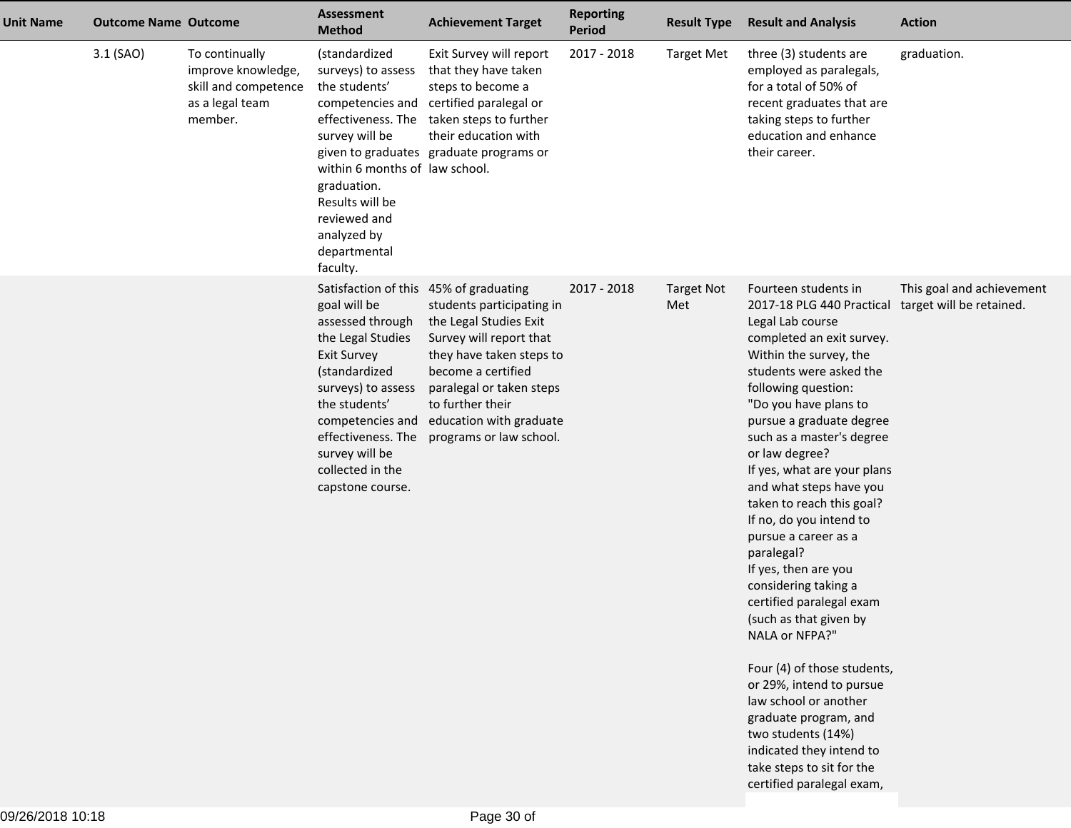| <b>Unit Name</b> | <b>Outcome Name Outcome</b> |                                                                                            | <b>Assessment</b><br><b>Method</b>                                                                                                                                                                                                                                                | <b>Achievement Target</b>                                                                                                                                                                                                              | <b>Reporting</b><br><b>Period</b> | <b>Result Type</b>       | <b>Result and Analysis</b>                                                                                                                                                                                                                                                                                                                                                                                                                                                                                                                                                                                                                                                                                                                                                                  | <b>Action</b>                                         |
|------------------|-----------------------------|--------------------------------------------------------------------------------------------|-----------------------------------------------------------------------------------------------------------------------------------------------------------------------------------------------------------------------------------------------------------------------------------|----------------------------------------------------------------------------------------------------------------------------------------------------------------------------------------------------------------------------------------|-----------------------------------|--------------------------|---------------------------------------------------------------------------------------------------------------------------------------------------------------------------------------------------------------------------------------------------------------------------------------------------------------------------------------------------------------------------------------------------------------------------------------------------------------------------------------------------------------------------------------------------------------------------------------------------------------------------------------------------------------------------------------------------------------------------------------------------------------------------------------------|-------------------------------------------------------|
|                  | 3.1 (SAO)                   | To continually<br>improve knowledge,<br>skill and competence<br>as a legal team<br>member. | (standardized<br>surveys) to assess<br>the students'<br>competencies and<br>effectiveness. The<br>survey will be<br>within 6 months of law school.<br>graduation.<br>Results will be<br>reviewed and<br>analyzed by<br>departmental<br>faculty.                                   | Exit Survey will report<br>that they have taken<br>steps to become a<br>certified paralegal or<br>taken steps to further<br>their education with<br>given to graduates graduate programs or                                            | 2017 - 2018                       | <b>Target Met</b>        | three (3) students are<br>employed as paralegals,<br>for a total of 50% of<br>recent graduates that are<br>taking steps to further<br>education and enhance<br>their career.                                                                                                                                                                                                                                                                                                                                                                                                                                                                                                                                                                                                                | graduation.                                           |
|                  |                             |                                                                                            | Satisfaction of this 45% of graduating<br>goal will be<br>assessed through<br>the Legal Studies<br><b>Exit Survey</b><br>(standardized<br>surveys) to assess<br>the students'<br>competencies and<br>effectiveness. The<br>survey will be<br>collected in the<br>capstone course. | students participating in<br>the Legal Studies Exit<br>Survey will report that<br>they have taken steps to<br>become a certified<br>paralegal or taken steps<br>to further their<br>education with graduate<br>programs or law school. | $2017 - 2018$                     | <b>Target Not</b><br>Met | Fourteen students in<br>2017-18 PLG 440 Practical<br>Legal Lab course<br>completed an exit survey.<br>Within the survey, the<br>students were asked the<br>following question:<br>"Do you have plans to<br>pursue a graduate degree<br>such as a master's degree<br>or law degree?<br>If yes, what are your plans<br>and what steps have you<br>taken to reach this goal?<br>If no, do you intend to<br>pursue a career as a<br>paralegal?<br>If yes, then are you<br>considering taking a<br>certified paralegal exam<br>(such as that given by<br>NALA or NFPA?"<br>Four (4) of those students,<br>or 29%, intend to pursue<br>law school or another<br>graduate program, and<br>two students (14%)<br>indicated they intend to<br>take steps to sit for the<br>certified paralegal exam, | This goal and achievement<br>target will be retained. |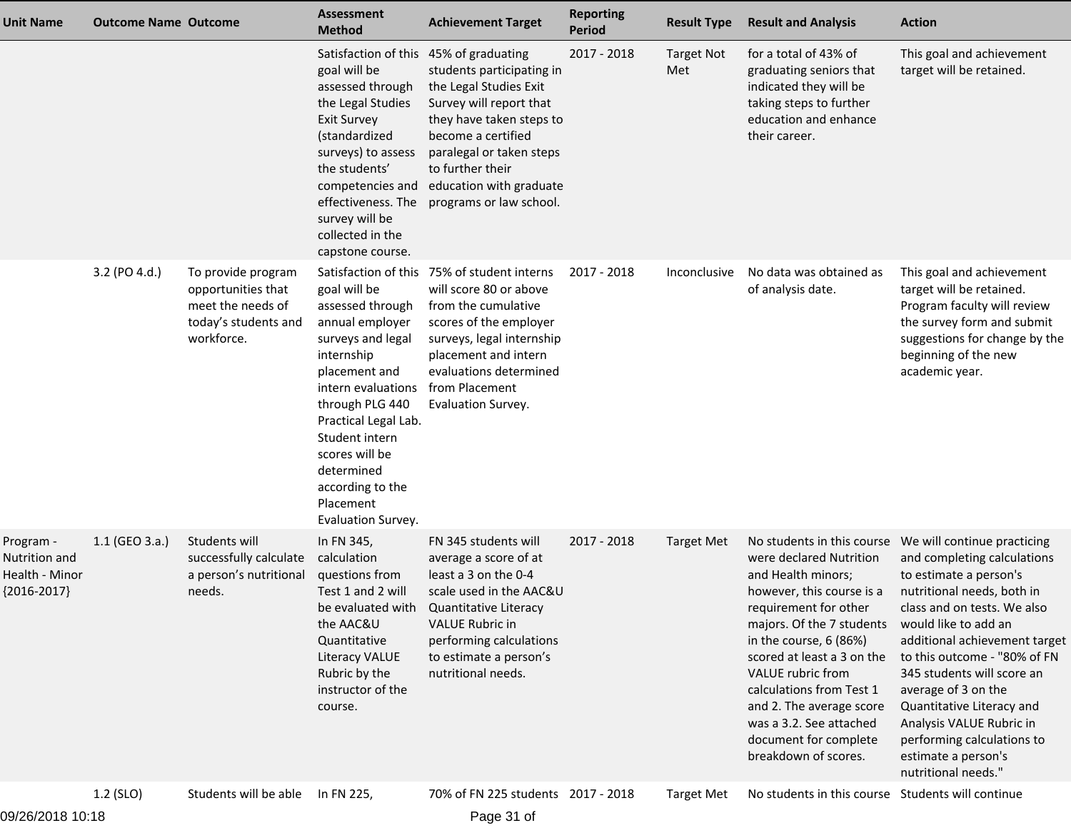| <b>Unit Name</b>                                              | <b>Outcome Name Outcome</b> |                                                                                                     | <b>Assessment</b><br><b>Method</b>                                                                                                                                                                                                                                                | <b>Achievement Target</b>                                                                                                                                                                                                                        | <b>Reporting</b><br><b>Period</b> | <b>Result Type</b>       | <b>Result and Analysis</b>                                                                                                                                                                                                                                                                                                                        | <b>Action</b>                                                                                                                                                                                                                                                                                                                                                                                                                                                    |
|---------------------------------------------------------------|-----------------------------|-----------------------------------------------------------------------------------------------------|-----------------------------------------------------------------------------------------------------------------------------------------------------------------------------------------------------------------------------------------------------------------------------------|--------------------------------------------------------------------------------------------------------------------------------------------------------------------------------------------------------------------------------------------------|-----------------------------------|--------------------------|---------------------------------------------------------------------------------------------------------------------------------------------------------------------------------------------------------------------------------------------------------------------------------------------------------------------------------------------------|------------------------------------------------------------------------------------------------------------------------------------------------------------------------------------------------------------------------------------------------------------------------------------------------------------------------------------------------------------------------------------------------------------------------------------------------------------------|
|                                                               |                             |                                                                                                     | Satisfaction of this 45% of graduating<br>goal will be<br>assessed through<br>the Legal Studies<br><b>Exit Survey</b><br>(standardized<br>surveys) to assess<br>the students'<br>competencies and<br>effectiveness. The<br>survey will be<br>collected in the<br>capstone course. | students participating in<br>the Legal Studies Exit<br>Survey will report that<br>they have taken steps to<br>become a certified<br>paralegal or taken steps<br>to further their<br>education with graduate<br>programs or law school.           | 2017 - 2018                       | <b>Target Not</b><br>Met | for a total of 43% of<br>graduating seniors that<br>indicated they will be<br>taking steps to further<br>education and enhance<br>their career.                                                                                                                                                                                                   | This goal and achievement<br>target will be retained.                                                                                                                                                                                                                                                                                                                                                                                                            |
|                                                               | 3.2 (PO 4.d.)               | To provide program<br>opportunities that<br>meet the needs of<br>today's students and<br>workforce. | goal will be<br>assessed through<br>annual employer<br>surveys and legal<br>internship<br>placement and<br>intern evaluations<br>through PLG 440<br>Practical Legal Lab.<br>Student intern<br>scores will be<br>determined<br>according to the<br>Placement<br>Evaluation Survey. | Satisfaction of this 75% of student interns<br>will score 80 or above<br>from the cumulative<br>scores of the employer<br>surveys, legal internship<br>placement and intern<br>evaluations determined<br>from Placement<br>Evaluation Survey.    | 2017 - 2018                       | Inconclusive             | No data was obtained as<br>of analysis date.                                                                                                                                                                                                                                                                                                      | This goal and achievement<br>target will be retained.<br>Program faculty will review<br>the survey form and submit<br>suggestions for change by the<br>beginning of the new<br>academic year.                                                                                                                                                                                                                                                                    |
| Program -<br>Nutrition and<br>Health - Minor<br>${2016-2017}$ | $1.1$ (GEO 3.a.)            | Students will<br>successfully calculate<br>a person's nutritional<br>needs.                         | In FN 345,<br>calculation<br>questions from<br>Test 1 and 2 will<br>the AAC&U<br>Quantitative<br><b>Literacy VALUE</b><br>Rubric by the<br>instructor of the<br>course.                                                                                                           | FN 345 students will<br>average a score of at<br>least a 3 on the 0-4<br>scale used in the AAC&U<br>be evaluated with Quantitative Literacy<br><b>VALUE Rubric in</b><br>performing calculations<br>to estimate a person's<br>nutritional needs. | 2017 - 2018                       | <b>Target Met</b>        | were declared Nutrition<br>and Health minors;<br>however, this course is a<br>requirement for other<br>majors. Of the 7 students<br>in the course, 6 (86%)<br>scored at least a 3 on the<br>VALUE rubric from<br>calculations from Test 1<br>and 2. The average score<br>was a 3.2. See attached<br>document for complete<br>breakdown of scores. | No students in this course  We will continue practicing<br>and completing calculations<br>to estimate a person's<br>nutritional needs, both in<br>class and on tests. We also<br>would like to add an<br>additional achievement target<br>to this outcome - "80% of FN<br>345 students will score an<br>average of 3 on the<br>Quantitative Literacy and<br>Analysis VALUE Rubric in<br>performing calculations to<br>estimate a person's<br>nutritional needs." |
| 09/26/2018 10:18                                              | 1.2 (SLO)                   | Students will be able                                                                               | In FN 225,                                                                                                                                                                                                                                                                        | 70% of FN 225 students 2017 - 2018<br>Page 31 of                                                                                                                                                                                                 |                                   | <b>Target Met</b>        | No students in this course Students will continue                                                                                                                                                                                                                                                                                                 |                                                                                                                                                                                                                                                                                                                                                                                                                                                                  |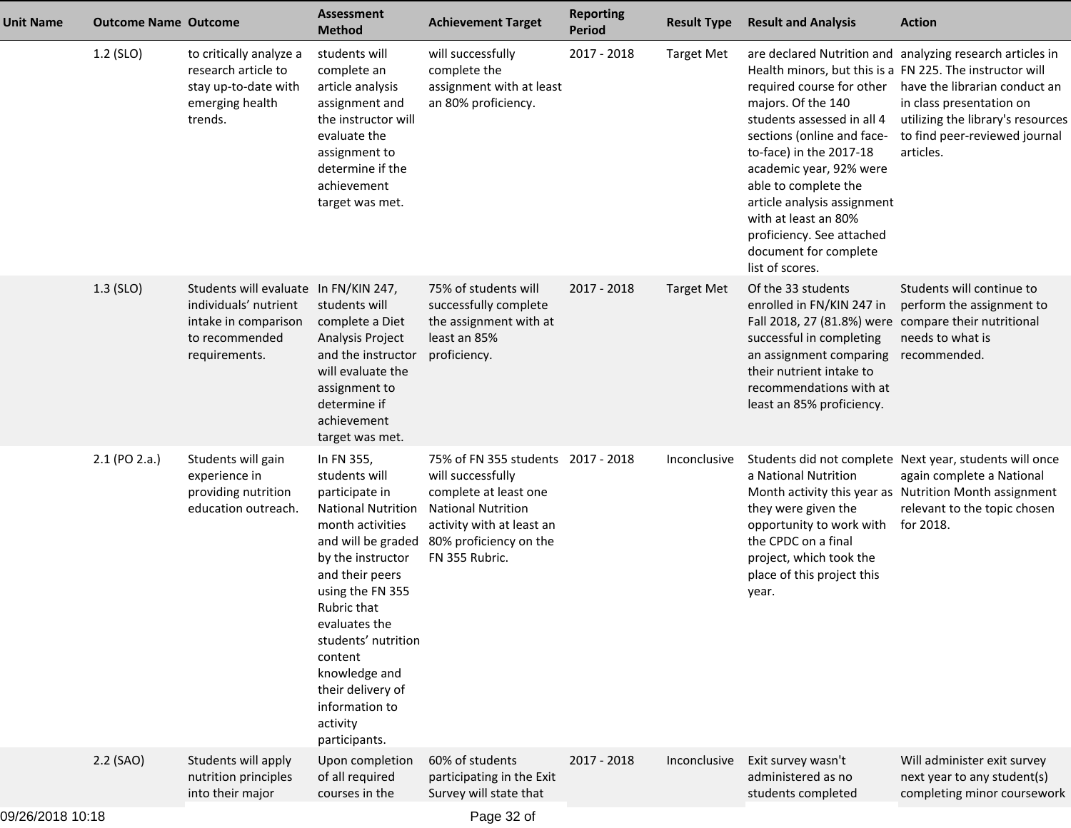| <b>Unit Name</b> | <b>Outcome Name Outcome</b> |                                                                                                                           | <b>Assessment</b><br><b>Method</b>                                                                                                                                                                                                                                                                                                      | <b>Achievement Target</b>                                                                                                                                                              | <b>Reporting</b><br><b>Period</b> | <b>Result Type</b> | <b>Result and Analysis</b>                                                                                                                                                                                                                                                                                                                                                            | <b>Action</b>                                                                                                                                                                                             |
|------------------|-----------------------------|---------------------------------------------------------------------------------------------------------------------------|-----------------------------------------------------------------------------------------------------------------------------------------------------------------------------------------------------------------------------------------------------------------------------------------------------------------------------------------|----------------------------------------------------------------------------------------------------------------------------------------------------------------------------------------|-----------------------------------|--------------------|---------------------------------------------------------------------------------------------------------------------------------------------------------------------------------------------------------------------------------------------------------------------------------------------------------------------------------------------------------------------------------------|-----------------------------------------------------------------------------------------------------------------------------------------------------------------------------------------------------------|
|                  | 1.2 (SLO)                   | to critically analyze a<br>research article to<br>stay up-to-date with<br>emerging health<br>trends.                      | students will<br>complete an<br>article analysis<br>assignment and<br>the instructor will<br>evaluate the<br>assignment to<br>determine if the<br>achievement<br>target was met.                                                                                                                                                        | will successfully<br>complete the<br>assignment with at least<br>an 80% proficiency.                                                                                                   | 2017 - 2018                       | <b>Target Met</b>  | Health minors, but this is a FN 225. The instructor will<br>required course for other<br>majors. Of the 140<br>students assessed in all 4<br>sections (online and face-<br>to-face) in the 2017-18<br>academic year, 92% were<br>able to complete the<br>article analysis assignment<br>with at least an 80%<br>proficiency. See attached<br>document for complete<br>list of scores. | are declared Nutrition and analyzing research articles in<br>have the librarian conduct an<br>in class presentation on<br>utilizing the library's resources<br>to find peer-reviewed journal<br>articles. |
|                  | $1.3$ (SLO)                 | Students will evaluate In FN/KIN 247,<br>individuals' nutrient<br>intake in comparison<br>to recommended<br>requirements. | students will<br>complete a Diet<br>Analysis Project<br>and the instructor<br>will evaluate the<br>assignment to<br>determine if<br>achievement<br>target was met.                                                                                                                                                                      | 75% of students will<br>successfully complete<br>the assignment with at<br>least an 85%<br>proficiency.                                                                                | 2017 - 2018                       | <b>Target Met</b>  | Of the 33 students<br>enrolled in FN/KIN 247 in<br>Fall 2018, 27 (81.8%) were compare their nutritional<br>successful in completing<br>an assignment comparing recommended.<br>their nutrient intake to<br>recommendations with at<br>least an 85% proficiency.                                                                                                                       | Students will continue to<br>perform the assignment to<br>needs to what is                                                                                                                                |
|                  | 2.1 (PO 2.a.)               | Students will gain<br>experience in<br>providing nutrition<br>education outreach.                                         | In FN 355,<br>students will<br>participate in<br><b>National Nutrition</b><br>month activities<br>and will be graded<br>by the instructor<br>and their peers<br>using the FN 355<br>Rubric that<br>evaluates the<br>students' nutrition<br>content<br>knowledge and<br>their delivery of<br>information to<br>activity<br>participants. | 75% of FN 355 students 2017 - 2018<br>will successfully<br>complete at least one<br><b>National Nutrition</b><br>activity with at least an<br>80% proficiency on the<br>FN 355 Rubric. |                                   | Inconclusive       | a National Nutrition<br>they were given the<br>opportunity to work with<br>the CPDC on a final<br>project, which took the<br>place of this project this<br>year.                                                                                                                                                                                                                      | Students did not complete Next year, students will once<br>again complete a National<br>Month activity this year as Nutrition Month assignment<br>relevant to the topic chosen<br>for 2018.               |
|                  | 2.2 (SAO)                   | Students will apply<br>nutrition principles<br>into their major                                                           | Upon completion<br>of all required<br>courses in the                                                                                                                                                                                                                                                                                    | 60% of students<br>participating in the Exit<br>Survey will state that                                                                                                                 | 2017 - 2018                       | Inconclusive       | Exit survey wasn't<br>administered as no<br>students completed                                                                                                                                                                                                                                                                                                                        | Will administer exit survey<br>next year to any student(s)<br>completing minor coursework                                                                                                                 |
|                  |                             |                                                                                                                           |                                                                                                                                                                                                                                                                                                                                         |                                                                                                                                                                                        |                                   |                    |                                                                                                                                                                                                                                                                                                                                                                                       |                                                                                                                                                                                                           |